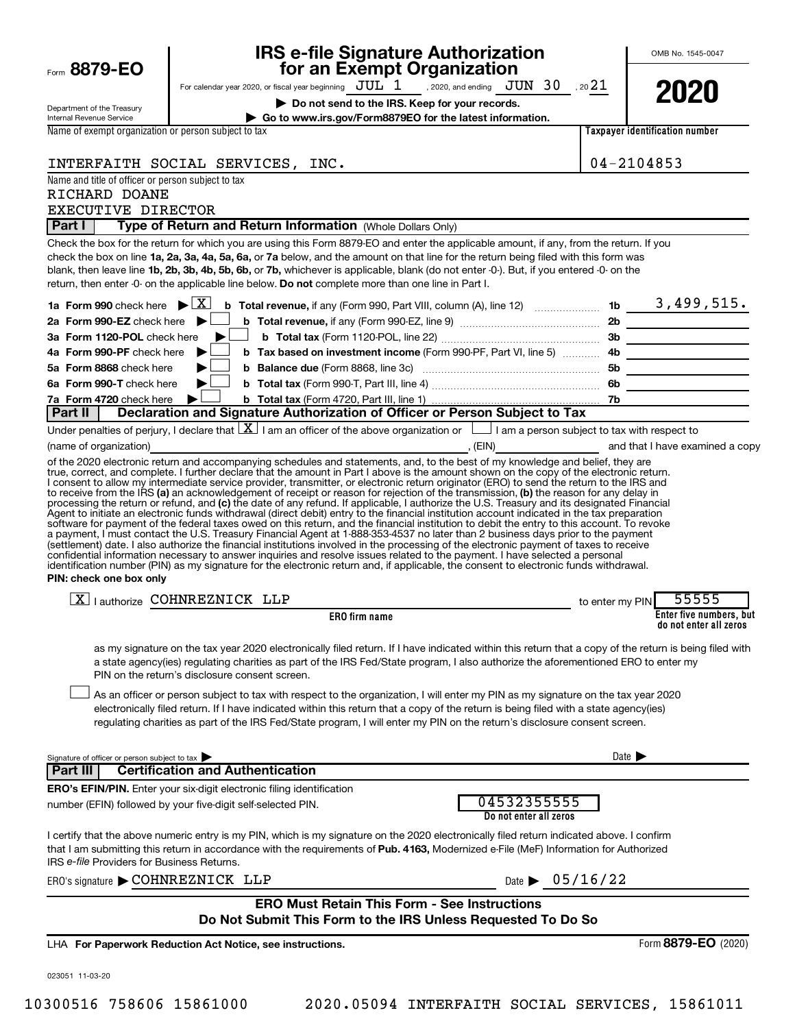|                                                                                                                  | <b>IRS e-file Signature Authorization</b><br>for an Exempt Organization                                                                                                                                                                                                                                                                                                                                                                                                                                                                                                                                                                                                                                                                                   |                                | OMB No. 1545-0047                |
|------------------------------------------------------------------------------------------------------------------|-----------------------------------------------------------------------------------------------------------------------------------------------------------------------------------------------------------------------------------------------------------------------------------------------------------------------------------------------------------------------------------------------------------------------------------------------------------------------------------------------------------------------------------------------------------------------------------------------------------------------------------------------------------------------------------------------------------------------------------------------------------|--------------------------------|----------------------------------|
| Form 8879-EO                                                                                                     | For calendar year 2020, or fiscal year beginning $JUL^T1$ , 2020, and ending $JUN$ 30, 20 21                                                                                                                                                                                                                                                                                                                                                                                                                                                                                                                                                                                                                                                              |                                |                                  |
|                                                                                                                  | Do not send to the IRS. Keep for your records.                                                                                                                                                                                                                                                                                                                                                                                                                                                                                                                                                                                                                                                                                                            |                                | 2020                             |
| Department of the Treasury<br><b>Internal Revenue Service</b>                                                    | Go to www.irs.gov/Form8879EO for the latest information.                                                                                                                                                                                                                                                                                                                                                                                                                                                                                                                                                                                                                                                                                                  |                                |                                  |
| Name of exempt organization or person subject to tax                                                             |                                                                                                                                                                                                                                                                                                                                                                                                                                                                                                                                                                                                                                                                                                                                                           |                                | Taxpaver identification number   |
|                                                                                                                  |                                                                                                                                                                                                                                                                                                                                                                                                                                                                                                                                                                                                                                                                                                                                                           |                                |                                  |
|                                                                                                                  | INTERFAITH SOCIAL SERVICES, INC.                                                                                                                                                                                                                                                                                                                                                                                                                                                                                                                                                                                                                                                                                                                          |                                | 04-2104853                       |
| Name and title of officer or person subject to tax<br>RICHARD DOANE                                              |                                                                                                                                                                                                                                                                                                                                                                                                                                                                                                                                                                                                                                                                                                                                                           |                                |                                  |
| EXECUTIVE DIRECTOR                                                                                               |                                                                                                                                                                                                                                                                                                                                                                                                                                                                                                                                                                                                                                                                                                                                                           |                                |                                  |
| <b>Part I</b>                                                                                                    | Type of Return and Return Information (Whole Dollars Only)                                                                                                                                                                                                                                                                                                                                                                                                                                                                                                                                                                                                                                                                                                |                                |                                  |
| 1a Form 990 check here $\blacktriangleright \boxed{\text{X}}$<br>2a Form 990-EZ check here $\blacktriangleright$ | Check the box for the return for which you are using this Form 8879-EO and enter the applicable amount, if any, from the return. If you<br>check the box on line 1a, 2a, 3a, 4a, 5a, 6a, or 7a below, and the amount on that line for the return being filed with this form was<br>blank, then leave line 1b, 2b, 3b, 4b, 5b, 6b, or 7b, whichever is applicable, blank (do not enter -0-). But, if you entered -0- on the<br>return, then enter -0- on the applicable line below. Do not complete more than one line in Part I.                                                                                                                                                                                                                          |                                |                                  |
| 3a Form 1120-POL check here                                                                                      |                                                                                                                                                                                                                                                                                                                                                                                                                                                                                                                                                                                                                                                                                                                                                           |                                |                                  |
| 4a Form 990-PF check here                                                                                        |                                                                                                                                                                                                                                                                                                                                                                                                                                                                                                                                                                                                                                                                                                                                                           |                                |                                  |
| 5a Form 8868 check here                                                                                          |                                                                                                                                                                                                                                                                                                                                                                                                                                                                                                                                                                                                                                                                                                                                                           |                                |                                  |
| 6a Form 990-T check here                                                                                         |                                                                                                                                                                                                                                                                                                                                                                                                                                                                                                                                                                                                                                                                                                                                                           |                                |                                  |
| 7a Form 4720 check here<br>  Part II                                                                             | Declaration and Signature Authorization of Officer or Person Subject to Tax                                                                                                                                                                                                                                                                                                                                                                                                                                                                                                                                                                                                                                                                               |                                |                                  |
|                                                                                                                  | Under penalties of perjury, I declare that $\lfloor \underline{X} \rfloor$ I am an officer of the above organization or $\lfloor \underline{\hspace{1cm}} \rfloor$ I am a person subject to tax with respect to                                                                                                                                                                                                                                                                                                                                                                                                                                                                                                                                           |                                |                                  |
| (name of organization)                                                                                           | end that I have examined a copy of the set of the set of the set of the set of the set of the set of the set of the set of the set of the set of the set of the set of the set of the set of the set of the set of the set of                                                                                                                                                                                                                                                                                                                                                                                                                                                                                                                             |                                |                                  |
| PIN: check one box only                                                                                          | software for payment of the federal taxes owed on this return, and the financial institution to debit the entry to this account. To revoke<br>a payment, I must contact the U.S. Treasury Financial Agent at 1-888-353-4537 no later than 2 business days prior to the payment<br>(settlement) date. I also authorize the financial institutions involved in the processing of the electronic payment of taxes to receive<br>confidential information necessary to answer inquiries and resolve issues related to the payment. I have selected a personal<br>identification number (PIN) as my signature for the electronic return and, if applicable, the consent to electronic funds withdrawal.                                                        |                                |                                  |
|                                                                                                                  | $\overline{X}$   authorize COHNREZNICK LLP                                                                                                                                                                                                                                                                                                                                                                                                                                                                                                                                                                                                                                                                                                                | to enter my PIN                | 55555<br>Enter five numbers, but |
|                                                                                                                  | <b>ERO</b> firm name                                                                                                                                                                                                                                                                                                                                                                                                                                                                                                                                                                                                                                                                                                                                      |                                | do not enter all zeros           |
|                                                                                                                  | as my signature on the tax year 2020 electronically filed return. If I have indicated within this return that a copy of the return is being filed with<br>a state agency(ies) regulating charities as part of the IRS Fed/State program, I also authorize the aforementioned ERO to enter my<br>PIN on the return's disclosure consent screen.<br>As an officer or person subject to tax with respect to the organization, I will enter my PIN as my signature on the tax year 2020<br>electronically filed return. If I have indicated within this return that a copy of the return is being filed with a state agency(ies)<br>regulating charities as part of the IRS Fed/State program, I will enter my PIN on the return's disclosure consent screen. |                                |                                  |
|                                                                                                                  |                                                                                                                                                                                                                                                                                                                                                                                                                                                                                                                                                                                                                                                                                                                                                           |                                |                                  |
| Signature of officer or person subject to tax<br><b>Part III</b>                                                 | <b>Certification and Authentication</b>                                                                                                                                                                                                                                                                                                                                                                                                                                                                                                                                                                                                                                                                                                                   | Date D                         |                                  |
|                                                                                                                  | <b>ERO's EFIN/PIN.</b> Enter your six-digit electronic filing identification                                                                                                                                                                                                                                                                                                                                                                                                                                                                                                                                                                                                                                                                              |                                |                                  |
|                                                                                                                  | 04532355555<br>number (EFIN) followed by your five-digit self-selected PIN.<br>Do not enter all zeros                                                                                                                                                                                                                                                                                                                                                                                                                                                                                                                                                                                                                                                     |                                |                                  |
| IRS e-file Providers for Business Returns.                                                                       | I certify that the above numeric entry is my PIN, which is my signature on the 2020 electronically filed return indicated above. I confirm<br>that I am submitting this return in accordance with the requirements of Pub. 4163, Modernized e-File (MeF) Information for Authorized                                                                                                                                                                                                                                                                                                                                                                                                                                                                       |                                |                                  |
| ERO's signature COHNREZNICK LLP                                                                                  |                                                                                                                                                                                                                                                                                                                                                                                                                                                                                                                                                                                                                                                                                                                                                           | Date $\triangleright$ 05/16/22 |                                  |
|                                                                                                                  | <b>ERO Must Retain This Form - See Instructions</b><br>Do Not Submit This Form to the IRS Unless Requested To Do So                                                                                                                                                                                                                                                                                                                                                                                                                                                                                                                                                                                                                                       |                                |                                  |
|                                                                                                                  | LHA For Paperwork Reduction Act Notice, see instructions.                                                                                                                                                                                                                                                                                                                                                                                                                                                                                                                                                                                                                                                                                                 |                                | Form 8879-EO (2020)              |
|                                                                                                                  |                                                                                                                                                                                                                                                                                                                                                                                                                                                                                                                                                                                                                                                                                                                                                           |                                |                                  |
| 023051 11-03-20                                                                                                  |                                                                                                                                                                                                                                                                                                                                                                                                                                                                                                                                                                                                                                                                                                                                                           |                                |                                  |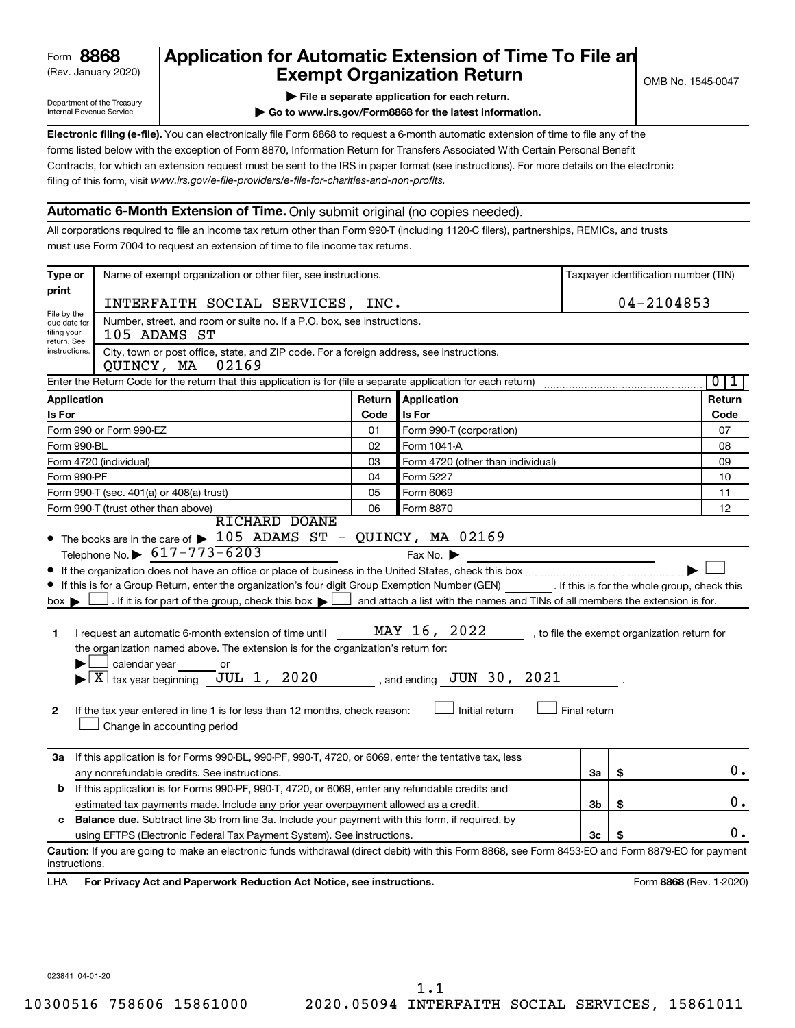# (Rev. January 2020) **Cxempt Organization Return** Manuary 2020) and the settern **Canadian Exempt Organization Return Form 8868 Application for Automatic Extension of Time To File an**<br>**Exempt Organization Return**

Department of the Treasury Internal Revenue Service

|  |  |  |  | File a separate application for each return. |  |
|--|--|--|--|----------------------------------------------|--|
|  |  |  |  |                                              |  |

**| Go to www.irs.gov/Form8868 for the latest information.**

**Electronic filing (e-file).** You can electronically file Form 8868 to request a 6-month automatic extension of time to file any of the filing of this form, visit www.irs.gov/e-file-providers/e-file-for-charities-and-non-profits. forms listed below with the exception of Form 8870, Information Return for Transfers Associated With Certain Personal Benefit Contracts, for which an extension request must be sent to the IRS in paper format (see instructions). For more details on the electronic

## **Automatic 6-Month Extension of Time.** Only submit original (no copies needed).

All corporations required to file an income tax return other than Form 990-T (including 1120-C filers), partnerships, REMICs, and trusts must use Form 7004 to request an extension of time to file income tax returns.

| Type or                                                                                                                              | Name of exempt organization or other filer, see instructions.                                                                                                                                                                                                                                                                                                                                                                                                                                                                                                                                                      |        |                                                                                                                  |              |    | Taxpayer identification number (TIN)         |
|--------------------------------------------------------------------------------------------------------------------------------------|--------------------------------------------------------------------------------------------------------------------------------------------------------------------------------------------------------------------------------------------------------------------------------------------------------------------------------------------------------------------------------------------------------------------------------------------------------------------------------------------------------------------------------------------------------------------------------------------------------------------|--------|------------------------------------------------------------------------------------------------------------------|--------------|----|----------------------------------------------|
| print                                                                                                                                | INTERFAITH SOCIAL SERVICES, INC.                                                                                                                                                                                                                                                                                                                                                                                                                                                                                                                                                                                   |        |                                                                                                                  |              |    | $04 - 2104853$                               |
| File by the<br>Number, street, and room or suite no. If a P.O. box, see instructions.<br>due date for<br>filing your<br>105 ADAMS ST |                                                                                                                                                                                                                                                                                                                                                                                                                                                                                                                                                                                                                    |        |                                                                                                                  |              |    |                                              |
| return. See<br>instructions.                                                                                                         | City, town or post office, state, and ZIP code. For a foreign address, see instructions.<br>02169<br>QUINCY, MA                                                                                                                                                                                                                                                                                                                                                                                                                                                                                                    |        |                                                                                                                  |              |    |                                              |
|                                                                                                                                      | Enter the Return Code for the return that this application is for (file a separate application for each return)                                                                                                                                                                                                                                                                                                                                                                                                                                                                                                    |        |                                                                                                                  |              |    | $\overline{0}$<br>1                          |
| Application                                                                                                                          |                                                                                                                                                                                                                                                                                                                                                                                                                                                                                                                                                                                                                    | Return | Application                                                                                                      |              |    | Return                                       |
| Is For                                                                                                                               |                                                                                                                                                                                                                                                                                                                                                                                                                                                                                                                                                                                                                    | Code   | Is For                                                                                                           |              |    | Code                                         |
|                                                                                                                                      | Form 990 or Form 990-EZ                                                                                                                                                                                                                                                                                                                                                                                                                                                                                                                                                                                            | 01     | Form 990-T (corporation)                                                                                         |              |    | 07                                           |
| Form 990-BL                                                                                                                          |                                                                                                                                                                                                                                                                                                                                                                                                                                                                                                                                                                                                                    | 02     | Form 1041 A                                                                                                      |              |    | 08                                           |
|                                                                                                                                      | Form 4720 (individual)                                                                                                                                                                                                                                                                                                                                                                                                                                                                                                                                                                                             | 03     | Form 4720 (other than individual)                                                                                |              |    | 09                                           |
| Form 990-PF                                                                                                                          |                                                                                                                                                                                                                                                                                                                                                                                                                                                                                                                                                                                                                    | 04     | Form 5227                                                                                                        |              |    | 10                                           |
|                                                                                                                                      | Form 990-T (sec. 401(a) or 408(a) trust)                                                                                                                                                                                                                                                                                                                                                                                                                                                                                                                                                                           | 05     | Form 6069                                                                                                        |              |    | 11                                           |
|                                                                                                                                      | Form 990-T (trust other than above)<br><b>RICHARD DOANE</b>                                                                                                                                                                                                                                                                                                                                                                                                                                                                                                                                                        | 06     | Form 8870                                                                                                        |              |    | 12                                           |
| $box \blacktriangleright$<br>1<br>2                                                                                                  | If this is for a Group Return, enter the organization's four digit Group Exemption Number (GEN) [If this is for the whole group, check this<br>$\Box$ . If it is for part of the group, check this box $\blacktriangleright$<br>I request an automatic 6-month extension of time until<br>the organization named above. The extension is for the organization's return for:<br>calendar year or<br>$\blacktriangleright$ $\boxed{\text{X}}$ tax year beginning JUL 1, 2020 , and ending JUN 30, 2021<br>If the tax year entered in line 1 is for less than 12 months, check reason:<br>Change in accounting period |        | and attach a list with the names and TINs of all members the extension is for.<br>MAY 16, 2022<br>Initial return | Final return |    | , to file the exempt organization return for |
| За                                                                                                                                   | If this application is for Forms 990-BL, 990-PF, 990-T, 4720, or 6069, enter the tentative tax, less                                                                                                                                                                                                                                                                                                                                                                                                                                                                                                               |        |                                                                                                                  |              |    |                                              |
|                                                                                                                                      | any nonrefundable credits. See instructions.                                                                                                                                                                                                                                                                                                                                                                                                                                                                                                                                                                       |        |                                                                                                                  | За           | \$ | $0$ .                                        |
| b                                                                                                                                    | If this application is for Forms 990-PF, 990-T, 4720, or 6069, enter any refundable credits and                                                                                                                                                                                                                                                                                                                                                                                                                                                                                                                    |        |                                                                                                                  | 3b           |    | 0.                                           |
| estimated tax payments made. Include any prior year overpayment allowed as a credit.                                                 |                                                                                                                                                                                                                                                                                                                                                                                                                                                                                                                                                                                                                    |        |                                                                                                                  |              | \$ |                                              |
|                                                                                                                                      | c Balance due. Subtract line 3b from line 3a. Include your payment with this form, if required, by<br>using EFTPS (Electronic Federal Tax Payment System). See instructions.                                                                                                                                                                                                                                                                                                                                                                                                                                       |        |                                                                                                                  | 3c           | S  | 0.                                           |
|                                                                                                                                      |                                                                                                                                                                                                                                                                                                                                                                                                                                                                                                                                                                                                                    |        |                                                                                                                  |              |    |                                              |
| instructions.                                                                                                                        | Caution: If you are going to make an electronic funds withdrawal (direct debit) with this Form 8868, see Form 8453-EO and Form 8879-EO for payment                                                                                                                                                                                                                                                                                                                                                                                                                                                                 |        |                                                                                                                  |              |    |                                              |
| LHA                                                                                                                                  | For Privacy Act and Paperwork Reduction Act Notice, see instructions.                                                                                                                                                                                                                                                                                                                                                                                                                                                                                                                                              |        |                                                                                                                  |              |    | Form 8868 (Rev. 1-2020)                      |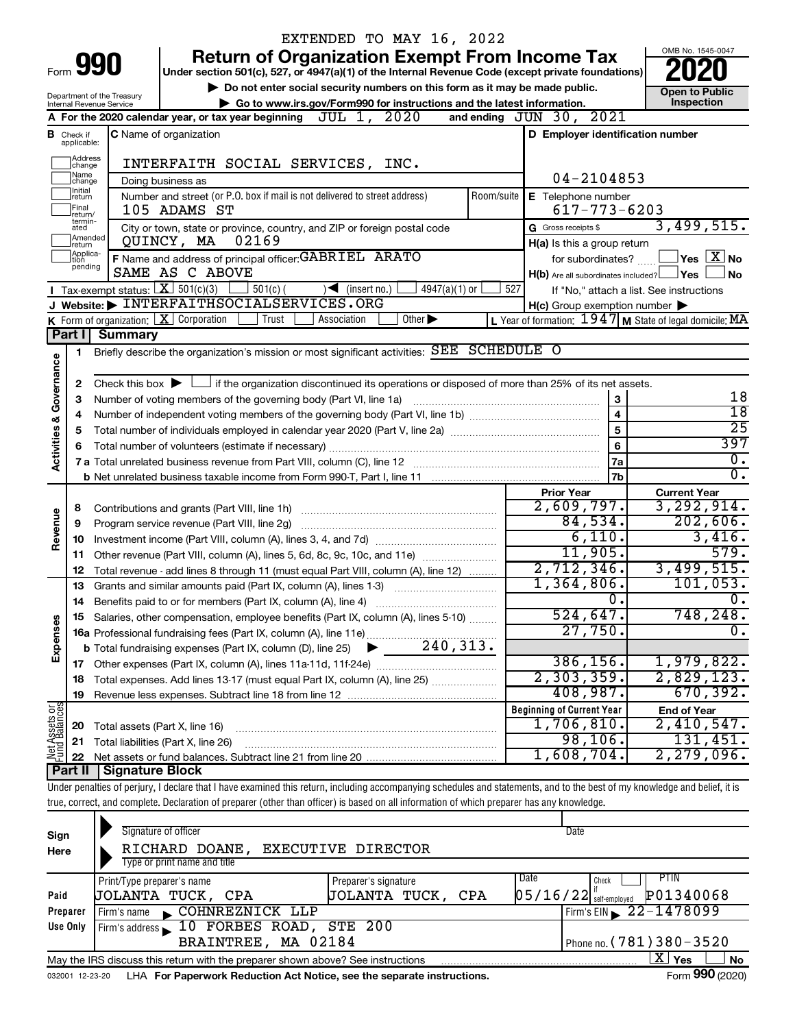|                         |                               |                                                        | EXTENDED TO MAY 16, 2022                                                                                                                                                   |                             |            |                                                             |                                                           |
|-------------------------|-------------------------------|--------------------------------------------------------|----------------------------------------------------------------------------------------------------------------------------------------------------------------------------|-----------------------------|------------|-------------------------------------------------------------|-----------------------------------------------------------|
|                         |                               |                                                        | <b>Return of Organization Exempt From Income Tax</b>                                                                                                                       |                             |            |                                                             | OMB No. 1545-0047                                         |
|                         |                               | Form 990                                               | Under section 501(c), 527, or 4947(a)(1) of the Internal Revenue Code (except private foundations)                                                                         |                             |            |                                                             |                                                           |
|                         |                               |                                                        | Do not enter social security numbers on this form as it may be made public.                                                                                                |                             |            |                                                             | <b>Open to Public</b>                                     |
|                         |                               | Department of the Treasury<br>Internal Revenue Service | ► Go to www.irs.gov/Form990 for instructions and the latest information.                                                                                                   |                             |            |                                                             | Inspection                                                |
|                         |                               | A For the 2020 calendar year, or tax year beginning    |                                                                                                                                                                            |                             |            |                                                             |                                                           |
|                         | <b>B</b> Check if applicable: |                                                        | <b>C</b> Name of organization                                                                                                                                              |                             |            | and ending JUN 30, 2021<br>D Employer identification number |                                                           |
|                         |                               |                                                        |                                                                                                                                                                            |                             |            |                                                             |                                                           |
|                         | Address<br> change            |                                                        | INTERFAITH SOCIAL SERVICES, INC.                                                                                                                                           |                             |            |                                                             |                                                           |
|                         | Name<br>change                |                                                        | Doing business as                                                                                                                                                          |                             |            | 04-2104853                                                  |                                                           |
|                         | Ilnitial<br>return            |                                                        | Number and street (or P.O. box if mail is not delivered to street address)                                                                                                 |                             | Room/suite | E Telephone number                                          |                                                           |
|                         | Final<br>return/              |                                                        | 105 ADAMS ST                                                                                                                                                               |                             |            | $617 - 773 - 6203$                                          |                                                           |
|                         | termin-<br>ated               |                                                        | City or town, state or province, country, and ZIP or foreign postal code                                                                                                   |                             |            | G Gross receipts \$                                         | 3,499,515.                                                |
|                         | Amended<br>Ireturn            |                                                        | 02169<br>QUINCY, MA                                                                                                                                                        |                             |            | H(a) Is this a group return                                 |                                                           |
|                         | Applica-<br>ltion             |                                                        | F Name and address of principal officer: GABRIEL ARATO                                                                                                                     |                             |            | for subordinates?                                           | $\Box$ Yes $~\boxtimes~$ No                               |
|                         | pending                       |                                                        | SAME AS C ABOVE                                                                                                                                                            |                             |            | $H(b)$ Are all subordinates included? $\Box$ Yes            | ∣ No                                                      |
|                         |                               |                                                        | Tax-exempt status: $X \overline{X}$ 501(c)(3)<br>$501(c)$ (<br>$\sqrt{\frac{1}{1}}$ (insert no.)                                                                           | $4947(a)(1)$ or             | 527        |                                                             | If "No," attach a list. See instructions                  |
|                         |                               |                                                        | J Website: > INTERFAITHSOCIALSERVICES.ORG                                                                                                                                  |                             |            | $H(c)$ Group exemption number $\blacktriangleright$         |                                                           |
|                         |                               |                                                        | K Form of organization: $X$ Corporation<br>Trust<br>Association                                                                                                            | Other $\blacktriangleright$ |            |                                                             | L Year of formation: $1947$ M State of legal domicile: MA |
|                         | Part I                        | <b>Summary</b>                                         |                                                                                                                                                                            |                             |            |                                                             |                                                           |
|                         | 1                             |                                                        | Briefly describe the organization's mission or most significant activities: SEE SCHEDULE O                                                                                 |                             |            |                                                             |                                                           |
| Governance              |                               |                                                        |                                                                                                                                                                            |                             |            |                                                             |                                                           |
|                         | 2                             |                                                        | Check this box $\blacktriangleright$ $\Box$ if the organization discontinued its operations or disposed of more than 25% of its net assets.                                |                             |            |                                                             |                                                           |
|                         | 3                             |                                                        | Number of voting members of the governing body (Part VI, line 1a)                                                                                                          |                             |            | 3                                                           | 18                                                        |
|                         | 4                             |                                                        |                                                                                                                                                                            |                             |            | $\overline{\mathbf{4}}$                                     | $\overline{18}$                                           |
|                         | 5                             |                                                        |                                                                                                                                                                            |                             |            | $\overline{5}$                                              | $\overline{25}$                                           |
| <b>Activities &amp;</b> | 6                             |                                                        |                                                                                                                                                                            |                             |            | $6\phantom{1}6$                                             | 397                                                       |
|                         |                               |                                                        |                                                                                                                                                                            |                             |            | <b>7a</b>                                                   | $\overline{0}$ .                                          |
|                         |                               |                                                        |                                                                                                                                                                            |                             |            | 7b                                                          | $\overline{0}$ .                                          |
|                         |                               |                                                        |                                                                                                                                                                            |                             |            | <b>Prior Year</b>                                           | <b>Current Year</b>                                       |
|                         | 8                             |                                                        |                                                                                                                                                                            |                             |            | 2,609,797.                                                  | 3, 292, 914.                                              |
| Revenue                 | 9                             |                                                        | Program service revenue (Part VIII, line 2g)                                                                                                                               |                             |            | 84,534.                                                     | 202,606.                                                  |
|                         | 10                            |                                                        |                                                                                                                                                                            |                             |            | 6,110.                                                      | 3,416.                                                    |
|                         | 11                            |                                                        | Other revenue (Part VIII, column (A), lines 5, 6d, 8c, 9c, 10c, and 11e)                                                                                                   |                             |            | 11,905.                                                     | 579.                                                      |
|                         | 12                            |                                                        | Total revenue - add lines 8 through 11 (must equal Part VIII, column (A), line 12)                                                                                         |                             |            | 2,712,346.                                                  | 3,499,515.                                                |
|                         | 13                            |                                                        | Grants and similar amounts paid (Part IX, column (A), lines 1-3)                                                                                                           |                             |            | 1,364,806.                                                  | 101,053.                                                  |
|                         | 14                            |                                                        |                                                                                                                                                                            |                             |            | 0.                                                          | $\overline{0}$ .                                          |
|                         |                               |                                                        | Salaries, other compensation, employee benefits (Part IX, column (A), lines 5-10)                                                                                          |                             |            | 524,647.                                                    | 748,248.                                                  |
|                         |                               |                                                        | 16a Professional fundraising fees (Part IX, column (A), line 11e)                                                                                                          |                             |            | 27,750.                                                     | $\overline{0}$ .                                          |
| Expenses                |                               |                                                        | <b>b</b> Total fundraising expenses (Part IX, column (D), line 25)                                                                                                         | 240, 313.                   |            |                                                             |                                                           |
|                         |                               |                                                        |                                                                                                                                                                            |                             |            | 386, 156.                                                   | 1,979,822.                                                |
|                         | 18                            |                                                        |                                                                                                                                                                            |                             |            | 2,303,359.                                                  | 2,829,123.                                                |
|                         | 19                            |                                                        |                                                                                                                                                                            |                             |            | $408,987$ .                                                 | 670, 392.                                                 |
| Net Assets or           |                               |                                                        |                                                                                                                                                                            |                             |            | <b>Beginning of Current Year</b>                            | <b>End of Year</b>                                        |
|                         | 20                            | Total assets (Part X, line 16)                         |                                                                                                                                                                            |                             |            | 1,706,810.                                                  | 2,410,547.                                                |
|                         | 21                            |                                                        | Total liabilities (Part X, line 26)                                                                                                                                        |                             |            | 98,106.<br>1,608,704.                                       | 131,451.<br>2,279,096.                                    |
|                         | 22                            | Signature Block                                        |                                                                                                                                                                            |                             |            |                                                             |                                                           |
|                         | <b>Part II</b>                |                                                        |                                                                                                                                                                            |                             |            |                                                             |                                                           |
|                         |                               |                                                        | Under penalties of perjury, I declare that I have examined this return, including accompanying schedules and statements, and to the best of my knowledge and belief, it is |                             |            |                                                             |                                                           |
|                         |                               |                                                        | true, correct, and complete. Declaration of preparer (other than officer) is based on all information of which preparer has any knowledge.                                 |                             |            |                                                             |                                                           |
|                         |                               |                                                        | Signature of officer                                                                                                                                                       |                             |            | Date                                                        |                                                           |
| Sign                    |                               |                                                        | RICHARD DOANE, EXECUTIVE DIRECTOR                                                                                                                                          |                             |            |                                                             |                                                           |
| Here                    |                               |                                                        | Type or print name and title                                                                                                                                               |                             |            |                                                             |                                                           |
|                         |                               |                                                        |                                                                                                                                                                            |                             |            | Date<br>Check                                               | PTIN                                                      |
| Paid                    |                               | Print/Type preparer's name                             | Preparer's signature<br>JOLANTA TUCK, CPA                                                                                                                                  | JOLANTA TUCK, CPA           |            | $05/16/22$ self-employed                                    | P01340068                                                 |
|                         | Preparer                      |                                                        | Firm's name COHNREZNICK LLP                                                                                                                                                |                             |            |                                                             | 22-1478099                                                |
|                         | Use Only                      |                                                        | Firm's address 10 FORBES ROAD,<br><b>STE 200</b>                                                                                                                           |                             |            | Firm's EIN                                                  |                                                           |
|                         |                               |                                                        |                                                                                                                                                                            |                             |            |                                                             |                                                           |

|                 | May the IRS discuss this return with the preparer shown above? See instructions | -41 |  | No     |
|-----------------|---------------------------------------------------------------------------------|-----|--|--------|
| 032001 12-23-20 | LHA For Paperwork Reduction Act Notice, see the separate instructions.          |     |  | (2020) |

10 FORBES ROAD, STE 200

Phone no.

BRAINTREE, MA 02184 (Phone no. (781)380-3520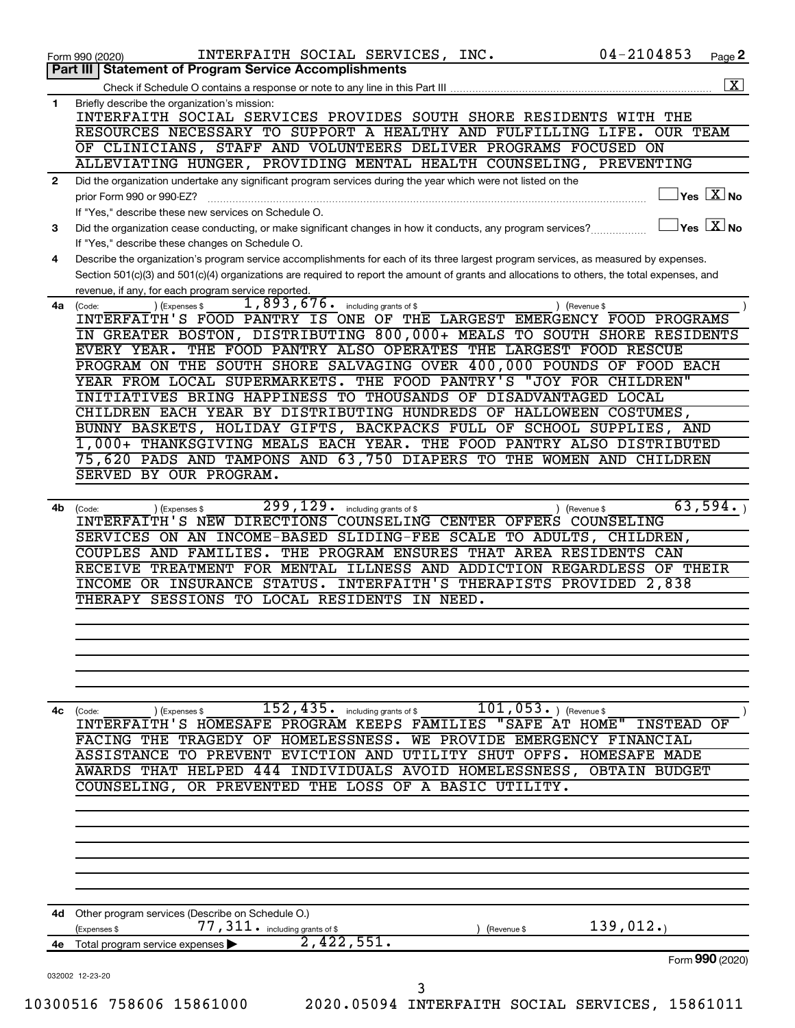| 1<br>$\mathbf{2}$ | <b>Statement of Program Service Accomplishments</b><br>Part III<br>Briefly describe the organization's mission:<br>INTERFAITH SOCIAL SERVICES PROVIDES SOUTH SHORE RESIDENTS WITH THE<br>RESOURCES NECESSARY TO SUPPORT A HEALTHY AND FULFILLING LIFE. OUR TEAM |  |
|-------------------|-----------------------------------------------------------------------------------------------------------------------------------------------------------------------------------------------------------------------------------------------------------------|--|
|                   |                                                                                                                                                                                                                                                                 |  |
|                   |                                                                                                                                                                                                                                                                 |  |
|                   |                                                                                                                                                                                                                                                                 |  |
|                   | OF CLINICIANS, STAFF AND VOLUNTEERS DELIVER PROGRAMS FOCUSED ON<br>ALLEVIATING HUNGER, PROVIDING MENTAL HEALTH COUNSELING, PREVENTING                                                                                                                           |  |
|                   | Did the organization undertake any significant program services during the year which were not listed on the<br>$\mathsf{Yes} \mathrel{\overline{X}} \mathsf{No}$                                                                                               |  |
|                   | prior Form 990 or 990-EZ?<br>If "Yes," describe these new services on Schedule O.                                                                                                                                                                               |  |
| 3                 | $\mathsf{Yes}\ \overline{\mathbf{X}}\mathsf{No}$<br>Did the organization cease conducting, or make significant changes in how it conducts, any program services?                                                                                                |  |
| 4                 | If "Yes," describe these changes on Schedule O.<br>Describe the organization's program service accomplishments for each of its three largest program services, as measured by expenses.                                                                         |  |
|                   | Section 501(c)(3) and 501(c)(4) organizations are required to report the amount of grants and allocations to others, the total expenses, and                                                                                                                    |  |
| 4a                | revenue, if any, for each program service reported.<br>1,893,676.<br>including grants of \$<br>(Expenses \$<br>) (Revenue \$<br>(Code:                                                                                                                          |  |
|                   | INTERFAITH'S FOOD PANTRY IS ONE OF THE LARGEST EMERGENCY FOOD PROGRAMS                                                                                                                                                                                          |  |
|                   | IN GREATER BOSTON, DISTRIBUTING 800,000+ MEALS TO SOUTH SHORE RESIDENTS<br>EVERY YEAR. THE FOOD PANTRY ALSO OPERATES THE LARGEST FOOD RESCUE                                                                                                                    |  |
|                   | PROGRAM ON THE SOUTH SHORE SALVAGING OVER 400,000 POUNDS OF FOOD EACH                                                                                                                                                                                           |  |
|                   | YEAR FROM LOCAL SUPERMARKETS. THE FOOD PANTRY'S "JOY FOR CHILDREN"                                                                                                                                                                                              |  |
|                   | INITIATIVES BRING HAPPINESS TO THOUSANDS OF DISADVANTAGED LOCAL                                                                                                                                                                                                 |  |
|                   | CHILDREN EACH YEAR BY DISTRIBUTING HUNDREDS OF HALLOWEEN COSTUMES,<br>BUNNY BASKETS, HOLIDAY GIFTS, BACKPACKS FULL OF SCHOOL SUPPLIES, AND                                                                                                                      |  |
|                   | 1,000+ THANKSGIVING MEALS EACH YEAR. THE FOOD PANTRY ALSO DISTRIBUTED                                                                                                                                                                                           |  |
|                   | 75,620 PADS AND TAMPONS AND 63,750 DIAPERS TO THE WOMEN AND CHILDREN                                                                                                                                                                                            |  |
|                   | SERVED BY OUR PROGRAM.                                                                                                                                                                                                                                          |  |
| 4b                | 63,594.<br>299, 129.<br>including grants of \$<br>(Revenue \$<br>(Code:<br>) (Expenses \$<br>INTERFAITH'S NEW DIRECTIONS COUNSELING CENTER OFFERS COUNSELING                                                                                                    |  |
|                   | SERVICES ON AN INCOME-BASED SLIDING-FEE SCALE TO ADULTS, CHILDREN,                                                                                                                                                                                              |  |
|                   | COUPLES AND FAMILIES. THE PROGRAM ENSURES THAT AREA RESIDENTS CAN                                                                                                                                                                                               |  |
|                   | RECEIVE TREATMENT FOR MENTAL ILLNESS AND ADDICTION REGARDLESS OF THEIR                                                                                                                                                                                          |  |
|                   | INCOME OR INSURANCE STATUS. INTERFAITH'S THERAPISTS PROVIDED 2,838<br>THERAPY SESSIONS TO LOCAL RESIDENTS<br>IN NEED.                                                                                                                                           |  |
|                   |                                                                                                                                                                                                                                                                 |  |
|                   |                                                                                                                                                                                                                                                                 |  |
|                   |                                                                                                                                                                                                                                                                 |  |
|                   |                                                                                                                                                                                                                                                                 |  |
|                   | $101, 053$ . (Revenue \$<br>$152$ , $435$ . including grants of \$<br>4c (Code:<br>) (Expenses \$                                                                                                                                                               |  |
|                   | INTERFAITH'S HOMESAFE PROGRAM KEEPS FAMILIES "SAFE AT HOME"<br>INSTEAD<br>FACING THE TRAGEDY OF HOMELESSNESS. WE PROVIDE EMERGENCY FINANCIAL                                                                                                                    |  |
|                   | ASSISTANCE TO PREVENT EVICTION AND UTILITY SHUT OFFS. HOMESAFE MADE                                                                                                                                                                                             |  |
|                   | AWARDS THAT HELPED 444 INDIVIDUALS AVOID HOMELESSNESS, OBTAIN BUDGET                                                                                                                                                                                            |  |
|                   | COUNSELING, OR PREVENTED THE LOSS OF A BASIC UTILITY.                                                                                                                                                                                                           |  |
|                   |                                                                                                                                                                                                                                                                 |  |
|                   |                                                                                                                                                                                                                                                                 |  |
|                   |                                                                                                                                                                                                                                                                 |  |
|                   |                                                                                                                                                                                                                                                                 |  |
| 4d                | Other program services (Describe on Schedule O.)<br>139,012.<br>77, 311. including grants of \$                                                                                                                                                                 |  |
| 4e                | (Expenses \$<br>(Revenue \$<br>2,422,551.<br>Total program service expenses                                                                                                                                                                                     |  |
|                   | Form 990 (2020)<br>032002 12-23-20                                                                                                                                                                                                                              |  |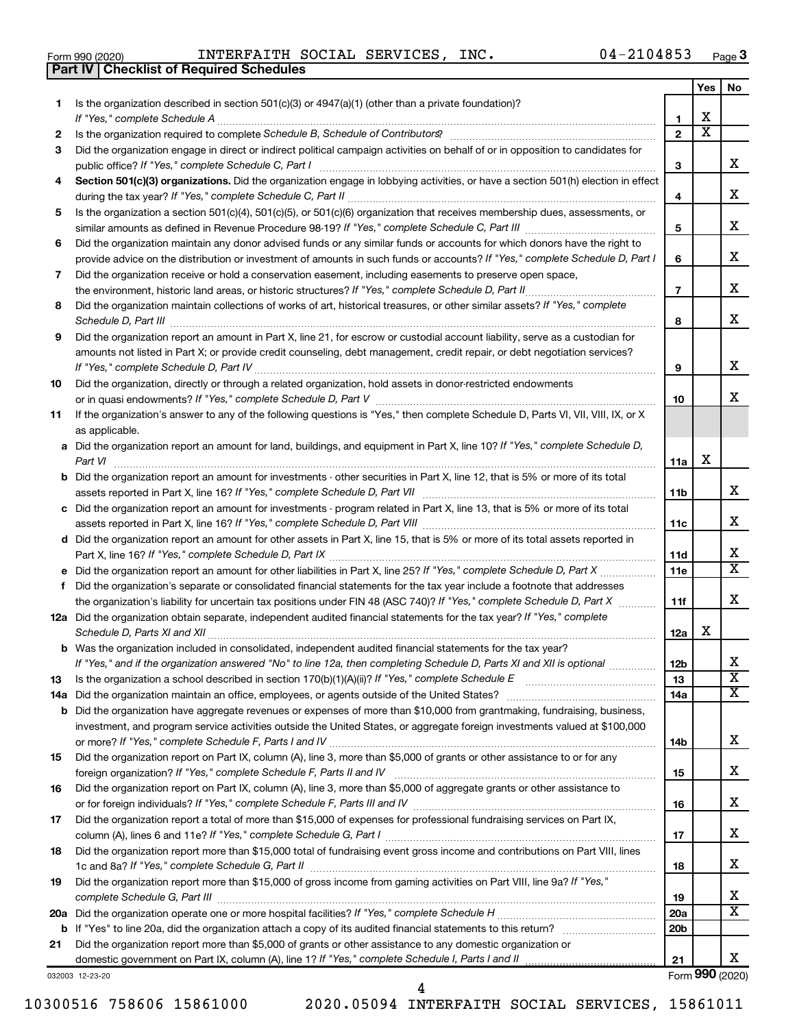| Form 990 (2020) | INTERFAITH S                                     |  |
|-----------------|--------------------------------------------------|--|
|                 | <b>Part IV   Checklist of Required Schedules</b> |  |

Form 990 (2020)  ${\tt INTERFAITH}$  SOCIAL SERVICES,  ${\tt INC.}$  04-2104853  ${\tt Page}$ 

|    |                                                                                                                                                                 |                 | Yes                     | No                      |
|----|-----------------------------------------------------------------------------------------------------------------------------------------------------------------|-----------------|-------------------------|-------------------------|
| 1  | Is the organization described in section 501(c)(3) or $4947(a)(1)$ (other than a private foundation)?                                                           |                 |                         |                         |
|    | If "Yes." complete Schedule A                                                                                                                                   | 1               | х                       |                         |
| 2  | Is the organization required to complete Schedule B, Schedule of Contributors? [11] the organization required to complete Schedule B, Schedule of Contributors? | $\overline{2}$  | $\overline{\textbf{x}}$ |                         |
| З  | Did the organization engage in direct or indirect political campaign activities on behalf of or in opposition to candidates for                                 |                 |                         |                         |
|    |                                                                                                                                                                 | З               |                         | x                       |
| 4  | Section 501(c)(3) organizations. Did the organization engage in lobbying activities, or have a section 501(h) election in effect                                |                 |                         |                         |
|    |                                                                                                                                                                 | 4               |                         | x                       |
| 5  | Is the organization a section 501(c)(4), 501(c)(5), or 501(c)(6) organization that receives membership dues, assessments, or                                    |                 |                         |                         |
|    |                                                                                                                                                                 | 5               |                         | x                       |
| 6  | Did the organization maintain any donor advised funds or any similar funds or accounts for which donors have the right to                                       |                 |                         |                         |
|    | provide advice on the distribution or investment of amounts in such funds or accounts? If "Yes," complete Schedule D, Part I                                    | 6               |                         | x                       |
| 7  | Did the organization receive or hold a conservation easement, including easements to preserve open space,                                                       |                 |                         |                         |
|    | the environment, historic land areas, or historic structures? If "Yes," complete Schedule D, Part II                                                            | $\overline{7}$  |                         | x                       |
| 8  | Did the organization maintain collections of works of art, historical treasures, or other similar assets? If "Yes," complete                                    |                 |                         |                         |
|    |                                                                                                                                                                 | 8               |                         | x                       |
| 9  | Did the organization report an amount in Part X, line 21, for escrow or custodial account liability, serve as a custodian for                                   |                 |                         |                         |
|    | amounts not listed in Part X; or provide credit counseling, debt management, credit repair, or debt negotiation services?                                       |                 |                         |                         |
|    |                                                                                                                                                                 | 9               |                         | x                       |
| 10 | Did the organization, directly or through a related organization, hold assets in donor-restricted endowments                                                    |                 |                         |                         |
|    |                                                                                                                                                                 | 10              |                         | x                       |
| 11 | If the organization's answer to any of the following questions is "Yes," then complete Schedule D, Parts VI, VII, VIII, IX, or X                                |                 |                         |                         |
|    | as applicable.                                                                                                                                                  |                 |                         |                         |
|    | a Did the organization report an amount for land, buildings, and equipment in Part X, line 10? If "Yes," complete Schedule D,                                   |                 |                         |                         |
|    | Part VI                                                                                                                                                         | 11a             | х                       |                         |
|    | <b>b</b> Did the organization report an amount for investments - other securities in Part X, line 12, that is 5% or more of its total                           |                 |                         |                         |
|    |                                                                                                                                                                 | 11b             |                         | X                       |
|    | c Did the organization report an amount for investments - program related in Part X, line 13, that is 5% or more of its total                                   |                 |                         |                         |
|    |                                                                                                                                                                 | 11c             |                         | х                       |
|    | d Did the organization report an amount for other assets in Part X, line 15, that is 5% or more of its total assets reported in                                 |                 |                         |                         |
|    |                                                                                                                                                                 | 11d             |                         | x                       |
|    | e Did the organization report an amount for other liabilities in Part X, line 25? If "Yes," complete Schedule D, Part X                                         | 11e             |                         | X                       |
| f  | Did the organization's separate or consolidated financial statements for the tax year include a footnote that addresses                                         |                 |                         |                         |
|    | the organization's liability for uncertain tax positions under FIN 48 (ASC 740)? If "Yes," complete Schedule D, Part X                                          | 11f             |                         | x                       |
|    | 12a Did the organization obtain separate, independent audited financial statements for the tax year? If "Yes," complete                                         |                 |                         |                         |
|    | Schedule D, Parts XI and XII                                                                                                                                    | 12a             | х                       |                         |
|    | <b>b</b> Was the organization included in consolidated, independent audited financial statements for the tax year?                                              |                 |                         |                         |
|    | If "Yes," and if the organization answered "No" to line 12a, then completing Schedule D, Parts XI and XII is optional                                           | 12D             |                         | 4                       |
| 13 |                                                                                                                                                                 | 13              |                         | $\overline{\mathbf{X}}$ |
|    | 14a Did the organization maintain an office, employees, or agents outside of the United States?                                                                 | 14a             |                         | х                       |
|    | <b>b</b> Did the organization have aggregate revenues or expenses of more than \$10,000 from grantmaking, fundraising, business,                                |                 |                         |                         |
|    | investment, and program service activities outside the United States, or aggregate foreign investments valued at \$100,000                                      |                 |                         |                         |
|    |                                                                                                                                                                 | 14b             |                         | x                       |
| 15 | Did the organization report on Part IX, column (A), line 3, more than \$5,000 of grants or other assistance to or for any                                       |                 |                         |                         |
|    |                                                                                                                                                                 | 15              |                         | х                       |
| 16 | Did the organization report on Part IX, column (A), line 3, more than \$5,000 of aggregate grants or other assistance to                                        |                 |                         |                         |
|    |                                                                                                                                                                 | 16              |                         | х                       |
| 17 | Did the organization report a total of more than \$15,000 of expenses for professional fundraising services on Part IX,                                         |                 |                         |                         |
|    |                                                                                                                                                                 | 17              |                         | х                       |
| 18 | Did the organization report more than \$15,000 total of fundraising event gross income and contributions on Part VIII, lines                                    |                 |                         |                         |
|    |                                                                                                                                                                 | 18              |                         | x                       |
| 19 | Did the organization report more than \$15,000 of gross income from gaming activities on Part VIII, line 9a? If "Yes,"                                          |                 |                         |                         |
|    |                                                                                                                                                                 | 19              |                         | х                       |
|    |                                                                                                                                                                 | 20a             |                         | X                       |
|    |                                                                                                                                                                 | 20 <sub>b</sub> |                         |                         |
| 21 | Did the organization report more than \$5,000 of grants or other assistance to any domestic organization or                                                     |                 |                         |                         |
|    |                                                                                                                                                                 | 21              |                         | x                       |
|    | 032003 12-23-20                                                                                                                                                 |                 |                         | Form 990 (2020)         |

10300516 758606 15861000 2020.05094 INTERFAITH SOCIAL SERVICES, 15861011

4

Form (2020) **990**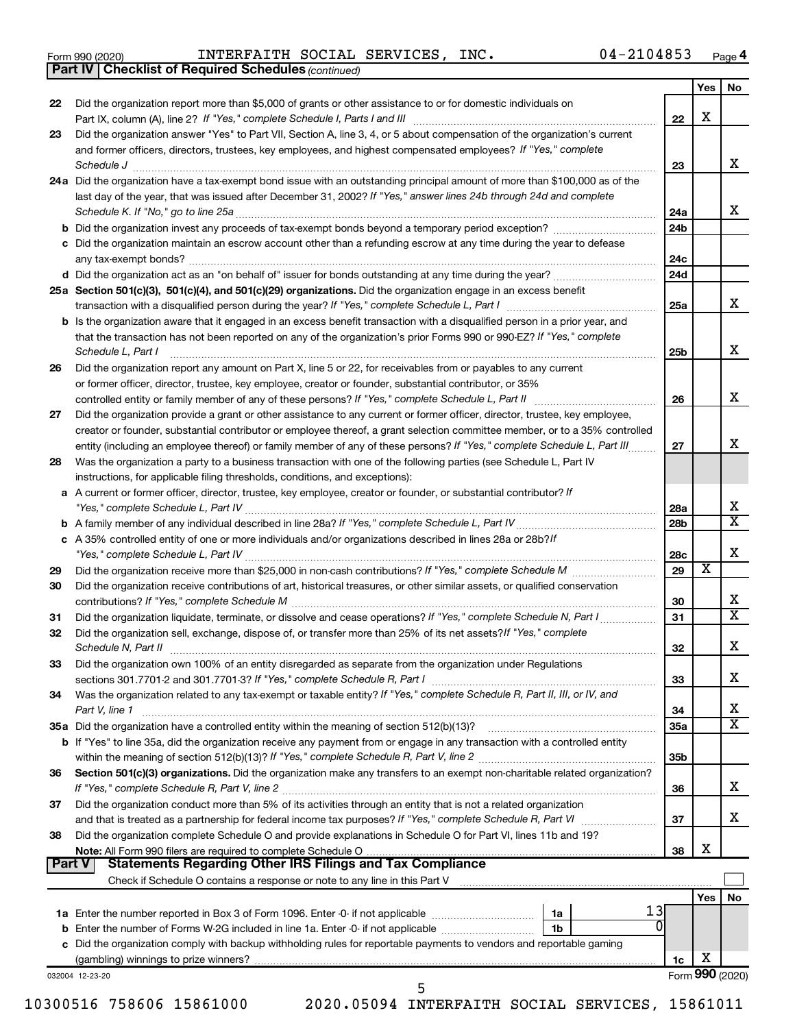|  | Form 990 (2020) |
|--|-----------------|
|  |                 |

*(continued)* **Part IV Checklist of Required Schedules**

Form 990 (2020)  ${\tt INTERFAITH}$  SOCIAL SERVICES,  ${\tt INC.}$  04-2104853  ${\tt Page}$ 

|        | $\frac{1}{2}$ . Surface $\frac{1}{2}$                                                                                                                                                                                              |                 |                         |                         |
|--------|------------------------------------------------------------------------------------------------------------------------------------------------------------------------------------------------------------------------------------|-----------------|-------------------------|-------------------------|
|        |                                                                                                                                                                                                                                    |                 | Yes                     | No                      |
| 22     | Did the organization report more than \$5,000 of grants or other assistance to or for domestic individuals on                                                                                                                      | 22              | х                       |                         |
| 23     | Did the organization answer "Yes" to Part VII, Section A, line 3, 4, or 5 about compensation of the organization's current                                                                                                         |                 |                         |                         |
|        | and former officers, directors, trustees, key employees, and highest compensated employees? If "Yes," complete                                                                                                                     |                 |                         |                         |
|        | Schedule J <b>Execute J Execute Contract Contract Contract Contract Contract Contract Contract Contract Contract Contract Contract Contract Contract Contract Contract Contract Contract Contract Contract Contract Contract C</b> | 23              |                         | х                       |
|        | 24a Did the organization have a tax-exempt bond issue with an outstanding principal amount of more than \$100,000 as of the                                                                                                        |                 |                         |                         |
|        | last day of the year, that was issued after December 31, 2002? If "Yes," answer lines 24b through 24d and complete                                                                                                                 |                 |                         |                         |
|        |                                                                                                                                                                                                                                    | 24a             |                         | х                       |
|        |                                                                                                                                                                                                                                    | 24b             |                         |                         |
|        | c Did the organization maintain an escrow account other than a refunding escrow at any time during the year to defease                                                                                                             |                 |                         |                         |
|        |                                                                                                                                                                                                                                    | 24c             |                         |                         |
|        |                                                                                                                                                                                                                                    | 24d             |                         |                         |
|        | 25a Section 501(c)(3), 501(c)(4), and 501(c)(29) organizations. Did the organization engage in an excess benefit                                                                                                                   |                 |                         |                         |
|        |                                                                                                                                                                                                                                    | 25a             |                         | х                       |
|        | <b>b</b> Is the organization aware that it engaged in an excess benefit transaction with a disqualified person in a prior year, and                                                                                                |                 |                         |                         |
|        | that the transaction has not been reported on any of the organization's prior Forms 990 or 990-EZ? If "Yes," complete                                                                                                              |                 |                         |                         |
|        | Schedule L, Part I                                                                                                                                                                                                                 | 25b             |                         | х                       |
| 26     | Did the organization report any amount on Part X, line 5 or 22, for receivables from or payables to any current                                                                                                                    |                 |                         |                         |
|        | or former officer, director, trustee, key employee, creator or founder, substantial contributor, or 35%                                                                                                                            |                 |                         |                         |
|        | controlled entity or family member of any of these persons? If "Yes," complete Schedule L, Part II                                                                                                                                 | 26              |                         | х                       |
| 27     | Did the organization provide a grant or other assistance to any current or former officer, director, trustee, key employee,                                                                                                        |                 |                         |                         |
|        | creator or founder, substantial contributor or employee thereof, a grant selection committee member, or to a 35% controlled                                                                                                        |                 |                         |                         |
|        | entity (including an employee thereof) or family member of any of these persons? If "Yes," complete Schedule L, Part III                                                                                                           | 27              |                         | х                       |
| 28     | Was the organization a party to a business transaction with one of the following parties (see Schedule L, Part IV                                                                                                                  |                 |                         |                         |
|        | instructions, for applicable filing thresholds, conditions, and exceptions):                                                                                                                                                       |                 |                         |                         |
| a      | A current or former officer, director, trustee, key employee, creator or founder, or substantial contributor? If                                                                                                                   |                 |                         | x                       |
|        | "Yes," complete Schedule L, Part IV                                                                                                                                                                                                | 28a             |                         | $\overline{\mathbf{X}}$ |
|        |                                                                                                                                                                                                                                    | 28 <sub>b</sub> |                         |                         |
|        | c A 35% controlled entity of one or more individuals and/or organizations described in lines 28a or 28b?If                                                                                                                         | 28c             |                         | х                       |
| 29     |                                                                                                                                                                                                                                    | 29              | $\overline{\textbf{x}}$ |                         |
| 30     | Did the organization receive contributions of art, historical treasures, or other similar assets, or qualified conservation                                                                                                        |                 |                         |                         |
|        |                                                                                                                                                                                                                                    | 30              |                         | х                       |
| 31     | Did the organization liquidate, terminate, or dissolve and cease operations? If "Yes," complete Schedule N, Part I                                                                                                                 | 31              |                         | $\mathbf x$             |
| 32     | Did the organization sell, exchange, dispose of, or transfer more than 25% of its net assets? If "Yes," complete                                                                                                                   |                 |                         |                         |
|        | Schedule N, Part II                                                                                                                                                                                                                | 32              |                         | х                       |
| 33     | Did the organization own 100% of an entity disregarded as separate from the organization under Regulations                                                                                                                         |                 |                         |                         |
|        | sections 301.7701-2 and 301.7701-3? If "Yes," complete Schedule R, Part I                                                                                                                                                          | 33              |                         | х                       |
| 34     | Was the organization related to any tax-exempt or taxable entity? If "Yes," complete Schedule R, Part II, III, or IV, and                                                                                                          |                 |                         |                         |
|        | Part V, line 1                                                                                                                                                                                                                     | 34              |                         | х                       |
|        | 35a Did the organization have a controlled entity within the meaning of section 512(b)(13)?                                                                                                                                        | 35a             |                         | $\overline{\mathbf{X}}$ |
|        | <b>b</b> If "Yes" to line 35a, did the organization receive any payment from or engage in any transaction with a controlled entity                                                                                                 |                 |                         |                         |
|        |                                                                                                                                                                                                                                    | 35 <sub>b</sub> |                         |                         |
| 36     | Section 501(c)(3) organizations. Did the organization make any transfers to an exempt non-charitable related organization?                                                                                                         |                 |                         |                         |
|        | If "Yes," complete Schedule R, Part V, line 2                                                                                                                                                                                      | 36              |                         | х                       |
| 37     | Did the organization conduct more than 5% of its activities through an entity that is not a related organization                                                                                                                   |                 |                         |                         |
|        |                                                                                                                                                                                                                                    | 37              |                         | х                       |
| 38     | Did the organization complete Schedule O and provide explanations in Schedule O for Part VI, lines 11b and 19?                                                                                                                     |                 |                         |                         |
|        | Note: All Form 990 filers are required to complete Schedule O.                                                                                                                                                                     | 38              | х                       |                         |
| Part V | <b>Statements Regarding Other IRS Filings and Tax Compliance</b>                                                                                                                                                                   |                 |                         |                         |
|        |                                                                                                                                                                                                                                    |                 |                         |                         |
|        |                                                                                                                                                                                                                                    |                 | Yes                     | No                      |
|        | 13<br><b>1a</b> Enter the number reported in Box 3 of Form 1096. Enter -0- if not applicable <i>manumumumum</i><br>1a                                                                                                              |                 |                         |                         |
|        | 1 <sub>b</sub>                                                                                                                                                                                                                     |                 |                         |                         |
|        | c Did the organization comply with backup withholding rules for reportable payments to vendors and reportable gaming                                                                                                               |                 | х                       |                         |
|        |                                                                                                                                                                                                                                    | 1c              |                         | Form 990 (2020)         |
|        | 032004 12-23-20<br>5                                                                                                                                                                                                               |                 |                         |                         |
|        |                                                                                                                                                                                                                                    |                 |                         |                         |

10300516 758606 15861000 2020.05094 INTERFAITH SOCIAL SERVICES, 15861011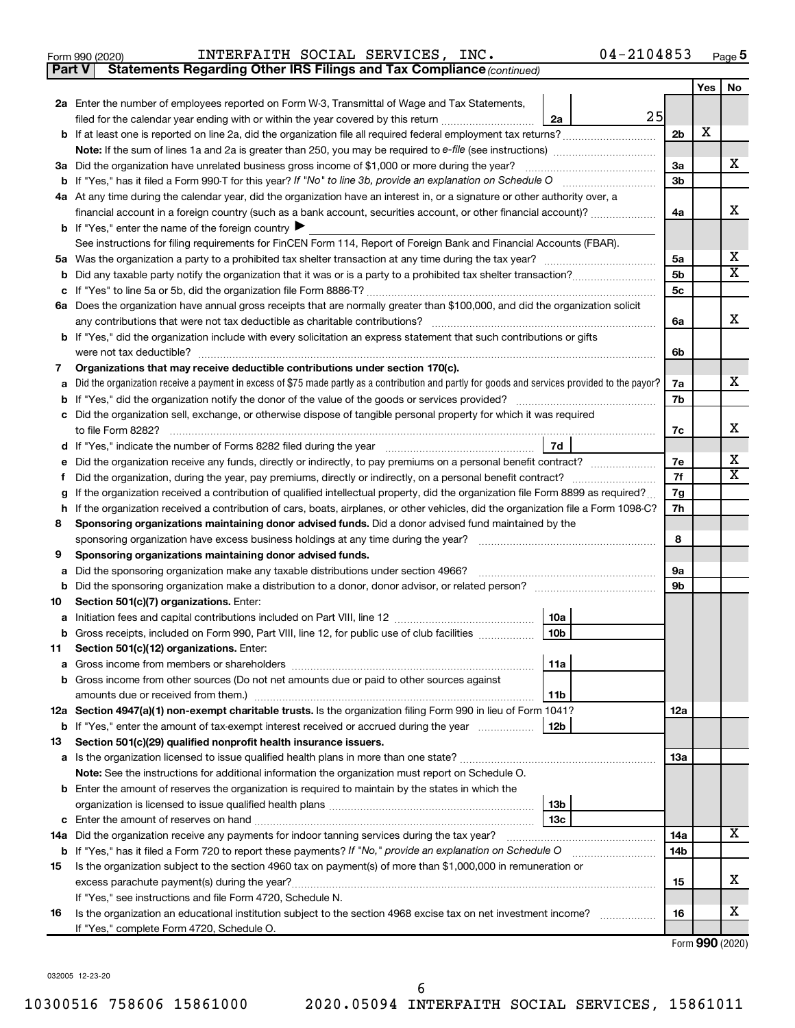| Form 990 (2020) |  | INTERFAITH SOCIAL SERVICES, |  |  | INC. | $04 - 2104853$ | Page |  |
|-----------------|--|-----------------------------|--|--|------|----------------|------|--|
|-----------------|--|-----------------------------|--|--|------|----------------|------|--|

**Part V Statements Regarding Other IRS Filings and Tax Compliance**

*(continued)*

|    |                                                                                                                                                 |                | Yes | No                      |  |  |
|----|-------------------------------------------------------------------------------------------------------------------------------------------------|----------------|-----|-------------------------|--|--|
|    | 2a Enter the number of employees reported on Form W-3, Transmittal of Wage and Tax Statements,                                                  |                |     |                         |  |  |
|    | 25<br>filed for the calendar year ending with or within the year covered by this return<br>2a                                                   |                |     |                         |  |  |
|    |                                                                                                                                                 | 2b             | х   |                         |  |  |
|    | <b>Note:</b> If the sum of lines 1a and 2a is greater than 250, you may be required to e-file (see instructions) <i>manumanous</i>              |                |     |                         |  |  |
|    | 3a Did the organization have unrelated business gross income of \$1,000 or more during the year?                                                | За             |     | X                       |  |  |
|    |                                                                                                                                                 | 3b             |     |                         |  |  |
|    | 4a At any time during the calendar year, did the organization have an interest in, or a signature or other authority over, a                    |                |     |                         |  |  |
|    | financial account in a foreign country (such as a bank account, securities account, or other financial account)?                                | 4a             |     | x                       |  |  |
|    | <b>b</b> If "Yes," enter the name of the foreign country $\blacktriangleright$                                                                  |                |     |                         |  |  |
|    | See instructions for filing requirements for FinCEN Form 114, Report of Foreign Bank and Financial Accounts (FBAR).                             |                |     |                         |  |  |
|    |                                                                                                                                                 | 5a             |     | х                       |  |  |
| b  |                                                                                                                                                 | 5b             |     | $\overline{\mathbf{X}}$ |  |  |
| c  |                                                                                                                                                 | 5 <sub>c</sub> |     |                         |  |  |
|    | 6a Does the organization have annual gross receipts that are normally greater than \$100,000, and did the organization solicit                  |                |     |                         |  |  |
|    | any contributions that were not tax deductible as charitable contributions?                                                                     | 6a             |     | x                       |  |  |
|    | b If "Yes," did the organization include with every solicitation an express statement that such contributions or gifts                          |                |     |                         |  |  |
|    | were not tax deductible?                                                                                                                        | 6b             |     |                         |  |  |
| 7  | Organizations that may receive deductible contributions under section 170(c).                                                                   |                |     | X.                      |  |  |
| a  | Did the organization receive a payment in excess of \$75 made partly as a contribution and partly for goods and services provided to the payor? | 7a             |     |                         |  |  |
| b  |                                                                                                                                                 | 7b             |     |                         |  |  |
| c  | Did the organization sell, exchange, or otherwise dispose of tangible personal property for which it was required<br>to file Form 8282?         | 7c             |     | x                       |  |  |
| d  | 7d                                                                                                                                              |                |     |                         |  |  |
|    |                                                                                                                                                 | 7e             |     | x                       |  |  |
| Ť. |                                                                                                                                                 | 7f             |     | $\mathbf x$             |  |  |
| g  | If the organization received a contribution of qualified intellectual property, did the organization file Form 8899 as required?                | 7g             |     |                         |  |  |
| h  | If the organization received a contribution of cars, boats, airplanes, or other vehicles, did the organization file a Form 1098-C?              |                |     |                         |  |  |
| 8  | Sponsoring organizations maintaining donor advised funds. Did a donor advised fund maintained by the                                            |                |     |                         |  |  |
|    | sponsoring organization have excess business holdings at any time during the year?                                                              | 8              |     |                         |  |  |
| 9  | Sponsoring organizations maintaining donor advised funds.                                                                                       |                |     |                         |  |  |
| а  | Did the sponsoring organization make any taxable distributions under section 4966?                                                              | 9а             |     |                         |  |  |
| b  | Did the sponsoring organization make a distribution to a donor, donor advisor, or related person?                                               | 9b             |     |                         |  |  |
| 10 | Section 501(c)(7) organizations. Enter:                                                                                                         |                |     |                         |  |  |
| а  | 10a                                                                                                                                             |                |     |                         |  |  |
| b  | 10 <sub>b</sub><br>Gross receipts, included on Form 990, Part VIII, line 12, for public use of club facilities                                  |                |     |                         |  |  |
| 11 | Section 501(c)(12) organizations. Enter:                                                                                                        |                |     |                         |  |  |
|    | 11a                                                                                                                                             |                |     |                         |  |  |
| b  | Gross income from other sources (Do not net amounts due or paid to other sources against                                                        |                |     |                         |  |  |
|    | amounts due or received from them.)<br>11b                                                                                                      |                |     |                         |  |  |
|    | 12a Section 4947(a)(1) non-exempt charitable trusts. Is the organization filing Form 990 in lieu of Form 1041?                                  | 12a            |     |                         |  |  |
|    | 12b<br><b>b</b> If "Yes," enter the amount of tax-exempt interest received or accrued during the year                                           |                |     |                         |  |  |
| 13 | Section 501(c)(29) qualified nonprofit health insurance issuers.                                                                                |                |     |                         |  |  |
|    | a Is the organization licensed to issue qualified health plans in more than one state?                                                          | 1За            |     |                         |  |  |
|    | Note: See the instructions for additional information the organization must report on Schedule O.                                               |                |     |                         |  |  |
|    | <b>b</b> Enter the amount of reserves the organization is required to maintain by the states in which the                                       |                |     |                         |  |  |
|    | 13 <sub>b</sub><br>13c                                                                                                                          |                |     |                         |  |  |
| c  | 14a Did the organization receive any payments for indoor tanning services during the tax year?                                                  | 14a            |     | x                       |  |  |
|    | <b>b</b> If "Yes," has it filed a Form 720 to report these payments? If "No," provide an explanation on Schedule O                              | 14b            |     |                         |  |  |
| 15 | Is the organization subject to the section 4960 tax on payment(s) of more than \$1,000,000 in remuneration or                                   |                |     |                         |  |  |
|    |                                                                                                                                                 | 15             |     | x                       |  |  |
|    | If "Yes," see instructions and file Form 4720, Schedule N.                                                                                      |                |     |                         |  |  |
| 16 | Is the organization an educational institution subject to the section 4968 excise tax on net investment income?                                 | 16             |     | х                       |  |  |
|    | If "Yes," complete Form 4720, Schedule O.                                                                                                       |                |     |                         |  |  |

Form (2020) **990**

032005 12-23-20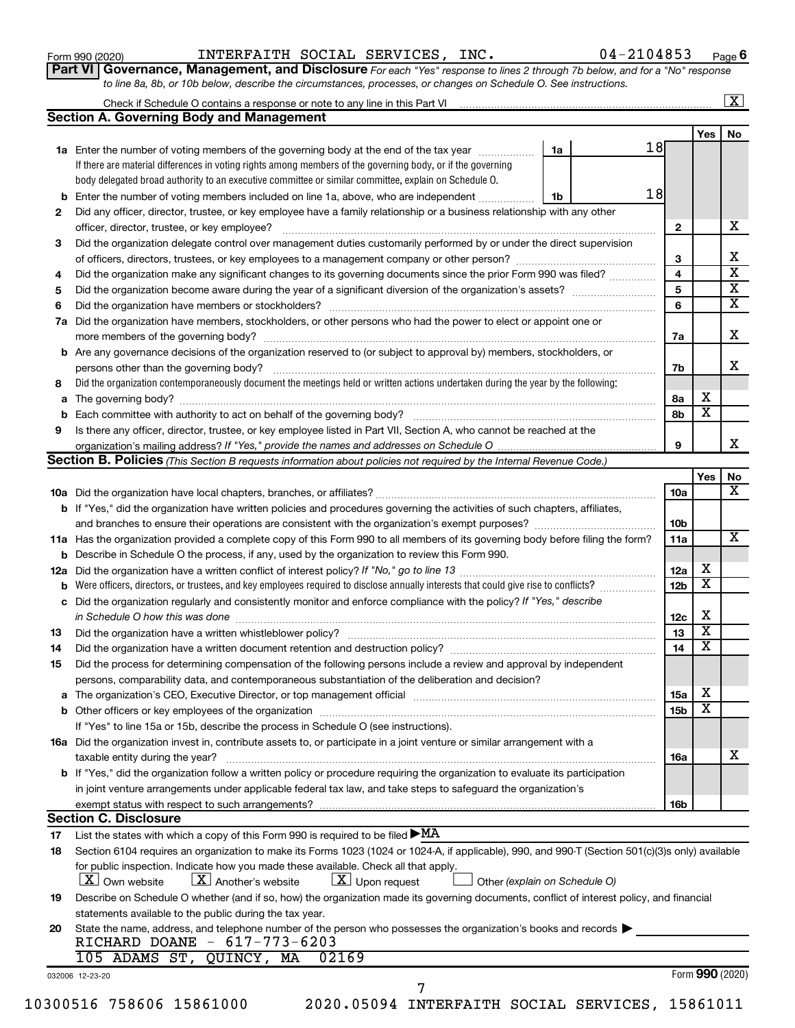| Form 990 (2020) |
|-----------------|
|-----------------|

Form 990 (2020)  ${\tt INTERFAITH}$  SOCIAL SERVICES,  ${\tt INC.}$  04-2104853  ${\tt Page}$ 

**Part VI** Governance, Management, and Disclosure For each "Yes" response to lines 2 through 7b below, and for a "No" response *to line 8a, 8b, or 10b below, describe the circumstances, processes, or changes on Schedule O. See instructions.*

| b<br>2<br>3<br>4<br>5<br>6<br>7a<br>b<br>8<br>а<br>9<br>12a | <b>Section A. Governing Body and Management</b><br>1a Enter the number of voting members of the governing body at the end of the tax year<br>If there are material differences in voting rights among members of the governing body, or if the governing<br>body delegated broad authority to an executive committee or similar committee, explain on Schedule O.<br>Enter the number of voting members included on line 1a, above, who are independent<br>Did any officer, director, trustee, or key employee have a family relationship or a business relationship with any other<br>Did the organization delegate control over management duties customarily performed by or under the direct supervision<br>Did the organization make any significant changes to its governing documents since the prior Form 990 was filed?<br>Did the organization have members, stockholders, or other persons who had the power to elect or appoint one or<br>Are any governance decisions of the organization reserved to (or subject to approval by) members, stockholders, or<br>Did the organization contemporaneously document the meetings held or written actions undertaken during the year by the following:<br>Is there any officer, director, trustee, or key employee listed in Part VII, Section A, who cannot be reached at the<br><b>Section B. Policies</b> (This Section B requests information about policies not required by the Internal Revenue Code.)<br><b>b</b> If "Yes," did the organization have written policies and procedures governing the activities of such chapters, affiliates, | 1a<br>1b | 18<br>18 | $\mathbf{2}$<br>3<br>4<br>5<br>6<br>7a<br>7b<br>8а | Yes                     |
|-------------------------------------------------------------|------------------------------------------------------------------------------------------------------------------------------------------------------------------------------------------------------------------------------------------------------------------------------------------------------------------------------------------------------------------------------------------------------------------------------------------------------------------------------------------------------------------------------------------------------------------------------------------------------------------------------------------------------------------------------------------------------------------------------------------------------------------------------------------------------------------------------------------------------------------------------------------------------------------------------------------------------------------------------------------------------------------------------------------------------------------------------------------------------------------------------------------------------------------------------------------------------------------------------------------------------------------------------------------------------------------------------------------------------------------------------------------------------------------------------------------------------------------------------------------------------------------------------------------------------------------------------------------------------------|----------|----------|----------------------------------------------------|-------------------------|
|                                                             |                                                                                                                                                                                                                                                                                                                                                                                                                                                                                                                                                                                                                                                                                                                                                                                                                                                                                                                                                                                                                                                                                                                                                                                                                                                                                                                                                                                                                                                                                                                                                                                                            |          |          |                                                    |                         |
|                                                             |                                                                                                                                                                                                                                                                                                                                                                                                                                                                                                                                                                                                                                                                                                                                                                                                                                                                                                                                                                                                                                                                                                                                                                                                                                                                                                                                                                                                                                                                                                                                                                                                            |          |          |                                                    |                         |
|                                                             |                                                                                                                                                                                                                                                                                                                                                                                                                                                                                                                                                                                                                                                                                                                                                                                                                                                                                                                                                                                                                                                                                                                                                                                                                                                                                                                                                                                                                                                                                                                                                                                                            |          |          |                                                    |                         |
|                                                             |                                                                                                                                                                                                                                                                                                                                                                                                                                                                                                                                                                                                                                                                                                                                                                                                                                                                                                                                                                                                                                                                                                                                                                                                                                                                                                                                                                                                                                                                                                                                                                                                            |          |          |                                                    |                         |
|                                                             |                                                                                                                                                                                                                                                                                                                                                                                                                                                                                                                                                                                                                                                                                                                                                                                                                                                                                                                                                                                                                                                                                                                                                                                                                                                                                                                                                                                                                                                                                                                                                                                                            |          |          |                                                    |                         |
|                                                             |                                                                                                                                                                                                                                                                                                                                                                                                                                                                                                                                                                                                                                                                                                                                                                                                                                                                                                                                                                                                                                                                                                                                                                                                                                                                                                                                                                                                                                                                                                                                                                                                            |          |          |                                                    |                         |
|                                                             |                                                                                                                                                                                                                                                                                                                                                                                                                                                                                                                                                                                                                                                                                                                                                                                                                                                                                                                                                                                                                                                                                                                                                                                                                                                                                                                                                                                                                                                                                                                                                                                                            |          |          |                                                    |                         |
|                                                             |                                                                                                                                                                                                                                                                                                                                                                                                                                                                                                                                                                                                                                                                                                                                                                                                                                                                                                                                                                                                                                                                                                                                                                                                                                                                                                                                                                                                                                                                                                                                                                                                            |          |          |                                                    |                         |
|                                                             |                                                                                                                                                                                                                                                                                                                                                                                                                                                                                                                                                                                                                                                                                                                                                                                                                                                                                                                                                                                                                                                                                                                                                                                                                                                                                                                                                                                                                                                                                                                                                                                                            |          |          |                                                    |                         |
|                                                             |                                                                                                                                                                                                                                                                                                                                                                                                                                                                                                                                                                                                                                                                                                                                                                                                                                                                                                                                                                                                                                                                                                                                                                                                                                                                                                                                                                                                                                                                                                                                                                                                            |          |          |                                                    |                         |
|                                                             |                                                                                                                                                                                                                                                                                                                                                                                                                                                                                                                                                                                                                                                                                                                                                                                                                                                                                                                                                                                                                                                                                                                                                                                                                                                                                                                                                                                                                                                                                                                                                                                                            |          |          |                                                    |                         |
|                                                             |                                                                                                                                                                                                                                                                                                                                                                                                                                                                                                                                                                                                                                                                                                                                                                                                                                                                                                                                                                                                                                                                                                                                                                                                                                                                                                                                                                                                                                                                                                                                                                                                            |          |          |                                                    |                         |
|                                                             |                                                                                                                                                                                                                                                                                                                                                                                                                                                                                                                                                                                                                                                                                                                                                                                                                                                                                                                                                                                                                                                                                                                                                                                                                                                                                                                                                                                                                                                                                                                                                                                                            |          |          |                                                    |                         |
|                                                             |                                                                                                                                                                                                                                                                                                                                                                                                                                                                                                                                                                                                                                                                                                                                                                                                                                                                                                                                                                                                                                                                                                                                                                                                                                                                                                                                                                                                                                                                                                                                                                                                            |          |          |                                                    |                         |
|                                                             |                                                                                                                                                                                                                                                                                                                                                                                                                                                                                                                                                                                                                                                                                                                                                                                                                                                                                                                                                                                                                                                                                                                                                                                                                                                                                                                                                                                                                                                                                                                                                                                                            |          |          |                                                    |                         |
|                                                             |                                                                                                                                                                                                                                                                                                                                                                                                                                                                                                                                                                                                                                                                                                                                                                                                                                                                                                                                                                                                                                                                                                                                                                                                                                                                                                                                                                                                                                                                                                                                                                                                            |          |          |                                                    |                         |
|                                                             |                                                                                                                                                                                                                                                                                                                                                                                                                                                                                                                                                                                                                                                                                                                                                                                                                                                                                                                                                                                                                                                                                                                                                                                                                                                                                                                                                                                                                                                                                                                                                                                                            |          |          |                                                    |                         |
|                                                             |                                                                                                                                                                                                                                                                                                                                                                                                                                                                                                                                                                                                                                                                                                                                                                                                                                                                                                                                                                                                                                                                                                                                                                                                                                                                                                                                                                                                                                                                                                                                                                                                            |          |          |                                                    |                         |
|                                                             |                                                                                                                                                                                                                                                                                                                                                                                                                                                                                                                                                                                                                                                                                                                                                                                                                                                                                                                                                                                                                                                                                                                                                                                                                                                                                                                                                                                                                                                                                                                                                                                                            |          |          |                                                    | Х                       |
|                                                             |                                                                                                                                                                                                                                                                                                                                                                                                                                                                                                                                                                                                                                                                                                                                                                                                                                                                                                                                                                                                                                                                                                                                                                                                                                                                                                                                                                                                                                                                                                                                                                                                            |          |          | 8b                                                 | $\overline{\mathbf{x}}$ |
|                                                             |                                                                                                                                                                                                                                                                                                                                                                                                                                                                                                                                                                                                                                                                                                                                                                                                                                                                                                                                                                                                                                                                                                                                                                                                                                                                                                                                                                                                                                                                                                                                                                                                            |          |          |                                                    |                         |
|                                                             |                                                                                                                                                                                                                                                                                                                                                                                                                                                                                                                                                                                                                                                                                                                                                                                                                                                                                                                                                                                                                                                                                                                                                                                                                                                                                                                                                                                                                                                                                                                                                                                                            |          |          | 9                                                  |                         |
|                                                             |                                                                                                                                                                                                                                                                                                                                                                                                                                                                                                                                                                                                                                                                                                                                                                                                                                                                                                                                                                                                                                                                                                                                                                                                                                                                                                                                                                                                                                                                                                                                                                                                            |          |          |                                                    |                         |
|                                                             |                                                                                                                                                                                                                                                                                                                                                                                                                                                                                                                                                                                                                                                                                                                                                                                                                                                                                                                                                                                                                                                                                                                                                                                                                                                                                                                                                                                                                                                                                                                                                                                                            |          |          |                                                    | Yes                     |
|                                                             |                                                                                                                                                                                                                                                                                                                                                                                                                                                                                                                                                                                                                                                                                                                                                                                                                                                                                                                                                                                                                                                                                                                                                                                                                                                                                                                                                                                                                                                                                                                                                                                                            |          |          | <b>10a</b>                                         |                         |
|                                                             |                                                                                                                                                                                                                                                                                                                                                                                                                                                                                                                                                                                                                                                                                                                                                                                                                                                                                                                                                                                                                                                                                                                                                                                                                                                                                                                                                                                                                                                                                                                                                                                                            |          |          |                                                    |                         |
|                                                             |                                                                                                                                                                                                                                                                                                                                                                                                                                                                                                                                                                                                                                                                                                                                                                                                                                                                                                                                                                                                                                                                                                                                                                                                                                                                                                                                                                                                                                                                                                                                                                                                            |          |          |                                                    |                         |
|                                                             |                                                                                                                                                                                                                                                                                                                                                                                                                                                                                                                                                                                                                                                                                                                                                                                                                                                                                                                                                                                                                                                                                                                                                                                                                                                                                                                                                                                                                                                                                                                                                                                                            |          |          | 10 <sub>b</sub>                                    |                         |
|                                                             | 11a Has the organization provided a complete copy of this Form 990 to all members of its governing body before filing the form?                                                                                                                                                                                                                                                                                                                                                                                                                                                                                                                                                                                                                                                                                                                                                                                                                                                                                                                                                                                                                                                                                                                                                                                                                                                                                                                                                                                                                                                                            |          |          | 11a                                                |                         |
|                                                             | Describe in Schedule O the process, if any, used by the organization to review this Form 990.                                                                                                                                                                                                                                                                                                                                                                                                                                                                                                                                                                                                                                                                                                                                                                                                                                                                                                                                                                                                                                                                                                                                                                                                                                                                                                                                                                                                                                                                                                              |          |          |                                                    |                         |
|                                                             |                                                                                                                                                                                                                                                                                                                                                                                                                                                                                                                                                                                                                                                                                                                                                                                                                                                                                                                                                                                                                                                                                                                                                                                                                                                                                                                                                                                                                                                                                                                                                                                                            |          |          | 12a                                                | х                       |
|                                                             | Were officers, directors, or trustees, and key employees required to disclose annually interests that could give rise to conflicts?                                                                                                                                                                                                                                                                                                                                                                                                                                                                                                                                                                                                                                                                                                                                                                                                                                                                                                                                                                                                                                                                                                                                                                                                                                                                                                                                                                                                                                                                        |          |          | 12 <sub>b</sub>                                    | $\overline{\textbf{X}}$ |
| с                                                           | Did the organization regularly and consistently monitor and enforce compliance with the policy? If "Yes," describe                                                                                                                                                                                                                                                                                                                                                                                                                                                                                                                                                                                                                                                                                                                                                                                                                                                                                                                                                                                                                                                                                                                                                                                                                                                                                                                                                                                                                                                                                         |          |          |                                                    |                         |
|                                                             |                                                                                                                                                                                                                                                                                                                                                                                                                                                                                                                                                                                                                                                                                                                                                                                                                                                                                                                                                                                                                                                                                                                                                                                                                                                                                                                                                                                                                                                                                                                                                                                                            |          |          | 12c                                                | Х                       |
| 13                                                          |                                                                                                                                                                                                                                                                                                                                                                                                                                                                                                                                                                                                                                                                                                                                                                                                                                                                                                                                                                                                                                                                                                                                                                                                                                                                                                                                                                                                                                                                                                                                                                                                            |          |          | 13                                                 | $\overline{\mathbf{X}}$ |
| 14                                                          |                                                                                                                                                                                                                                                                                                                                                                                                                                                                                                                                                                                                                                                                                                                                                                                                                                                                                                                                                                                                                                                                                                                                                                                                                                                                                                                                                                                                                                                                                                                                                                                                            |          |          | 14                                                 | $\overline{\mathbf{X}}$ |
| 15                                                          | Did the process for determining compensation of the following persons include a review and approval by independent                                                                                                                                                                                                                                                                                                                                                                                                                                                                                                                                                                                                                                                                                                                                                                                                                                                                                                                                                                                                                                                                                                                                                                                                                                                                                                                                                                                                                                                                                         |          |          |                                                    |                         |
|                                                             | persons, comparability data, and contemporaneous substantiation of the deliberation and decision?                                                                                                                                                                                                                                                                                                                                                                                                                                                                                                                                                                                                                                                                                                                                                                                                                                                                                                                                                                                                                                                                                                                                                                                                                                                                                                                                                                                                                                                                                                          |          |          |                                                    |                         |
| а                                                           | The organization's CEO, Executive Director, or top management official manufactured content of the organization's CEO, Executive Director, or top management official manufactured content of the organization's CEO, Executiv                                                                                                                                                                                                                                                                                                                                                                                                                                                                                                                                                                                                                                                                                                                                                                                                                                                                                                                                                                                                                                                                                                                                                                                                                                                                                                                                                                             |          |          | 15a                                                | х                       |
|                                                             |                                                                                                                                                                                                                                                                                                                                                                                                                                                                                                                                                                                                                                                                                                                                                                                                                                                                                                                                                                                                                                                                                                                                                                                                                                                                                                                                                                                                                                                                                                                                                                                                            |          |          | 15b                                                | $\overline{\textbf{x}}$ |
|                                                             | If "Yes" to line 15a or 15b, describe the process in Schedule O (see instructions).                                                                                                                                                                                                                                                                                                                                                                                                                                                                                                                                                                                                                                                                                                                                                                                                                                                                                                                                                                                                                                                                                                                                                                                                                                                                                                                                                                                                                                                                                                                        |          |          |                                                    |                         |
|                                                             | 16a Did the organization invest in, contribute assets to, or participate in a joint venture or similar arrangement with a                                                                                                                                                                                                                                                                                                                                                                                                                                                                                                                                                                                                                                                                                                                                                                                                                                                                                                                                                                                                                                                                                                                                                                                                                                                                                                                                                                                                                                                                                  |          |          |                                                    |                         |
|                                                             | taxable entity during the year?                                                                                                                                                                                                                                                                                                                                                                                                                                                                                                                                                                                                                                                                                                                                                                                                                                                                                                                                                                                                                                                                                                                                                                                                                                                                                                                                                                                                                                                                                                                                                                            |          |          | 16a                                                |                         |
|                                                             | b If "Yes," did the organization follow a written policy or procedure requiring the organization to evaluate its participation                                                                                                                                                                                                                                                                                                                                                                                                                                                                                                                                                                                                                                                                                                                                                                                                                                                                                                                                                                                                                                                                                                                                                                                                                                                                                                                                                                                                                                                                             |          |          |                                                    |                         |
|                                                             | in joint venture arrangements under applicable federal tax law, and take steps to safeguard the organization's                                                                                                                                                                                                                                                                                                                                                                                                                                                                                                                                                                                                                                                                                                                                                                                                                                                                                                                                                                                                                                                                                                                                                                                                                                                                                                                                                                                                                                                                                             |          |          |                                                    |                         |
|                                                             | exempt status with respect to such arrangements?                                                                                                                                                                                                                                                                                                                                                                                                                                                                                                                                                                                                                                                                                                                                                                                                                                                                                                                                                                                                                                                                                                                                                                                                                                                                                                                                                                                                                                                                                                                                                           |          |          | 16b                                                |                         |
|                                                             | <b>Section C. Disclosure</b>                                                                                                                                                                                                                                                                                                                                                                                                                                                                                                                                                                                                                                                                                                                                                                                                                                                                                                                                                                                                                                                                                                                                                                                                                                                                                                                                                                                                                                                                                                                                                                               |          |          |                                                    |                         |
| 17                                                          | List the states with which a copy of this Form 990 is required to be filed $\blacktriangleright$ MA                                                                                                                                                                                                                                                                                                                                                                                                                                                                                                                                                                                                                                                                                                                                                                                                                                                                                                                                                                                                                                                                                                                                                                                                                                                                                                                                                                                                                                                                                                        |          |          |                                                    |                         |
| 18                                                          | Section 6104 requires an organization to make its Forms 1023 (1024 or 1024-A, if applicable), 990, and 990-T (Section 501(c)(3)s only) available                                                                                                                                                                                                                                                                                                                                                                                                                                                                                                                                                                                                                                                                                                                                                                                                                                                                                                                                                                                                                                                                                                                                                                                                                                                                                                                                                                                                                                                           |          |          |                                                    |                         |
|                                                             | for public inspection. Indicate how you made these available. Check all that apply.                                                                                                                                                                                                                                                                                                                                                                                                                                                                                                                                                                                                                                                                                                                                                                                                                                                                                                                                                                                                                                                                                                                                                                                                                                                                                                                                                                                                                                                                                                                        |          |          |                                                    |                         |
|                                                             | $\lfloor x \rfloor$ Another's website<br>$\lfloor x \rfloor$ Upon request<br><b>X</b> Own website<br>Other (explain on Schedule O)                                                                                                                                                                                                                                                                                                                                                                                                                                                                                                                                                                                                                                                                                                                                                                                                                                                                                                                                                                                                                                                                                                                                                                                                                                                                                                                                                                                                                                                                         |          |          |                                                    |                         |
| 19                                                          | Describe on Schedule O whether (and if so, how) the organization made its governing documents, conflict of interest policy, and financial                                                                                                                                                                                                                                                                                                                                                                                                                                                                                                                                                                                                                                                                                                                                                                                                                                                                                                                                                                                                                                                                                                                                                                                                                                                                                                                                                                                                                                                                  |          |          |                                                    |                         |
|                                                             | statements available to the public during the tax year.                                                                                                                                                                                                                                                                                                                                                                                                                                                                                                                                                                                                                                                                                                                                                                                                                                                                                                                                                                                                                                                                                                                                                                                                                                                                                                                                                                                                                                                                                                                                                    |          |          |                                                    |                         |
| 20                                                          | State the name, address, and telephone number of the person who possesses the organization's books and records                                                                                                                                                                                                                                                                                                                                                                                                                                                                                                                                                                                                                                                                                                                                                                                                                                                                                                                                                                                                                                                                                                                                                                                                                                                                                                                                                                                                                                                                                             |          |          |                                                    |                         |
|                                                             | RICHARD DOANE - 617-773-6203                                                                                                                                                                                                                                                                                                                                                                                                                                                                                                                                                                                                                                                                                                                                                                                                                                                                                                                                                                                                                                                                                                                                                                                                                                                                                                                                                                                                                                                                                                                                                                               |          |          |                                                    |                         |
|                                                             | 105 ADAMS ST,<br>QUINCY, MA<br>02169                                                                                                                                                                                                                                                                                                                                                                                                                                                                                                                                                                                                                                                                                                                                                                                                                                                                                                                                                                                                                                                                                                                                                                                                                                                                                                                                                                                                                                                                                                                                                                       |          |          |                                                    |                         |
|                                                             |                                                                                                                                                                                                                                                                                                                                                                                                                                                                                                                                                                                                                                                                                                                                                                                                                                                                                                                                                                                                                                                                                                                                                                                                                                                                                                                                                                                                                                                                                                                                                                                                            |          |          |                                                    | Form 990 (2020)         |
| 032006 12-23-20                                             | 7                                                                                                                                                                                                                                                                                                                                                                                                                                                                                                                                                                                                                                                                                                                                                                                                                                                                                                                                                                                                                                                                                                                                                                                                                                                                                                                                                                                                                                                                                                                                                                                                          |          |          |                                                    |                         |
| 10300516 758606 15861000                                    |                                                                                                                                                                                                                                                                                                                                                                                                                                                                                                                                                                                                                                                                                                                                                                                                                                                                                                                                                                                                                                                                                                                                                                                                                                                                                                                                                                                                                                                                                                                                                                                                            |          |          |                                                    |                         |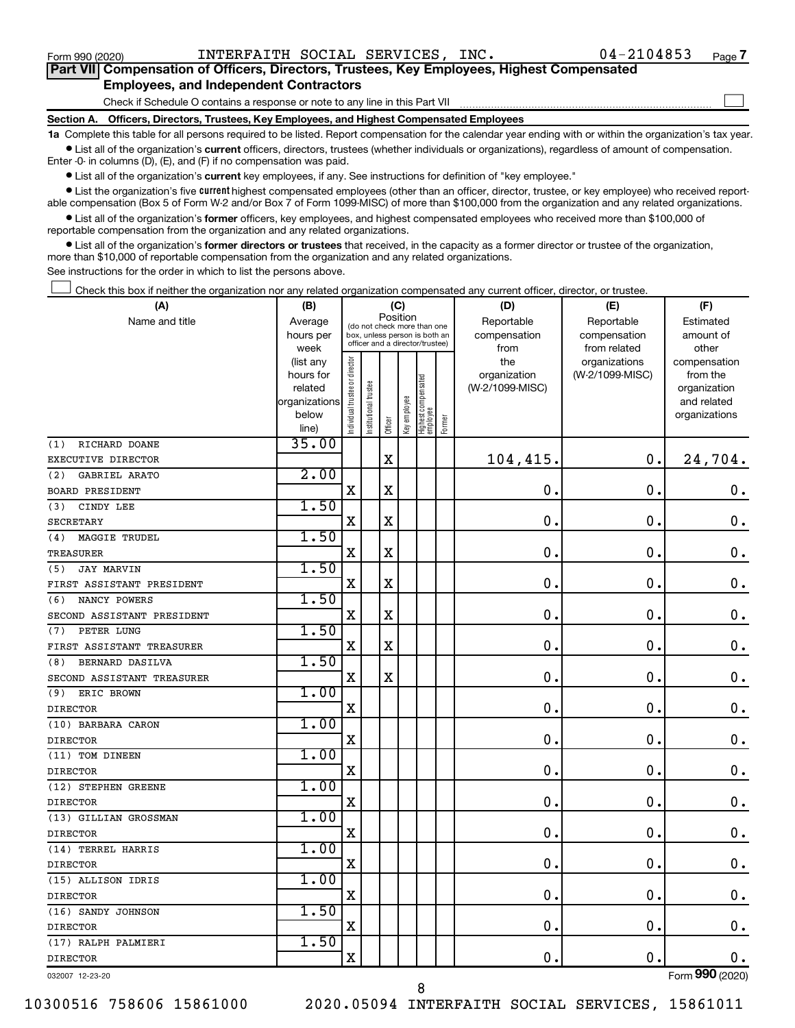$\Box$ 

| Part VII Compensation of Officers, Directors, Trustees, Key Employees, Highest Compensated |
|--------------------------------------------------------------------------------------------|
| <b>Employees, and Independent Contractors</b>                                              |

Check if Schedule O contains a response or note to any line in this Part VII

**Section A. Officers, Directors, Trustees, Key Employees, and Highest Compensated Employees**

**1a**  Complete this table for all persons required to be listed. Report compensation for the calendar year ending with or within the organization's tax year.  $\bullet$  List all of the organization's current officers, directors, trustees (whether individuals or organizations), regardless of amount of compensation.

Enter -0- in columns (D), (E), and (F) if no compensation was paid.

**•** List all of the organization's current key employees, if any. See instructions for definition of "key employee."

• List the organization's five *current* highest compensated employees (other than an officer, director, trustee, or key employee) who received reportable compensation (Box 5 of Form W-2 and/or Box 7 of Form 1099-MISC) of more than \$100,000 from the organization and any related organizations.

 $\bullet$  List all of the organization's former officers, key employees, and highest compensated employees who received more than \$100,000 of reportable compensation from the organization and any related organizations.

**•** List all of the organization's former directors or trustees that received, in the capacity as a former director or trustee of the organization, more than \$10,000 of reportable compensation from the organization and any related organizations.

See instructions for the order in which to list the persons above.

Check this box if neither the organization nor any related organization compensated any current officer, director, or trustee.  $\Box$ 

| (A)                         | (B)                      |                                         |                                 | (C)         |              |                                 |        | (D)             | (E)             | (F)                         |
|-----------------------------|--------------------------|-----------------------------------------|---------------------------------|-------------|--------------|---------------------------------|--------|-----------------|-----------------|-----------------------------|
| Name and title              | Average                  | Position<br>(do not check more than one |                                 |             |              |                                 |        | Reportable      | Reportable      | Estimated                   |
|                             | hours per                |                                         | box, unless person is both an   |             |              |                                 |        | compensation    | compensation    | amount of                   |
|                             | week                     |                                         | officer and a director/trustee) |             |              |                                 |        | from            | from related    | other                       |
|                             | (list any                |                                         |                                 |             |              |                                 |        | the             | organizations   | compensation                |
|                             | hours for                |                                         |                                 |             |              |                                 |        | organization    | (W-2/1099-MISC) | from the                    |
|                             | related<br>organizations |                                         |                                 |             |              |                                 |        | (W-2/1099-MISC) |                 | organization<br>and related |
|                             | below                    |                                         |                                 |             |              |                                 |        |                 |                 | organizations               |
|                             | line)                    | ndividual trustee or director           | nstitutional trustee            | Officer     | key employee | Highest compensated<br>employee | Former |                 |                 |                             |
| RICHARD DOANE<br>(1)        | 35.00                    |                                         |                                 |             |              |                                 |        |                 |                 |                             |
| EXECUTIVE DIRECTOR          |                          |                                         |                                 | $\mathbf X$ |              |                                 |        | 104,415.        | $\mathbf 0$ .   | 24,704.                     |
| GABRIEL ARATO<br>(2)        | 2.00                     |                                         |                                 |             |              |                                 |        |                 |                 |                             |
| <b>BOARD PRESIDENT</b>      |                          | $\mathbf X$                             |                                 | $\mathbf X$ |              |                                 |        | $\mathbf 0$ .   | $\mathbf 0$ .   | 0.                          |
| CINDY LEE<br>(3)            | 1.50                     |                                         |                                 |             |              |                                 |        |                 |                 |                             |
| <b>SECRETARY</b>            |                          | X                                       |                                 | X           |              |                                 |        | $\mathbf 0$ .   | $\mathbf 0$ .   | $\mathbf 0$ .               |
| <b>MAGGIE TRUDEL</b><br>(4) | 1.50                     |                                         |                                 |             |              |                                 |        |                 |                 |                             |
| TREASURER                   |                          | $\mathbf x$                             |                                 | X           |              |                                 |        | $\mathbf 0$ .   | $\mathbf 0$ .   | $\mathbf 0$ .               |
| <b>JAY MARVIN</b><br>(5)    | 1.50                     |                                         |                                 |             |              |                                 |        |                 |                 |                             |
| FIRST ASSISTANT PRESIDENT   |                          | X                                       |                                 | X           |              |                                 |        | $\mathbf 0$     | $\mathbf 0$     | $\boldsymbol{0}$ .          |
| NANCY POWERS<br>(6)         | 1.50                     |                                         |                                 |             |              |                                 |        |                 |                 |                             |
| SECOND ASSISTANT PRESIDENT  |                          | $\mathbf X$                             |                                 | $\mathbf X$ |              |                                 |        | $\mathbf 0$ .   | $\mathbf 0$ .   | $\mathbf 0$ .               |
| (7)<br>PETER LUNG           | 1.50                     |                                         |                                 |             |              |                                 |        |                 |                 |                             |
| FIRST ASSISTANT TREASURER   |                          | X                                       |                                 | X           |              |                                 |        | $\mathbf 0$ .   | $\mathbf 0$     | $\mathbf 0$ .               |
| BERNARD DASILVA<br>(8)      | 1.50                     |                                         |                                 |             |              |                                 |        |                 |                 |                             |
| SECOND ASSISTANT TREASURER  |                          | $\mathbf X$                             |                                 | $\mathbf X$ |              |                                 |        | $\mathbf 0$ .   | $\mathbf 0$ .   | $\boldsymbol{0}$ .          |
| ERIC BROWN<br>(9)           | 1.00                     |                                         |                                 |             |              |                                 |        |                 |                 |                             |
| <b>DIRECTOR</b>             |                          | X                                       |                                 |             |              |                                 |        | 0.              | $\mathbf 0$ .   | $\mathbf 0$ .               |
| (10) BARBARA CARON          | 1.00                     |                                         |                                 |             |              |                                 |        |                 |                 |                             |
| <b>DIRECTOR</b>             |                          | $\mathbf X$                             |                                 |             |              |                                 |        | $\mathbf 0$ .   | $\mathbf 0$ .   | 0.                          |
| (11) TOM DINEEN             | 1.00                     |                                         |                                 |             |              |                                 |        |                 |                 |                             |
| <b>DIRECTOR</b>             |                          | X                                       |                                 |             |              |                                 |        | 0.              | $\mathbf 0$ .   | $\mathbf 0$ .               |
| (12) STEPHEN GREENE         | 1.00                     |                                         |                                 |             |              |                                 |        |                 |                 |                             |
| <b>DIRECTOR</b>             |                          | X                                       |                                 |             |              |                                 |        | 0.              | $\mathbf 0$ .   | $\mathbf 0$ .               |
| (13) GILLIAN GROSSMAN       | 1.00                     |                                         |                                 |             |              |                                 |        |                 |                 |                             |
| <b>DIRECTOR</b>             |                          | $\mathbf x$                             |                                 |             |              |                                 |        | $\mathbf{0}$ .  | $\mathbf 0$ .   | $\mathbf 0$ .               |
| (14) TERREL HARRIS          | 1.00                     |                                         |                                 |             |              |                                 |        |                 |                 |                             |
| <b>DIRECTOR</b>             |                          | X                                       |                                 |             |              |                                 |        | $\mathbf 0$     | $\mathbf 0$     | $\mathbf 0$ .               |
| (15) ALLISON IDRIS          | 1.00                     |                                         |                                 |             |              |                                 |        |                 |                 |                             |
| <b>DIRECTOR</b>             |                          | $\mathbf X$                             |                                 |             |              |                                 |        | $\mathbf 0$ .   | $\mathbf 0$ .   | $\mathbf 0$ .               |
| (16) SANDY JOHNSON          | 1.50                     |                                         |                                 |             |              |                                 |        |                 |                 |                             |
| <b>DIRECTOR</b>             |                          | $\mathbf X$                             |                                 |             |              |                                 |        | $\mathbf 0$ .   | $\mathbf 0$ .   | $\mathbf 0$ .               |
| (17) RALPH PALMIERI         | 1.50                     |                                         |                                 |             |              |                                 |        |                 |                 |                             |
| <b>DIRECTOR</b>             |                          | X                                       |                                 |             |              |                                 |        | 0.              | $\mathbf 0$ .   | 0.                          |
| 032007 12-23-20             |                          |                                         |                                 |             |              |                                 |        |                 |                 | Form 990 (2020)             |

10300516 758606 15861000 2020.05094 INTERFAITH SOCIAL SERVICES, 15861011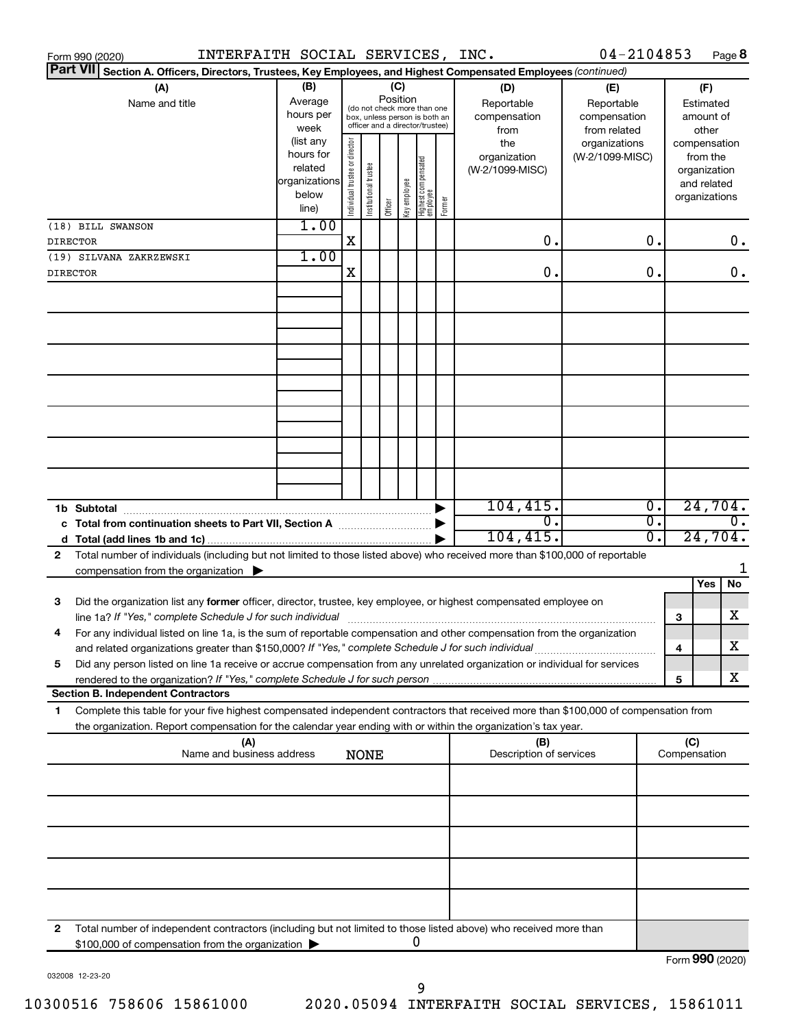|                                                 | INTERFAITH SOCIAL SERVICES, INC.<br>Form 990 (2020)                                                                                                                                                                                                    |                                                                                           |   |                       |         |                                |                                                                                                                    |        |                                 | 04-2104853      |                        |                                                  |                                                                    | Page 8                    |              |                                        |  |
|-------------------------------------------------|--------------------------------------------------------------------------------------------------------------------------------------------------------------------------------------------------------------------------------------------------------|-------------------------------------------------------------------------------------------|---|-----------------------|---------|--------------------------------|--------------------------------------------------------------------------------------------------------------------|--------|---------------------------------|-----------------|------------------------|--------------------------------------------------|--------------------------------------------------------------------|---------------------------|--------------|----------------------------------------|--|
| <b>Part VII</b>                                 | Section A. Officers, Directors, Trustees, Key Employees, and Highest Compensated Employees (continued)                                                                                                                                                 |                                                                                           |   |                       |         |                                |                                                                                                                    |        |                                 |                 |                        |                                                  |                                                                    |                           |              |                                        |  |
| (A)<br>Name and title                           |                                                                                                                                                                                                                                                        | (B)<br>Average<br>hours per<br>week<br>(list any                                          |   |                       |         |                                | (C)<br>Position<br>(do not check more than one<br>box, unless person is both an<br>officer and a director/trustee) |        |                                 |                 |                        | (D)<br>Reportable<br>compensation<br>from<br>the | (E)<br>Reportable<br>compensation<br>from related<br>organizations |                           | compensation | (F)<br>Estimated<br>amount of<br>other |  |
|                                                 |                                                                                                                                                                                                                                                        | Individual trustee or director<br>hours for<br>related<br>organizations<br>below<br>line) |   | Institutional trustee | Officer | Key employee                   | Highest compensated<br>  employee                                                                                  | Former | organization<br>(W-2/1099-MISC) | (W-2/1099-MISC) |                        |                                                  | from the<br>organization<br>and related<br>organizations           |                           |              |                                        |  |
|                                                 | (18) BILL SWANSON<br><b>DIRECTOR</b>                                                                                                                                                                                                                   | 1.00                                                                                      | X |                       |         |                                |                                                                                                                    |        | 0.                              |                 | О.                     |                                                  |                                                                    | 0.                        |              |                                        |  |
|                                                 | (19) SILVANA ZAKRZEWSKI<br><b>DIRECTOR</b>                                                                                                                                                                                                             | 1.00                                                                                      | х |                       |         |                                |                                                                                                                    |        | 0.                              |                 | 0.                     |                                                  |                                                                    | 0.                        |              |                                        |  |
|                                                 |                                                                                                                                                                                                                                                        |                                                                                           |   |                       |         |                                |                                                                                                                    |        |                                 |                 |                        |                                                  |                                                                    |                           |              |                                        |  |
|                                                 |                                                                                                                                                                                                                                                        |                                                                                           |   |                       |         |                                |                                                                                                                    |        |                                 |                 |                        |                                                  |                                                                    |                           |              |                                        |  |
|                                                 |                                                                                                                                                                                                                                                        |                                                                                           |   |                       |         |                                |                                                                                                                    |        |                                 |                 |                        |                                                  |                                                                    |                           |              |                                        |  |
|                                                 |                                                                                                                                                                                                                                                        |                                                                                           |   |                       |         |                                |                                                                                                                    |        |                                 |                 |                        |                                                  |                                                                    |                           |              |                                        |  |
|                                                 |                                                                                                                                                                                                                                                        |                                                                                           |   |                       |         |                                |                                                                                                                    |        |                                 |                 |                        |                                                  |                                                                    |                           |              |                                        |  |
|                                                 |                                                                                                                                                                                                                                                        |                                                                                           |   |                       |         |                                |                                                                                                                    |        |                                 |                 |                        |                                                  |                                                                    |                           |              |                                        |  |
|                                                 |                                                                                                                                                                                                                                                        |                                                                                           |   |                       |         |                                |                                                                                                                    |        | 104, 415.                       |                 | σ.                     |                                                  | 24,704.                                                            |                           |              |                                        |  |
|                                                 | c Total from continuation sheets to Part VII, Section A manuscreen continuum                                                                                                                                                                           |                                                                                           |   |                       |         |                                |                                                                                                                    |        | σ.<br>104, 415.                 |                 | $\overline{0}$ .<br>σ. |                                                  | 24,704.                                                            | $\overline{\mathbf{0}}$ . |              |                                        |  |
| 2                                               | Total number of individuals (including but not limited to those listed above) who received more than \$100,000 of reportable<br>compensation from the organization $\blacktriangleright$                                                               |                                                                                           |   |                       |         |                                |                                                                                                                    |        |                                 |                 |                        |                                                  |                                                                    |                           |              |                                        |  |
| 3                                               | Did the organization list any former officer, director, trustee, key employee, or highest compensated employee on                                                                                                                                      |                                                                                           |   |                       |         |                                |                                                                                                                    |        |                                 |                 |                        |                                                  | Yes                                                                | No                        |              |                                        |  |
|                                                 | line 1a? If "Yes," complete Schedule J for such individual [11] manufacture manufacture in the set of the set o<br>For any individual listed on line 1a, is the sum of reportable compensation and other compensation from the organization            |                                                                                           |   |                       |         |                                |                                                                                                                    |        |                                 |                 |                        | 3                                                |                                                                    | х<br>х                    |              |                                        |  |
| 5                                               | and related organizations greater than \$150,000? If "Yes," complete Schedule J for such individual<br>Did any person listed on line 1a receive or accrue compensation from any unrelated organization or individual for services                      |                                                                                           |   |                       |         |                                |                                                                                                                    |        |                                 |                 |                        | 4<br>5                                           |                                                                    | х                         |              |                                        |  |
|                                                 | <b>Section B. Independent Contractors</b>                                                                                                                                                                                                              |                                                                                           |   |                       |         |                                |                                                                                                                    |        |                                 |                 |                        |                                                  |                                                                    |                           |              |                                        |  |
| 1                                               | Complete this table for your five highest compensated independent contractors that received more than \$100,000 of compensation from<br>the organization. Report compensation for the calendar year ending with or within the organization's tax year. |                                                                                           |   |                       |         |                                |                                                                                                                    |        |                                 |                 |                        |                                                  |                                                                    |                           |              |                                        |  |
| (A)<br>Name and business address<br><b>NONE</b> |                                                                                                                                                                                                                                                        |                                                                                           |   |                       |         | (B)<br>Description of services |                                                                                                                    |        | (C)<br>Compensation             |                 |                        |                                                  |                                                                    |                           |              |                                        |  |
|                                                 |                                                                                                                                                                                                                                                        |                                                                                           |   |                       |         |                                |                                                                                                                    |        |                                 |                 |                        |                                                  |                                                                    |                           |              |                                        |  |
|                                                 |                                                                                                                                                                                                                                                        |                                                                                           |   |                       |         |                                |                                                                                                                    |        |                                 |                 |                        |                                                  |                                                                    |                           |              |                                        |  |
|                                                 |                                                                                                                                                                                                                                                        |                                                                                           |   |                       |         |                                |                                                                                                                    |        |                                 |                 |                        |                                                  |                                                                    |                           |              |                                        |  |
|                                                 |                                                                                                                                                                                                                                                        |                                                                                           |   |                       |         |                                |                                                                                                                    |        |                                 |                 |                        |                                                  |                                                                    |                           |              |                                        |  |
| 2                                               | Total number of independent contractors (including but not limited to those listed above) who received more than                                                                                                                                       |                                                                                           |   |                       |         |                                |                                                                                                                    |        |                                 |                 |                        |                                                  |                                                                    |                           |              |                                        |  |
|                                                 | \$100,000 of compensation from the organization                                                                                                                                                                                                        |                                                                                           |   |                       |         |                                | 0                                                                                                                  |        |                                 |                 |                        | Form 990 (2020)                                  |                                                                    |                           |              |                                        |  |

032008 12-23-20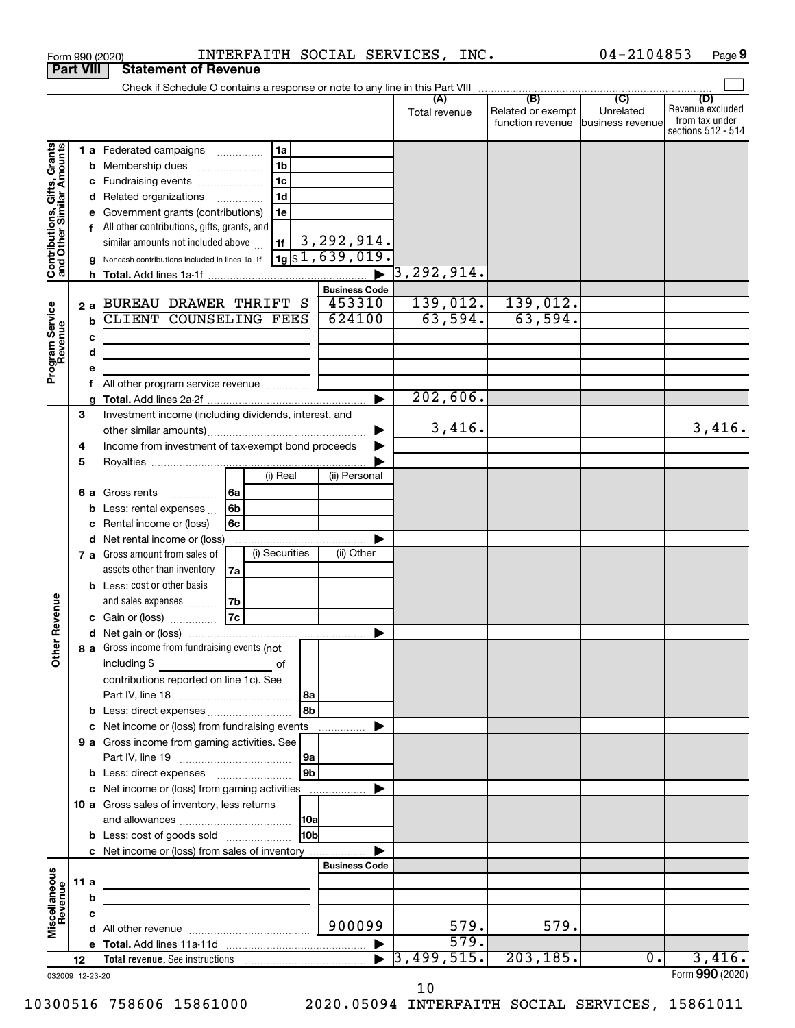| <b>Part VIII</b>                                          |             |                                 | <b>Statement of Revenue</b>                                                                                                                                                                                                                                                                                                                                                                                                                    |                                 |                                              |                                                 |                                                                 |
|-----------------------------------------------------------|-------------|---------------------------------|------------------------------------------------------------------------------------------------------------------------------------------------------------------------------------------------------------------------------------------------------------------------------------------------------------------------------------------------------------------------------------------------------------------------------------------------|---------------------------------|----------------------------------------------|-------------------------------------------------|-----------------------------------------------------------------|
|                                                           |             |                                 | Check if Schedule O contains a response or note to any line in this Part VIII                                                                                                                                                                                                                                                                                                                                                                  |                                 |                                              |                                                 |                                                                 |
|                                                           |             |                                 |                                                                                                                                                                                                                                                                                                                                                                                                                                                | (A)<br>Total revenue            | (B)<br>Related or exempt<br>function revenue | $\overline{C}$<br>Unrelated<br>business revenue | (D)<br>Revenue excluded<br>from tax under<br>sections 512 - 514 |
| Contributions, Gifts, Grants<br>and Other Similar Amounts |             | h.                              | 1 a Federated campaigns<br>1a<br>1 <sub>b</sub><br><b>b</b> Membership dues<br>$\ldots \ldots \ldots \ldots \ldots$<br>1c<br>c Fundraising events<br>1d<br>d Related organizations<br>e Government grants (contributions)<br>1e<br>f All other contributions, gifts, grants, and<br>3,292,914.<br>similar amounts not included above<br>1f<br>$\sqrt{1981,639,019}$<br>g Noncash contributions included in lines 1a-1f<br><b>Business Code</b> | $\overline{3}$ , 292, 914.      |                                              |                                                 |                                                                 |
| Program Service<br>Revenue                                |             | $\mathbf b$<br>c<br>d<br>е<br>f | 453310<br>2 a BUREAU DRAWER THRIFT S<br>624100<br>CLIENT COUNSELING FEES<br>All other program service revenue<br>►                                                                                                                                                                                                                                                                                                                             | 139,012.<br>63,594.<br>202,606. | 139,012.<br>63,594.                          |                                                 |                                                                 |
|                                                           | 3<br>4<br>5 |                                 | Investment income (including dividends, interest, and<br>Income from investment of tax-exempt bond proceeds<br>(i) Real<br>(ii) Personal                                                                                                                                                                                                                                                                                                       | 3,416.                          |                                              |                                                 | 3,416.                                                          |
| Revenue                                                   |             |                                 | 6 a Gross rents<br>l 6a<br>.<br>6b<br><b>b</b> Less: rental expenses $\ldots$<br>Rental income or (loss)<br>6с<br>d Net rental income or (loss)<br>(i) Securities<br>(ii) Other<br>7 a Gross amount from sales of                                                                                                                                                                                                                              |                                 |                                              |                                                 |                                                                 |
|                                                           |             |                                 | assets other than inventory<br>7a<br><b>b</b> Less: cost or other basis<br>7b<br>and sales expenses<br> 7c<br>c Gain or (loss)                                                                                                                                                                                                                                                                                                                 |                                 |                                              |                                                 |                                                                 |
| ৯<br>Ĕ                                                    |             |                                 | ▶<br>8 a Gross income from fundraising events (not<br>including \$<br>0f<br>contributions reported on line 1c). See                                                                                                                                                                                                                                                                                                                            |                                 |                                              |                                                 |                                                                 |
|                                                           |             |                                 | 8b<br>c Net income or (loss) from fundraising events<br>.<br>9 a Gross income from gaming activities. See<br> 9a                                                                                                                                                                                                                                                                                                                               |                                 |                                              |                                                 |                                                                 |
|                                                           |             |                                 | 9 <sub>b</sub><br>c Net income or (loss) from gaming activities<br>10 a Gross sales of inventory, less returns<br>10bl                                                                                                                                                                                                                                                                                                                         |                                 |                                              |                                                 |                                                                 |
|                                                           | 11 a        |                                 | <b>b</b> Less: cost of goods sold<br>c Net income or (loss) from sales of inventory<br><b>Business Code</b><br>the control of the control of the control of the control of the control of                                                                                                                                                                                                                                                      |                                 |                                              |                                                 |                                                                 |
| Miscellaneous<br>Revenue                                  |             | b<br>с                          | the control of the control of the control of the control of<br>900099<br>▶                                                                                                                                                                                                                                                                                                                                                                     | 579.<br>579.                    | 579.                                         |                                                 |                                                                 |
| 032009 12-23-20                                           | 12          |                                 |                                                                                                                                                                                                                                                                                                                                                                                                                                                | 3,499,515.                      | 203, 185.                                    | $\overline{0}$ .                                | 3,416.<br>Form 990 (2020)                                       |

Form 990 (2020)  $\qquad \qquad \text{INTERFAITH } \text{SOCIAL} \text{ SERIES, INC.}$  04-2104853 Page

04-2104853 Page 9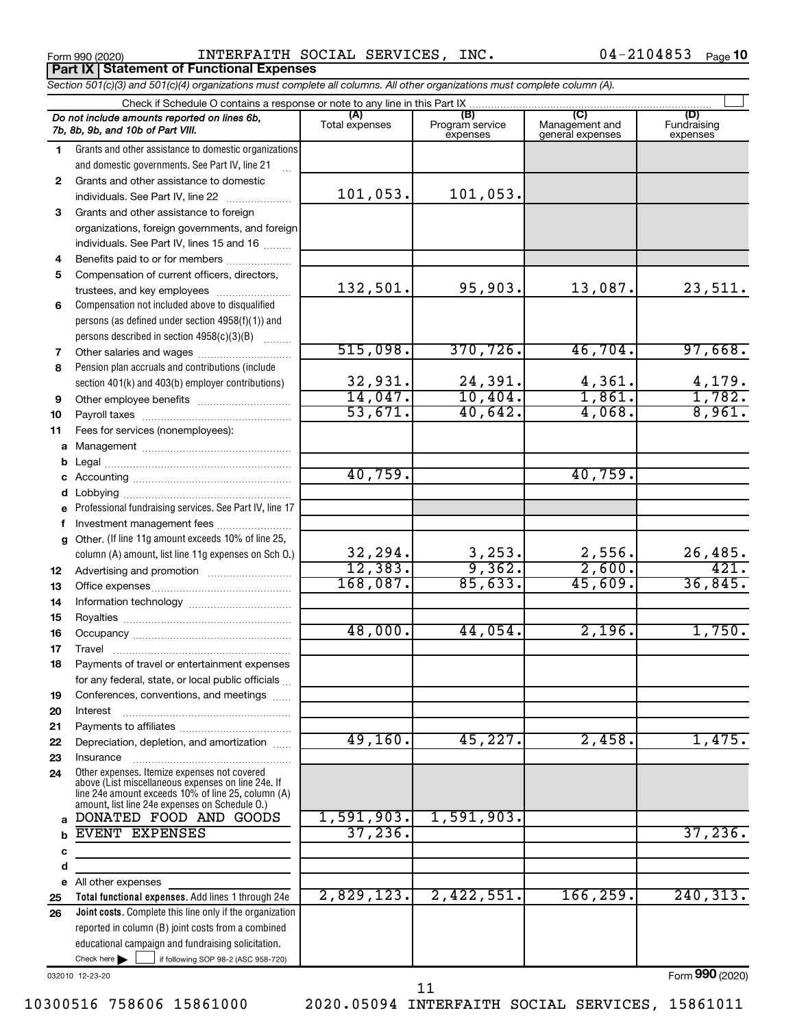Form 990 (2020)  $\qquad \qquad \text{INTERFATTH SOCIAL SERIES, INC.}$  04-2104853  $_{\text{Page}}$ **Part IX | Statement of Functional Expenses** 

04-2104853 Page 10

|              | Section 501(c)(3) and 501(c)(4) organizations must complete all columns. All other organizations must complete column (A).                                                                                                           |                       |                                    |                                           |                                |
|--------------|--------------------------------------------------------------------------------------------------------------------------------------------------------------------------------------------------------------------------------------|-----------------------|------------------------------------|-------------------------------------------|--------------------------------|
|              | Check if Schedule O contains a response or note to any line in this Part IX                                                                                                                                                          |                       |                                    |                                           |                                |
|              | Do not include amounts reported on lines 6b,<br>7b, 8b, 9b, and 10b of Part VIII.                                                                                                                                                    | (A)<br>Total expenses | (B)<br>Program service<br>expenses | (C)<br>Management and<br>general expenses | (D)<br>Fundraising<br>expenses |
| $\mathbf{1}$ | Grants and other assistance to domestic organizations<br>and domestic governments. See Part IV, line 21                                                                                                                              |                       |                                    |                                           |                                |
| $\mathbf{2}$ | Grants and other assistance to domestic                                                                                                                                                                                              |                       |                                    |                                           |                                |
|              | individuals. See Part IV, line 22                                                                                                                                                                                                    | 101,053.              | 101,053.                           |                                           |                                |
| 3            | Grants and other assistance to foreign                                                                                                                                                                                               |                       |                                    |                                           |                                |
|              | organizations, foreign governments, and foreign                                                                                                                                                                                      |                       |                                    |                                           |                                |
|              | individuals. See Part IV, lines 15 and 16                                                                                                                                                                                            |                       |                                    |                                           |                                |
| 4            | Benefits paid to or for members                                                                                                                                                                                                      |                       |                                    |                                           |                                |
| 5            | Compensation of current officers, directors,                                                                                                                                                                                         |                       |                                    |                                           |                                |
|              | trustees, and key employees                                                                                                                                                                                                          | 132,501.              | 95,903.                            | 13,087.                                   | 23,511.                        |
| 6            | Compensation not included above to disqualified                                                                                                                                                                                      |                       |                                    |                                           |                                |
|              | persons (as defined under section 4958(f)(1)) and                                                                                                                                                                                    |                       |                                    |                                           |                                |
|              | persons described in section 4958(c)(3)(B)                                                                                                                                                                                           |                       |                                    |                                           |                                |
| 7            | Other salaries and wages                                                                                                                                                                                                             | 515,098.              | 370, 726.                          | 46,704.                                   | 97,668.                        |
| 8            | Pension plan accruals and contributions (include                                                                                                                                                                                     |                       |                                    |                                           |                                |
|              | section 401(k) and 403(b) employer contributions)                                                                                                                                                                                    | 32,931.               | 24,391.                            | 4,361.                                    | 4,179.                         |
| 9            |                                                                                                                                                                                                                                      | 14,047.               | 10,404.                            | 1,861.                                    | 1,782.                         |
| 10           |                                                                                                                                                                                                                                      | 53,671.               | 40,642.                            | 4,068.                                    | 8,961.                         |
| 11           | Fees for services (nonemployees):                                                                                                                                                                                                    |                       |                                    |                                           |                                |
|              |                                                                                                                                                                                                                                      |                       |                                    |                                           |                                |
| b            |                                                                                                                                                                                                                                      |                       |                                    |                                           |                                |
|              |                                                                                                                                                                                                                                      | 40,759.               |                                    | 40,759.                                   |                                |
|              |                                                                                                                                                                                                                                      |                       |                                    |                                           |                                |
|              | e Professional fundraising services. See Part IV, line 17                                                                                                                                                                            |                       |                                    |                                           |                                |
|              | f Investment management fees                                                                                                                                                                                                         |                       |                                    |                                           |                                |
|              | g Other. (If line 11g amount exceeds 10% of line 25,<br>column (A) amount, list line 11g expenses on Sch O.)                                                                                                                         | 32,294.               | 3,253.                             | 2,556.                                    | 26,485.                        |
| 12           |                                                                                                                                                                                                                                      | 12,383.               | 9,362.                             | 2,600.                                    | 421.                           |
| 13           |                                                                                                                                                                                                                                      | 168,087.              | 85,633.                            | 45,609.                                   | 36,845.                        |
| 14           |                                                                                                                                                                                                                                      |                       |                                    |                                           |                                |
| 15           |                                                                                                                                                                                                                                      |                       |                                    |                                           |                                |
| 16           |                                                                                                                                                                                                                                      | 48,000.               | 44,054.                            | 2,196.                                    | 1,750.                         |
| 17           |                                                                                                                                                                                                                                      |                       |                                    |                                           |                                |
| 18           | Payments of travel or entertainment expenses                                                                                                                                                                                         |                       |                                    |                                           |                                |
|              | for any federal, state, or local public officials                                                                                                                                                                                    |                       |                                    |                                           |                                |
| 19           | Conferences, conventions, and meetings                                                                                                                                                                                               |                       |                                    |                                           |                                |
| 20           | Interest                                                                                                                                                                                                                             |                       |                                    |                                           |                                |
| 21           |                                                                                                                                                                                                                                      |                       |                                    |                                           |                                |
| 22           | Depreciation, depletion, and amortization                                                                                                                                                                                            | 49,160.               | 45,227.                            | 2,458.                                    | 1,475.                         |
| 23           | Insurance                                                                                                                                                                                                                            |                       |                                    |                                           |                                |
| 24           | Other expenses. Itemize expenses not covered<br>above (List miscellaneous expenses on line 24e. If<br>line 24e amount exceeds 10% of line 25, column (A)<br>amount, list line 24e expenses on Schedule O.)<br>DONATED FOOD AND GOODS | 1,591,903.            | 1,591,903.                         |                                           |                                |
| a            | EVENT EXPENSES                                                                                                                                                                                                                       | 37, 236.              |                                    |                                           | 37,236.                        |
|              |                                                                                                                                                                                                                                      |                       |                                    |                                           |                                |
| с<br>d       |                                                                                                                                                                                                                                      |                       |                                    |                                           |                                |
| е            | All other expenses                                                                                                                                                                                                                   |                       |                                    |                                           |                                |
| 25           | Total functional expenses. Add lines 1 through 24e                                                                                                                                                                                   | 2,829,123.            | 2,422,551.                         | 166, 259.                                 | 240, 313.                      |
| 26           | Joint costs. Complete this line only if the organization                                                                                                                                                                             |                       |                                    |                                           |                                |
|              | reported in column (B) joint costs from a combined                                                                                                                                                                                   |                       |                                    |                                           |                                |
|              | educational campaign and fundraising solicitation.                                                                                                                                                                                   |                       |                                    |                                           |                                |
|              | Check here $\blacktriangleright$<br>if following SOP 98-2 (ASC 958-720)                                                                                                                                                              |                       |                                    |                                           |                                |

032010 12-23-20

Form (2020) **990**

11

10300516 758606 15861000 2020.05094 INTERFAITH SOCIAL SERVICES, 15861011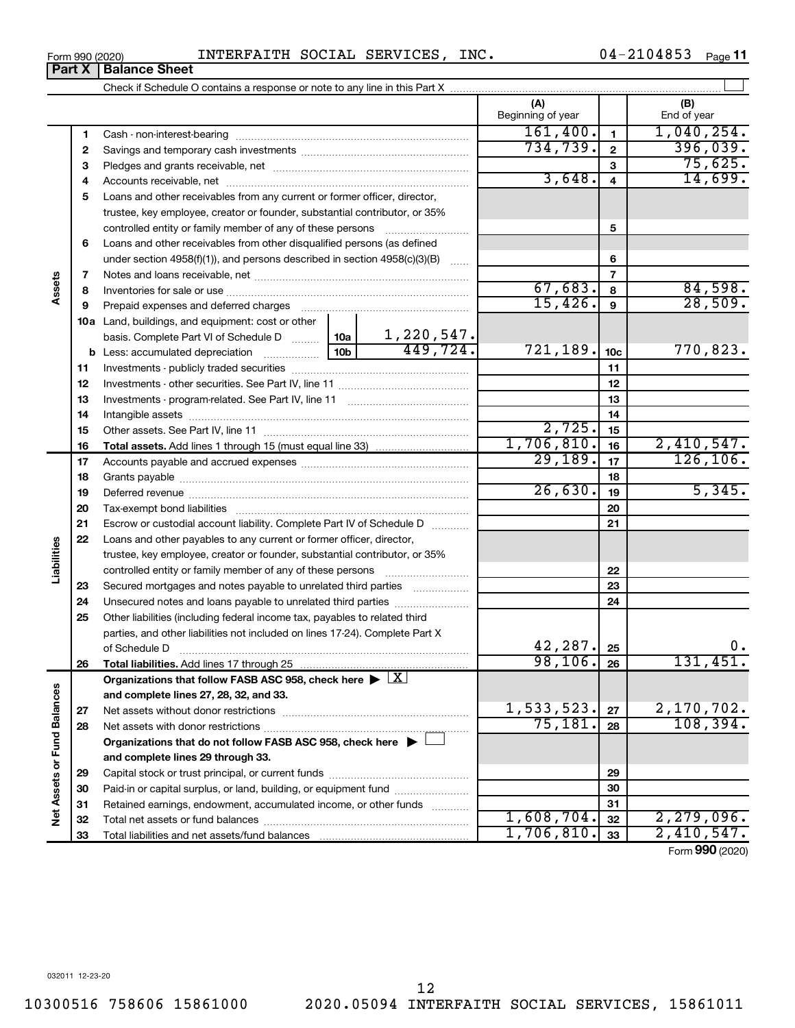## Form 990 (2020) INTERFAITH SOCIAL SERVICES, INC. 04-2104853 <sub>Page</sub> **Part X** | Balance Sheet

Check if Schedule O contains a response or note to any line in this Part X

**(A) (B)**

|                           |    |                                                                                                        |            |            | Beginning of year    |                         | End of year |
|---------------------------|----|--------------------------------------------------------------------------------------------------------|------------|------------|----------------------|-------------------------|-------------|
|                           | 1  |                                                                                                        |            |            | 161,400.             | $\blacksquare$          | 1,040,254.  |
|                           | 2  |                                                                                                        |            |            | 734, 739.            | $\overline{2}$          | 396,039.    |
|                           | з  |                                                                                                        |            |            |                      | 3                       | 75,625.     |
|                           | 4  |                                                                                                        |            |            | 3,648.               | $\overline{\mathbf{4}}$ | 14,699.     |
|                           | 5  | Loans and other receivables from any current or former officer, director,                              |            |            |                      |                         |             |
|                           |    | trustee, key employee, creator or founder, substantial contributor, or 35%                             |            |            |                      |                         |             |
|                           |    | controlled entity or family member of any of these persons                                             |            |            |                      | 5                       |             |
|                           | 6  | Loans and other receivables from other disqualified persons (as defined                                |            |            |                      |                         |             |
|                           |    | under section $4958(f)(1)$ , and persons described in section $4958(c)(3)(B)$                          |            |            |                      | 6                       |             |
|                           | 7  |                                                                                                        |            | $\ldots$   |                      | $\overline{7}$          |             |
| ssets                     | 8  |                                                                                                        |            |            | 67,683.              | 8                       | 84,598.     |
|                           | 9  | Prepaid expenses and deferred charges                                                                  |            |            | 15,426.              | 9                       | 28,509.     |
|                           |    | 10a Land, buildings, and equipment: cost or other                                                      |            |            |                      |                         |             |
|                           |    | basis. Complete Part VI of Schedule D  10a                                                             |            | 1,220,547. |                      |                         |             |
|                           | b  |                                                                                                        | 10b        | 449,724.   | 721,189.             | 10 <sub>c</sub>         | 770,823.    |
|                           | 11 |                                                                                                        |            | 11         |                      |                         |             |
|                           | 12 |                                                                                                        |            |            |                      | 12                      |             |
|                           | 13 |                                                                                                        |            |            |                      | 13                      |             |
|                           | 14 |                                                                                                        |            |            |                      | 14                      |             |
|                           | 15 |                                                                                                        |            |            | 2,725.               | 15                      |             |
|                           | 16 |                                                                                                        |            |            | 1,706,810.           | 16                      | 2,410,547.  |
|                           | 17 |                                                                                                        |            |            | $\overline{29,189.}$ | 17                      | 126, 106.   |
|                           | 18 |                                                                                                        |            |            |                      | 18                      |             |
|                           | 19 |                                                                                                        |            |            | 26,630.              | 19                      | 5,345.      |
|                           | 20 |                                                                                                        |            |            | 20                   |                         |             |
|                           | 21 | Escrow or custodial account liability. Complete Part IV of Schedule D                                  |            | 21         |                      |                         |             |
|                           | 22 | Loans and other payables to any current or former officer, director,                                   |            |            |                      |                         |             |
| Liabilities               |    | trustee, key employee, creator or founder, substantial contributor, or 35%                             |            |            |                      |                         |             |
|                           |    | controlled entity or family member of any of these persons [                                           |            |            |                      | 22                      |             |
|                           | 23 | Secured mortgages and notes payable to unrelated third parties                                         |            |            |                      | 23                      |             |
|                           | 24 | Unsecured notes and loans payable to unrelated third parties                                           |            |            |                      | 24                      |             |
|                           | 25 | Other liabilities (including federal income tax, payables to related third                             |            |            |                      |                         |             |
|                           |    | parties, and other liabilities not included on lines 17-24). Complete Part X                           |            |            |                      |                         |             |
|                           |    | of Schedule D                                                                                          |            |            | 42,287.              | 25                      |             |
|                           | 26 |                                                                                                        |            | 98, 106.   | 26                   | 131,451.                |             |
|                           |    | Organizations that follow FASB ASC 958, check here $\blacktriangleright \lfloor \underline{X} \rfloor$ |            |            |                      |                         |             |
| 3                         |    | and complete lines 27, 28, 32, and 33.                                                                 |            |            |                      |                         |             |
|                           | 27 | Net assets without donor restrictions                                                                  |            |            | 1,533,523.           | 27                      | 2,170,702.  |
|                           | 28 | Net assets with donor restrictions                                                                     |            |            | 75,181.              | 28                      | 108, 394.   |
|                           |    | Organizations that do not follow FASB ASC 958, check here $\blacktriangleright$                        |            |            |                      |                         |             |
| Net Assets or Fund Balanc |    | and complete lines 29 through 33.                                                                      |            |            |                      |                         |             |
|                           | 29 |                                                                                                        |            |            | 29                   |                         |             |
|                           | 30 | Paid-in or capital surplus, or land, building, or equipment fund                                       |            |            |                      | 30                      |             |
|                           | 31 | Retained earnings, endowment, accumulated income, or other funds                                       |            |            |                      | 31                      |             |
|                           | 32 |                                                                                                        |            |            | 1,608,704.           | 32                      | 2,279,096.  |
|                           | 33 |                                                                                                        | 1,706,810. | 33         | 2,410,547.           |                         |             |

 $\perp$ 

Form (2020) **990**

**Assets**

**Liabilities**

Net Assets or Fund Balances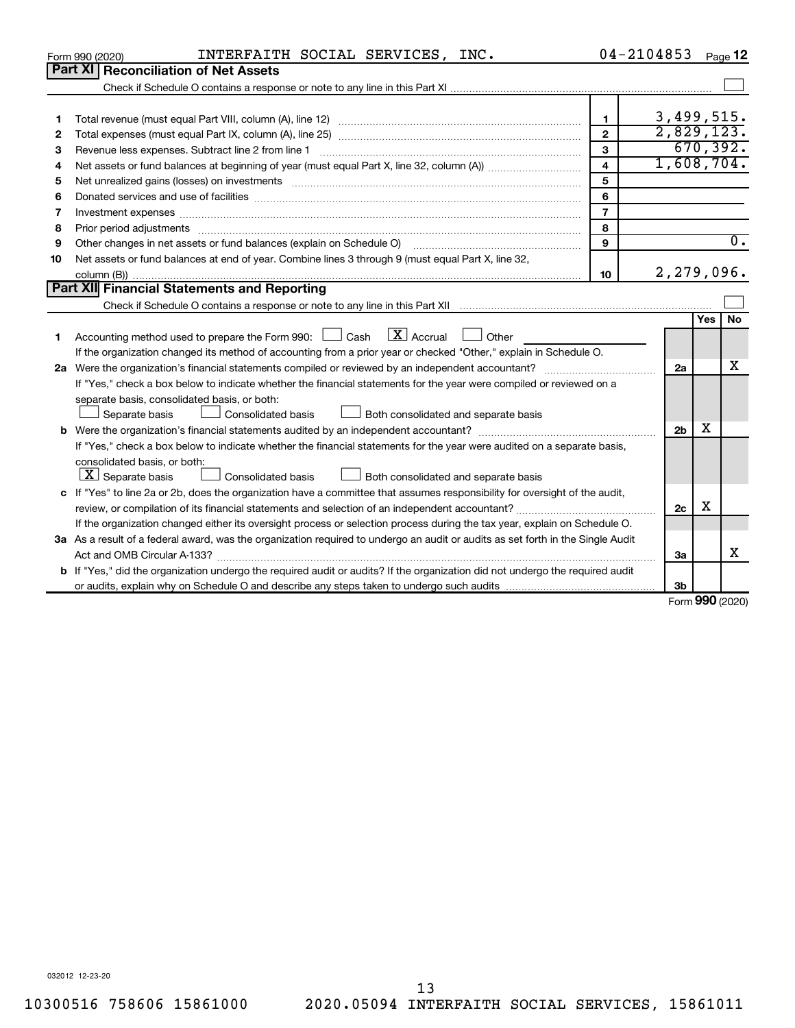|    | INTERFAITH SOCIAL SERVICES, INC.<br>Form 990 (2020)                                                                                  | $04 - 2104853$ |                |                     | Page 12          |  |  |
|----|--------------------------------------------------------------------------------------------------------------------------------------|----------------|----------------|---------------------|------------------|--|--|
|    | <b>Part XI   Reconciliation of Net Assets</b>                                                                                        |                |                |                     |                  |  |  |
|    |                                                                                                                                      |                |                |                     |                  |  |  |
|    |                                                                                                                                      |                |                |                     |                  |  |  |
| 1  |                                                                                                                                      | $\mathbf{1}$   | 3,499,515.     |                     |                  |  |  |
| 2  |                                                                                                                                      | $\overline{2}$ | 2,829,123.     |                     |                  |  |  |
| з  |                                                                                                                                      | 3              |                |                     | 670, 392.        |  |  |
| 4  |                                                                                                                                      | $\overline{4}$ | 1,608,704.     |                     |                  |  |  |
| 5  | Net unrealized gains (losses) on investments [11] matter continuum matter is a set of the set of the set of the                      | 5              |                |                     |                  |  |  |
| 6  |                                                                                                                                      | 6              |                |                     |                  |  |  |
| 7  | Investment expenses www.communication.com/www.communication.com/www.communication.com/www.com                                        | $\overline{7}$ |                |                     |                  |  |  |
| 8  |                                                                                                                                      | 8              |                |                     |                  |  |  |
| 9  | Other changes in net assets or fund balances (explain on Schedule O)                                                                 | 9              |                |                     | $\overline{0}$ . |  |  |
| 10 | Net assets or fund balances at end of year. Combine lines 3 through 9 (must equal Part X, line 32,                                   |                |                |                     |                  |  |  |
|    |                                                                                                                                      | 10             | 2,279,096.     |                     |                  |  |  |
|    | Part XII Financial Statements and Reporting                                                                                          |                |                |                     |                  |  |  |
|    |                                                                                                                                      |                |                |                     |                  |  |  |
|    |                                                                                                                                      |                |                | Yes                 | No               |  |  |
| 1  | $\lfloor x \rfloor$ Accrual<br>Accounting method used to prepare the Form 990: [130] Cash<br>$\Box$ Other                            |                |                |                     |                  |  |  |
|    | If the organization changed its method of accounting from a prior year or checked "Other," explain in Schedule O.                    |                |                |                     |                  |  |  |
|    |                                                                                                                                      |                | 2a             |                     | x                |  |  |
|    | If "Yes," check a box below to indicate whether the financial statements for the year were compiled or reviewed on a                 |                |                |                     |                  |  |  |
|    | separate basis, consolidated basis, or both:                                                                                         |                |                |                     |                  |  |  |
|    | Both consolidated and separate basis<br>Separate basis<br><b>Consolidated basis</b>                                                  |                |                |                     |                  |  |  |
|    |                                                                                                                                      |                | 2 <sub>b</sub> | x                   |                  |  |  |
|    | If "Yes," check a box below to indicate whether the financial statements for the year were audited on a separate basis,              |                |                |                     |                  |  |  |
|    | consolidated basis, or both:                                                                                                         |                |                |                     |                  |  |  |
|    | $\lfloor x \rfloor$ Separate basis<br>Consolidated basis<br>Both consolidated and separate basis                                     |                |                |                     |                  |  |  |
|    | c If "Yes" to line 2a or 2b, does the organization have a committee that assumes responsibility for oversight of the audit,          |                |                | х                   |                  |  |  |
|    |                                                                                                                                      |                | 2c             |                     |                  |  |  |
|    | If the organization changed either its oversight process or selection process during the tax year, explain on Schedule O.            |                |                |                     |                  |  |  |
|    | 3a As a result of a federal award, was the organization required to undergo an audit or audits as set forth in the Single Audit      |                |                |                     | х                |  |  |
|    | Act and OMB Circular A-133?                                                                                                          |                | 3a             |                     |                  |  |  |
|    | <b>b</b> If "Yes," did the organization undergo the required audit or audits? If the organization did not undergo the required audit |                |                |                     |                  |  |  |
|    |                                                                                                                                      |                | 3b             | $000 \text{ hours}$ |                  |  |  |

Form (2020) **990**

032012 12-23-20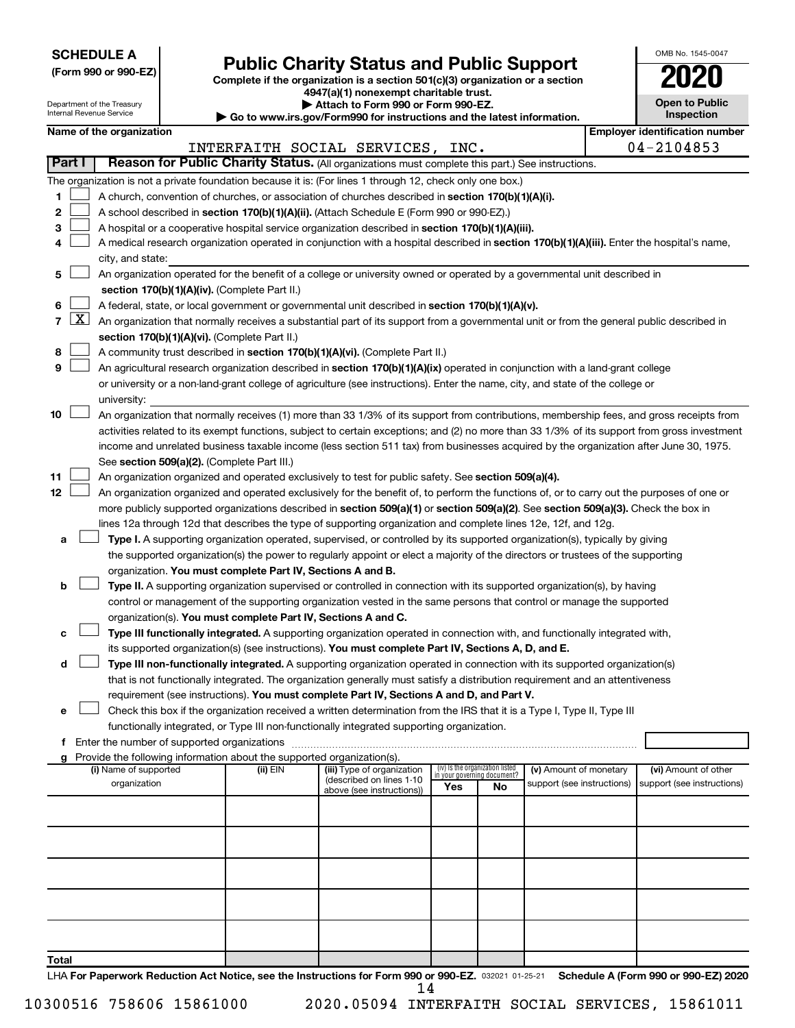**SCHEDULE A**

Department of the Treasury<br>Internal Revenue Service anternal.<br>Del

# **Public Charity Status and Public Support**

**(Form 990 or 990-EZ) Complete if the organization is a section 501(c)(3) organization or a section**

**4947(a)(1) nonexempt charitable trust.**

**| Attach to Form 990 or Form 990-EZ.** 

| <b>Open to Public</b><br>Inspection |
|-------------------------------------|
|                                     |

OMB No. 1545-0047

|                |                     | internal Revenue Service                                                                                                                     |              | $\blacktriangleright$ Go to www.irs.gov/Form990 for instructions and the latest information. |                                                                |    |                            |  | <b>Inspection</b>                                       |
|----------------|---------------------|----------------------------------------------------------------------------------------------------------------------------------------------|--------------|----------------------------------------------------------------------------------------------|----------------------------------------------------------------|----|----------------------------|--|---------------------------------------------------------|
|                |                     | Name of the organization                                                                                                                     |              | INTERFAITH SOCIAL SERVICES, INC.                                                             |                                                                |    |                            |  | <b>Employer identification number</b><br>$04 - 2104853$ |
| <b>Part I</b>  |                     | Reason for Public Charity Status. (All organizations must complete this part.) See instructions.                                             |              |                                                                                              |                                                                |    |                            |  |                                                         |
|                |                     | The organization is not a private foundation because it is: (For lines 1 through 12, check only one box.)                                    |              |                                                                                              |                                                                |    |                            |  |                                                         |
| 1.             |                     | A church, convention of churches, or association of churches described in section 170(b)(1)(A)(i).                                           |              |                                                                                              |                                                                |    |                            |  |                                                         |
| 2              |                     | A school described in section 170(b)(1)(A)(ii). (Attach Schedule E (Form 990 or 990-EZ).)                                                    |              |                                                                                              |                                                                |    |                            |  |                                                         |
| 3              |                     | A hospital or a cooperative hospital service organization described in section 170(b)(1)(A)(iii).                                            |              |                                                                                              |                                                                |    |                            |  |                                                         |
| 4              |                     | A medical research organization operated in conjunction with a hospital described in section 170(b)(1)(A)(iii). Enter the hospital's name,   |              |                                                                                              |                                                                |    |                            |  |                                                         |
|                |                     | city, and state:                                                                                                                             |              |                                                                                              |                                                                |    |                            |  |                                                         |
| 5              |                     | An organization operated for the benefit of a college or university owned or operated by a governmental unit described in                    |              |                                                                                              |                                                                |    |                            |  |                                                         |
|                |                     | section 170(b)(1)(A)(iv). (Complete Part II.)                                                                                                |              |                                                                                              |                                                                |    |                            |  |                                                         |
| 6              |                     | A federal, state, or local government or governmental unit described in section 170(b)(1)(A)(v).                                             |              |                                                                                              |                                                                |    |                            |  |                                                         |
| $\overline{7}$ | $\lfloor x \rfloor$ | An organization that normally receives a substantial part of its support from a governmental unit or from the general public described in    |              |                                                                                              |                                                                |    |                            |  |                                                         |
|                |                     | section 170(b)(1)(A)(vi). (Complete Part II.)                                                                                                |              |                                                                                              |                                                                |    |                            |  |                                                         |
| 8              |                     | A community trust described in section 170(b)(1)(A)(vi). (Complete Part II.)                                                                 |              |                                                                                              |                                                                |    |                            |  |                                                         |
| 9              |                     | An agricultural research organization described in section 170(b)(1)(A)(ix) operated in conjunction with a land-grant college                |              |                                                                                              |                                                                |    |                            |  |                                                         |
|                |                     | or university or a non-land-grant college of agriculture (see instructions). Enter the name, city, and state of the college or               |              |                                                                                              |                                                                |    |                            |  |                                                         |
|                |                     | university:                                                                                                                                  |              |                                                                                              |                                                                |    |                            |  |                                                         |
| 10             |                     | An organization that normally receives (1) more than 33 1/3% of its support from contributions, membership fees, and gross receipts from     |              |                                                                                              |                                                                |    |                            |  |                                                         |
|                |                     | activities related to its exempt functions, subject to certain exceptions; and (2) no more than 33 1/3% of its support from gross investment |              |                                                                                              |                                                                |    |                            |  |                                                         |
|                |                     | income and unrelated business taxable income (less section 511 tax) from businesses acquired by the organization after June 30, 1975.        |              |                                                                                              |                                                                |    |                            |  |                                                         |
|                |                     | See section 509(a)(2). (Complete Part III.)                                                                                                  |              |                                                                                              |                                                                |    |                            |  |                                                         |
| 11             |                     | An organization organized and operated exclusively to test for public safety. See section 509(a)(4).                                         |              |                                                                                              |                                                                |    |                            |  |                                                         |
| 12             |                     | An organization organized and operated exclusively for the benefit of, to perform the functions of, or to carry out the purposes of one or   |              |                                                                                              |                                                                |    |                            |  |                                                         |
|                |                     | more publicly supported organizations described in section 509(a)(1) or section 509(a)(2). See section 509(a)(3). Check the box in           |              |                                                                                              |                                                                |    |                            |  |                                                         |
|                |                     | lines 12a through 12d that describes the type of supporting organization and complete lines 12e, 12f, and 12g.                               |              |                                                                                              |                                                                |    |                            |  |                                                         |
| а              |                     | Type I. A supporting organization operated, supervised, or controlled by its supported organization(s), typically by giving                  |              |                                                                                              |                                                                |    |                            |  |                                                         |
|                |                     | the supported organization(s) the power to regularly appoint or elect a majority of the directors or trustees of the supporting              |              |                                                                                              |                                                                |    |                            |  |                                                         |
|                |                     | organization. You must complete Part IV, Sections A and B.                                                                                   |              |                                                                                              |                                                                |    |                            |  |                                                         |
| b              |                     | Type II. A supporting organization supervised or controlled in connection with its supported organization(s), by having                      |              |                                                                                              |                                                                |    |                            |  |                                                         |
|                |                     | control or management of the supporting organization vested in the same persons that control or manage the supported                         |              |                                                                                              |                                                                |    |                            |  |                                                         |
|                |                     | organization(s). You must complete Part IV, Sections A and C.                                                                                |              |                                                                                              |                                                                |    |                            |  |                                                         |
| с              |                     | Type III functionally integrated. A supporting organization operated in connection with, and functionally integrated with,                   |              |                                                                                              |                                                                |    |                            |  |                                                         |
|                |                     | its supported organization(s) (see instructions). You must complete Part IV, Sections A, D, and E.                                           |              |                                                                                              |                                                                |    |                            |  |                                                         |
| d              |                     | Type III non-functionally integrated. A supporting organization operated in connection with its supported organization(s)                    |              |                                                                                              |                                                                |    |                            |  |                                                         |
|                |                     | that is not functionally integrated. The organization generally must satisfy a distribution requirement and an attentiveness                 |              |                                                                                              |                                                                |    |                            |  |                                                         |
|                |                     | requirement (see instructions). You must complete Part IV, Sections A and D, and Part V.                                                     |              |                                                                                              |                                                                |    |                            |  |                                                         |
| е              |                     | Check this box if the organization received a written determination from the IRS that it is a Type I, Type II, Type III                      |              |                                                                                              |                                                                |    |                            |  |                                                         |
|                |                     | functionally integrated, or Type III non-functionally integrated supporting organization.                                                    |              |                                                                                              |                                                                |    |                            |  |                                                         |
|                |                     |                                                                                                                                              |              |                                                                                              |                                                                |    |                            |  |                                                         |
| a              |                     | Provide the following information about the supported organization(s).                                                                       |              |                                                                                              |                                                                |    |                            |  |                                                         |
|                |                     | (i) Name of supported                                                                                                                        | $(ii)$ $EIN$ | (iii) Type of organization<br>(described on lines 1-10                                       | (iv) Is the organization listed<br>in your governing document? |    | (v) Amount of monetary     |  | (vi) Amount of other                                    |
|                |                     | organization                                                                                                                                 |              | above (see instructions))                                                                    | Yes                                                            | No | support (see instructions) |  | support (see instructions)                              |
|                |                     |                                                                                                                                              |              |                                                                                              |                                                                |    |                            |  |                                                         |
|                |                     |                                                                                                                                              |              |                                                                                              |                                                                |    |                            |  |                                                         |
|                |                     |                                                                                                                                              |              |                                                                                              |                                                                |    |                            |  |                                                         |
|                |                     |                                                                                                                                              |              |                                                                                              |                                                                |    |                            |  |                                                         |
|                |                     |                                                                                                                                              |              |                                                                                              |                                                                |    |                            |  |                                                         |
|                |                     |                                                                                                                                              |              |                                                                                              |                                                                |    |                            |  |                                                         |
|                |                     |                                                                                                                                              |              |                                                                                              |                                                                |    |                            |  |                                                         |
|                |                     |                                                                                                                                              |              |                                                                                              |                                                                |    |                            |  |                                                         |
| Total          |                     |                                                                                                                                              |              |                                                                                              |                                                                |    |                            |  |                                                         |

LHA For Paperwork Reduction Act Notice, see the Instructions for Form 990 or 990-EZ. 032021 01-25-21 Schedule A (Form 990 or 990-EZ) 2020 14

10300516 758606 15861000 2020.05094 INTERFAITH SOCIAL SERVICES, 15861011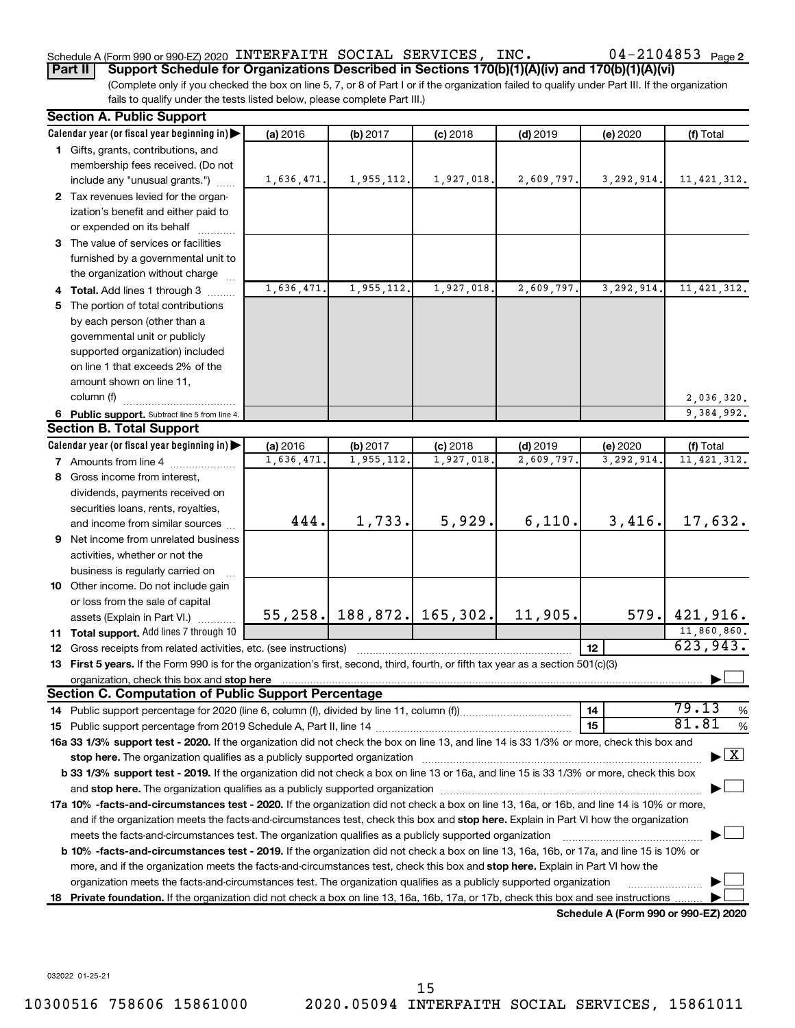## Schedule A (Form 990 or 990-EZ) 2020 <code>INTERFAITH SOCIAL SERVICES</code> , <code>INC</code> .  $04-2104853$  <code>Page</code>

**Part II Support Schedule for Organizations Described in Sections 170(b)(1)(A)(iv) and 170(b)(1)(A)(vi)**

(Complete only if you checked the box on line 5, 7, or 8 of Part I or if the organization failed to qualify under Part III. If the organization fails to qualify under the tests listed below, please complete Part III.)

| <b>Section A. Public Support</b>                                                                                                               |            |            |                                 |            |                                      |                                    |
|------------------------------------------------------------------------------------------------------------------------------------------------|------------|------------|---------------------------------|------------|--------------------------------------|------------------------------------|
| Calendar year (or fiscal year beginning in)                                                                                                    | (a) 2016   | (b) 2017   | $(c)$ 2018                      | $(d)$ 2019 | (e) 2020                             | (f) Total                          |
| 1 Gifts, grants, contributions, and                                                                                                            |            |            |                                 |            |                                      |                                    |
| membership fees received. (Do not                                                                                                              |            |            |                                 |            |                                      |                                    |
| include any "unusual grants.")                                                                                                                 | 1,636,471. | 1,955,112. | 1,927,018.                      | 2,609,797. | 3, 292, 914.                         | 11, 421, 312.                      |
| 2 Tax revenues levied for the organ-                                                                                                           |            |            |                                 |            |                                      |                                    |
| ization's benefit and either paid to                                                                                                           |            |            |                                 |            |                                      |                                    |
| or expended on its behalf                                                                                                                      |            |            |                                 |            |                                      |                                    |
| 3 The value of services or facilities                                                                                                          |            |            |                                 |            |                                      |                                    |
| furnished by a governmental unit to                                                                                                            |            |            |                                 |            |                                      |                                    |
| the organization without charge                                                                                                                |            |            |                                 |            |                                      |                                    |
| 4 Total. Add lines 1 through 3                                                                                                                 | 1,636,471  | 1,955,112. | 1,927,018                       | 2,609,797. | 3,292,914.                           | 11, 421, 312.                      |
| 5 The portion of total contributions                                                                                                           |            |            |                                 |            |                                      |                                    |
| by each person (other than a                                                                                                                   |            |            |                                 |            |                                      |                                    |
| governmental unit or publicly                                                                                                                  |            |            |                                 |            |                                      |                                    |
| supported organization) included                                                                                                               |            |            |                                 |            |                                      |                                    |
| on line 1 that exceeds 2% of the                                                                                                               |            |            |                                 |            |                                      |                                    |
| amount shown on line 11,                                                                                                                       |            |            |                                 |            |                                      |                                    |
| column (f)                                                                                                                                     |            |            |                                 |            |                                      | 2,036,320.                         |
| 6 Public support. Subtract line 5 from line 4.                                                                                                 |            |            |                                 |            |                                      | 9,384,992.                         |
| <b>Section B. Total Support</b>                                                                                                                |            |            |                                 |            |                                      |                                    |
| Calendar year (or fiscal year beginning in)                                                                                                    | (a) 2016   | (b) 2017   | $(c)$ 2018                      | $(d)$ 2019 | (e) 2020                             | (f) Total                          |
| <b>7</b> Amounts from line 4                                                                                                                   | 1,636,471  | 1,955,112. | 1,927,018                       | 2,609,797  | 3,292,914                            | 11, 421, 312.                      |
| 8 Gross income from interest,                                                                                                                  |            |            |                                 |            |                                      |                                    |
| dividends, payments received on                                                                                                                |            |            |                                 |            |                                      |                                    |
| securities loans, rents, royalties,                                                                                                            |            |            |                                 |            |                                      |                                    |
| and income from similar sources                                                                                                                | 444.       | 1,733.     | 5,929.                          | 6,110.     | 3,416.                               | 17,632.                            |
| 9 Net income from unrelated business                                                                                                           |            |            |                                 |            |                                      |                                    |
| activities, whether or not the                                                                                                                 |            |            |                                 |            |                                      |                                    |
| business is regularly carried on                                                                                                               |            |            |                                 |            |                                      |                                    |
| 10 Other income. Do not include gain                                                                                                           |            |            |                                 |            |                                      |                                    |
| or loss from the sale of capital                                                                                                               |            |            |                                 |            |                                      |                                    |
| assets (Explain in Part VI.)                                                                                                                   |            |            | $55, 258$ . 188, 872. 165, 302. | 11,905.    | 579.                                 | 421,916.                           |
| 11 Total support. Add lines 7 through 10                                                                                                       |            |            |                                 |            |                                      | 11,860,860.                        |
| <b>12</b> Gross receipts from related activities, etc. (see instructions)                                                                      |            |            |                                 |            | 12                                   | 623,943.                           |
| 13 First 5 years. If the Form 990 is for the organization's first, second, third, fourth, or fifth tax year as a section 501(c)(3)             |            |            |                                 |            |                                      |                                    |
|                                                                                                                                                |            |            |                                 |            |                                      |                                    |
| <b>Section C. Computation of Public Support Percentage</b>                                                                                     |            |            |                                 |            |                                      |                                    |
|                                                                                                                                                |            |            |                                 |            | 14                                   | 79.13<br>%                         |
|                                                                                                                                                |            |            |                                 |            | 15                                   | 81.81<br>%                         |
| 16a 33 1/3% support test - 2020. If the organization did not check the box on line 13, and line 14 is 33 1/3% or more, check this box and      |            |            |                                 |            |                                      |                                    |
| stop here. The organization qualifies as a publicly supported organization manufaction manufacture or the organization                         |            |            |                                 |            |                                      | $\blacktriangleright$ $\mathbf{X}$ |
| b 33 1/3% support test - 2019. If the organization did not check a box on line 13 or 16a, and line 15 is 33 1/3% or more, check this box       |            |            |                                 |            |                                      |                                    |
|                                                                                                                                                |            |            |                                 |            |                                      |                                    |
| 17a 10% -facts-and-circumstances test - 2020. If the organization did not check a box on line 13, 16a, or 16b, and line 14 is 10% or more,     |            |            |                                 |            |                                      |                                    |
| and if the organization meets the facts-and-circumstances test, check this box and stop here. Explain in Part VI how the organization          |            |            |                                 |            |                                      |                                    |
| meets the facts-and-circumstances test. The organization qualifies as a publicly supported organization                                        |            |            |                                 |            |                                      |                                    |
| <b>b 10%</b> -facts-and-circumstances test - 2019. If the organization did not check a box on line 13, 16a, 16b, or 17a, and line 15 is 10% or |            |            |                                 |            |                                      |                                    |
| more, and if the organization meets the facts-and-circumstances test, check this box and stop here. Explain in Part VI how the                 |            |            |                                 |            |                                      |                                    |
| organization meets the facts-and-circumstances test. The organization qualifies as a publicly supported organization                           |            |            |                                 |            |                                      |                                    |
| 18 Private foundation. If the organization did not check a box on line 13, 16a, 16b, 17a, or 17b, check this box and see instructions          |            |            |                                 |            |                                      |                                    |
|                                                                                                                                                |            |            |                                 |            | Schedule A (Form 990 or 990-F7) 2020 |                                    |

**Schedule A (Form 990 or 990-EZ) 2020**

032022 01-25-21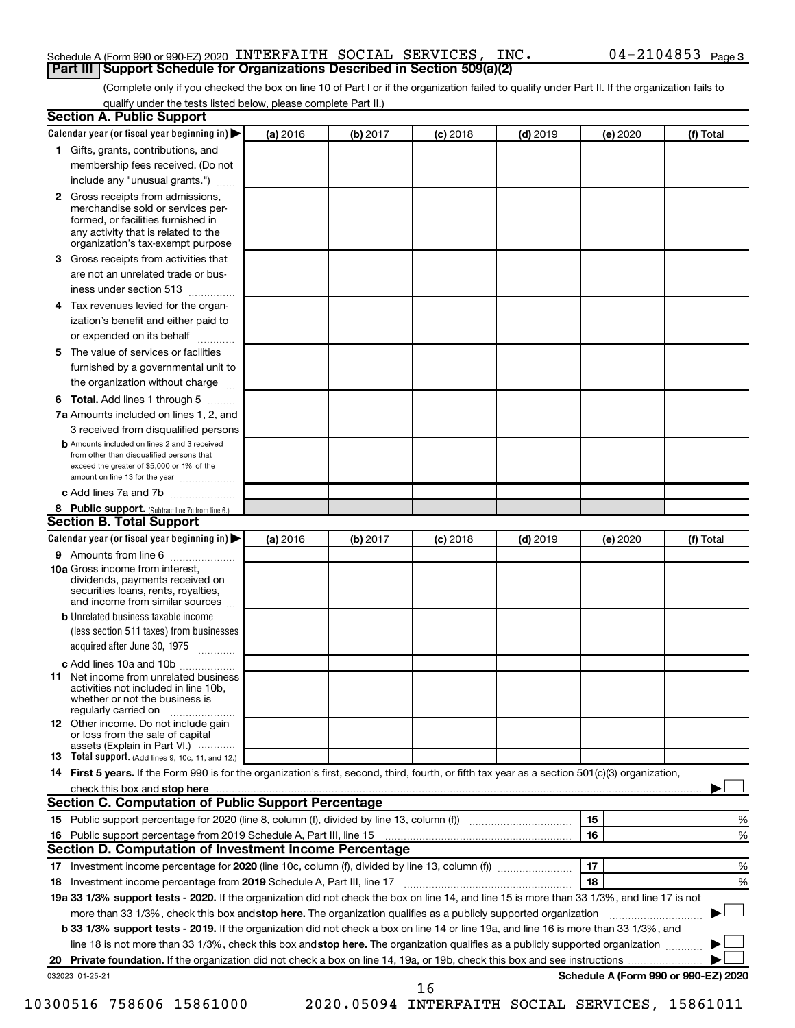## Schedule A (Form 990 or 990-EZ) 2020 <code>INTERFAITH SOCIAL SERVICES</code> , <code>INC</code> .  $04-2104853$  <code>Page</code> **Part III Support Schedule for Organizations Described in Section 509(a)(2)**

(Complete only if you checked the box on line 10 of Part I or if the organization failed to qualify under Part II. If the organization fails to qualify under the tests listed below, please complete Part II.)

| <b>Section A. Public Support</b>                                                                                                                                                                |          |          |            |            |          |                                      |
|-------------------------------------------------------------------------------------------------------------------------------------------------------------------------------------------------|----------|----------|------------|------------|----------|--------------------------------------|
| Calendar year (or fiscal year beginning in)                                                                                                                                                     | (a) 2016 | (b) 2017 | (c) 2018   | $(d)$ 2019 | (e) 2020 | (f) Total                            |
| 1 Gifts, grants, contributions, and                                                                                                                                                             |          |          |            |            |          |                                      |
| membership fees received. (Do not                                                                                                                                                               |          |          |            |            |          |                                      |
| include any "unusual grants.")                                                                                                                                                                  |          |          |            |            |          |                                      |
| <b>2</b> Gross receipts from admissions,<br>merchandise sold or services per-<br>formed, or facilities furnished in<br>any activity that is related to the<br>organization's tax-exempt purpose |          |          |            |            |          |                                      |
| 3 Gross receipts from activities that                                                                                                                                                           |          |          |            |            |          |                                      |
| are not an unrelated trade or bus-                                                                                                                                                              |          |          |            |            |          |                                      |
| iness under section 513                                                                                                                                                                         |          |          |            |            |          |                                      |
| 4 Tax revenues levied for the organ-                                                                                                                                                            |          |          |            |            |          |                                      |
| ization's benefit and either paid to                                                                                                                                                            |          |          |            |            |          |                                      |
| or expended on its behalf                                                                                                                                                                       |          |          |            |            |          |                                      |
| 5 The value of services or facilities                                                                                                                                                           |          |          |            |            |          |                                      |
| furnished by a governmental unit to                                                                                                                                                             |          |          |            |            |          |                                      |
| the organization without charge                                                                                                                                                                 |          |          |            |            |          |                                      |
| <b>6 Total.</b> Add lines 1 through 5                                                                                                                                                           |          |          |            |            |          |                                      |
| 7a Amounts included on lines 1, 2, and                                                                                                                                                          |          |          |            |            |          |                                      |
| 3 received from disqualified persons                                                                                                                                                            |          |          |            |            |          |                                      |
| <b>b</b> Amounts included on lines 2 and 3 received<br>from other than disqualified persons that<br>exceed the greater of \$5,000 or 1% of the<br>amount on line 13 for the year                |          |          |            |            |          |                                      |
| c Add lines 7a and 7b                                                                                                                                                                           |          |          |            |            |          |                                      |
| 8 Public support. (Subtract line 7c from line 6.)                                                                                                                                               |          |          |            |            |          |                                      |
| <b>Section B. Total Support</b>                                                                                                                                                                 |          |          |            |            |          |                                      |
| Calendar year (or fiscal year beginning in)                                                                                                                                                     | (a) 2016 | (b) 2017 | $(c)$ 2018 | $(d)$ 2019 | (e) 2020 | (f) Total                            |
| 9 Amounts from line 6                                                                                                                                                                           |          |          |            |            |          |                                      |
| <b>10a</b> Gross income from interest,<br>dividends, payments received on<br>securities loans, rents, royalties,<br>and income from similar sources                                             |          |          |            |            |          |                                      |
| <b>b</b> Unrelated business taxable income<br>(less section 511 taxes) from businesses<br>acquired after June 30, 1975                                                                          |          |          |            |            |          |                                      |
| c Add lines 10a and 10b                                                                                                                                                                         |          |          |            |            |          |                                      |
| <b>11</b> Net income from unrelated business<br>activities not included in line 10b.<br>whether or not the business is<br>regularly carried on                                                  |          |          |            |            |          |                                      |
| 12 Other income. Do not include gain<br>or loss from the sale of capital<br>assets (Explain in Part VI.)                                                                                        |          |          |            |            |          |                                      |
| <b>13</b> Total support. (Add lines 9, 10c, 11, and 12.)                                                                                                                                        |          |          |            |            |          |                                      |
| 14 First 5 years. If the Form 990 is for the organization's first, second, third, fourth, or fifth tax year as a section 501(c)(3) organization,                                                |          |          |            |            |          |                                      |
|                                                                                                                                                                                                 |          |          |            |            |          |                                      |
| Section C. Computation of Public Support Percentage                                                                                                                                             |          |          |            |            |          |                                      |
| 15 Public support percentage for 2020 (line 8, column (f), divided by line 13, column (f) <i></i>                                                                                               |          |          |            |            | 15       | %                                    |
|                                                                                                                                                                                                 |          |          |            |            | 16       | %                                    |
| Section D. Computation of Investment Income Percentage                                                                                                                                          |          |          |            |            |          |                                      |
| 17 Investment income percentage for 2020 (line 10c, column (f), divided by line 13, column (f))                                                                                                 |          |          |            |            | 17       | %                                    |
| 18 Investment income percentage from 2019 Schedule A, Part III, line 17                                                                                                                         |          |          |            |            | 18       | %                                    |
| 19a 33 1/3% support tests - 2020. If the organization did not check the box on line 14, and line 15 is more than 33 1/3%, and line 17 is not                                                    |          |          |            |            |          |                                      |
| more than 33 1/3%, check this box and stop here. The organization qualifies as a publicly supported organization                                                                                |          |          |            |            |          |                                      |
| b 33 1/3% support tests - 2019. If the organization did not check a box on line 14 or line 19a, and line 16 is more than 33 1/3%, and                                                           |          |          |            |            |          |                                      |
| line 18 is not more than 33 1/3%, check this box and stop here. The organization qualifies as a publicly supported organization                                                                 |          |          |            |            |          |                                      |
|                                                                                                                                                                                                 |          |          |            |            |          |                                      |
| 032023 01-25-21                                                                                                                                                                                 |          |          | 16         |            |          | Schedule A (Form 990 or 990-EZ) 2020 |

10300516 758606 15861000 2020.05094 INTERFAITH SOCIAL SERVICES, 15861011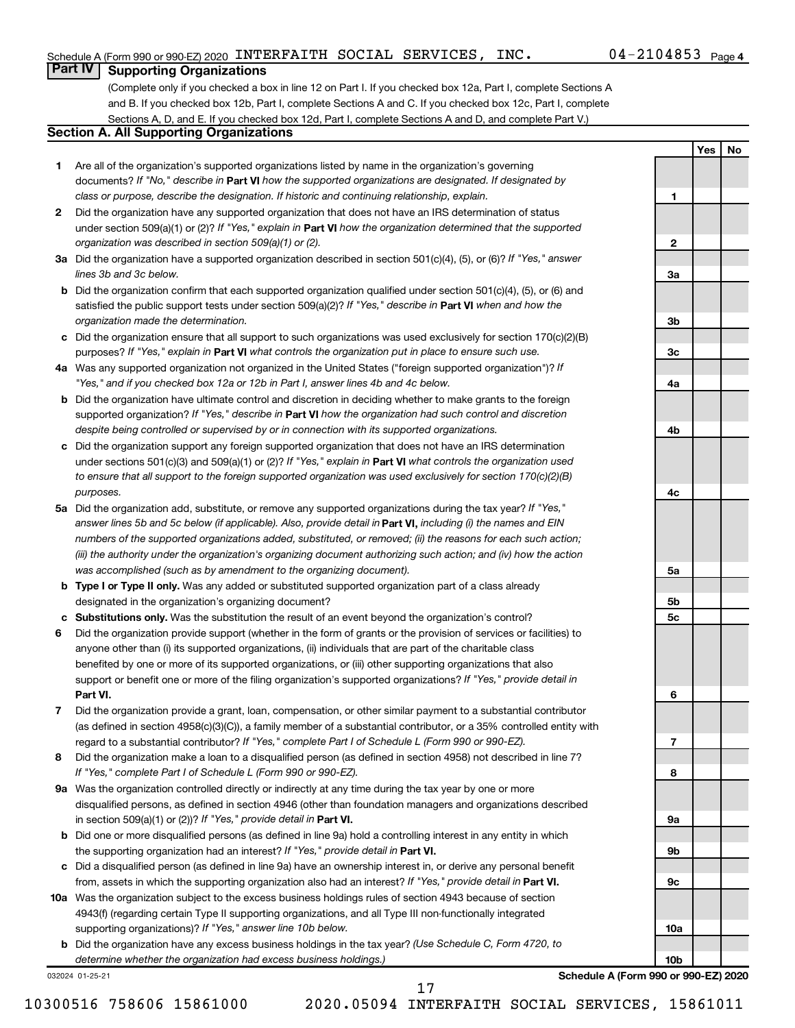**1**

**2**

**3a**

**3b**

**3c**

**4a**

**4b**

**4c**

**5a**

**5b 5c**

**6**

**7**

**8**

**9a**

**9b**

**9c**

**10a**

**10b**

**Yes No**

## **Part IV Supporting Organizations**

(Complete only if you checked a box in line 12 on Part I. If you checked box 12a, Part I, complete Sections A and B. If you checked box 12b, Part I, complete Sections A and C. If you checked box 12c, Part I, complete Sections A, D, and E. If you checked box 12d, Part I, complete Sections A and D, and complete Part V.)

## **Section A. All Supporting Organizations**

- **1** Are all of the organization's supported organizations listed by name in the organization's governing documents? If "No," describe in Part VI how the supported organizations are designated. If designated by *class or purpose, describe the designation. If historic and continuing relationship, explain.*
- **2** Did the organization have any supported organization that does not have an IRS determination of status under section 509(a)(1) or (2)? If "Yes," explain in Part **VI** how the organization determined that the supported *organization was described in section 509(a)(1) or (2).*
- **3a** Did the organization have a supported organization described in section 501(c)(4), (5), or (6)? If "Yes," answer *lines 3b and 3c below.*
- **b** Did the organization confirm that each supported organization qualified under section 501(c)(4), (5), or (6) and satisfied the public support tests under section 509(a)(2)? If "Yes," describe in Part VI when and how the *organization made the determination.*
- **c** Did the organization ensure that all support to such organizations was used exclusively for section 170(c)(2)(B) purposes? If "Yes," explain in Part VI what controls the organization put in place to ensure such use.
- **4 a** *If* Was any supported organization not organized in the United States ("foreign supported organization")? *"Yes," and if you checked box 12a or 12b in Part I, answer lines 4b and 4c below.*
- **b** Did the organization have ultimate control and discretion in deciding whether to make grants to the foreign supported organization? If "Yes," describe in Part VI how the organization had such control and discretion *despite being controlled or supervised by or in connection with its supported organizations.*
- **c** Did the organization support any foreign supported organization that does not have an IRS determination under sections 501(c)(3) and 509(a)(1) or (2)? If "Yes," explain in Part VI what controls the organization used *to ensure that all support to the foreign supported organization was used exclusively for section 170(c)(2)(B) purposes.*
- **5a** Did the organization add, substitute, or remove any supported organizations during the tax year? If "Yes," answer lines 5b and 5c below (if applicable). Also, provide detail in **Part VI,** including (i) the names and EIN *numbers of the supported organizations added, substituted, or removed; (ii) the reasons for each such action; (iii) the authority under the organization's organizing document authorizing such action; and (iv) how the action was accomplished (such as by amendment to the organizing document).*
- **b** Type I or Type II only. Was any added or substituted supported organization part of a class already designated in the organization's organizing document?
- **c Substitutions only.**  Was the substitution the result of an event beyond the organization's control?
- **6** Did the organization provide support (whether in the form of grants or the provision of services or facilities) to **Part VI.** support or benefit one or more of the filing organization's supported organizations? If "Yes," provide detail in anyone other than (i) its supported organizations, (ii) individuals that are part of the charitable class benefited by one or more of its supported organizations, or (iii) other supporting organizations that also
- **7** Did the organization provide a grant, loan, compensation, or other similar payment to a substantial contributor regard to a substantial contributor? If "Yes," complete Part I of Schedule L (Form 990 or 990-EZ). (as defined in section 4958(c)(3)(C)), a family member of a substantial contributor, or a 35% controlled entity with
- **8** Did the organization make a loan to a disqualified person (as defined in section 4958) not described in line 7? *If "Yes," complete Part I of Schedule L (Form 990 or 990-EZ).*
- **9 a** Was the organization controlled directly or indirectly at any time during the tax year by one or more in section 509(a)(1) or (2))? If "Yes," provide detail in **Part VI.** disqualified persons, as defined in section 4946 (other than foundation managers and organizations described
- **b** Did one or more disqualified persons (as defined in line 9a) hold a controlling interest in any entity in which the supporting organization had an interest? If "Yes," provide detail in Part VI.
- **c** Did a disqualified person (as defined in line 9a) have an ownership interest in, or derive any personal benefit from, assets in which the supporting organization also had an interest? If "Yes," provide detail in Part VI.
- **10 a** Was the organization subject to the excess business holdings rules of section 4943 because of section supporting organizations)? If "Yes," answer line 10b below. 4943(f) (regarding certain Type II supporting organizations, and all Type III non-functionally integrated
	- **b** Did the organization have any excess business holdings in the tax year? (Use Schedule C, Form 4720, to *determine whether the organization had excess business holdings.)*

032024 01-25-21

**Schedule A (Form 990 or 990-EZ) 2020**

10300516 758606 15861000 2020.05094 INTERFAITH SOCIAL SERVICES, 15861011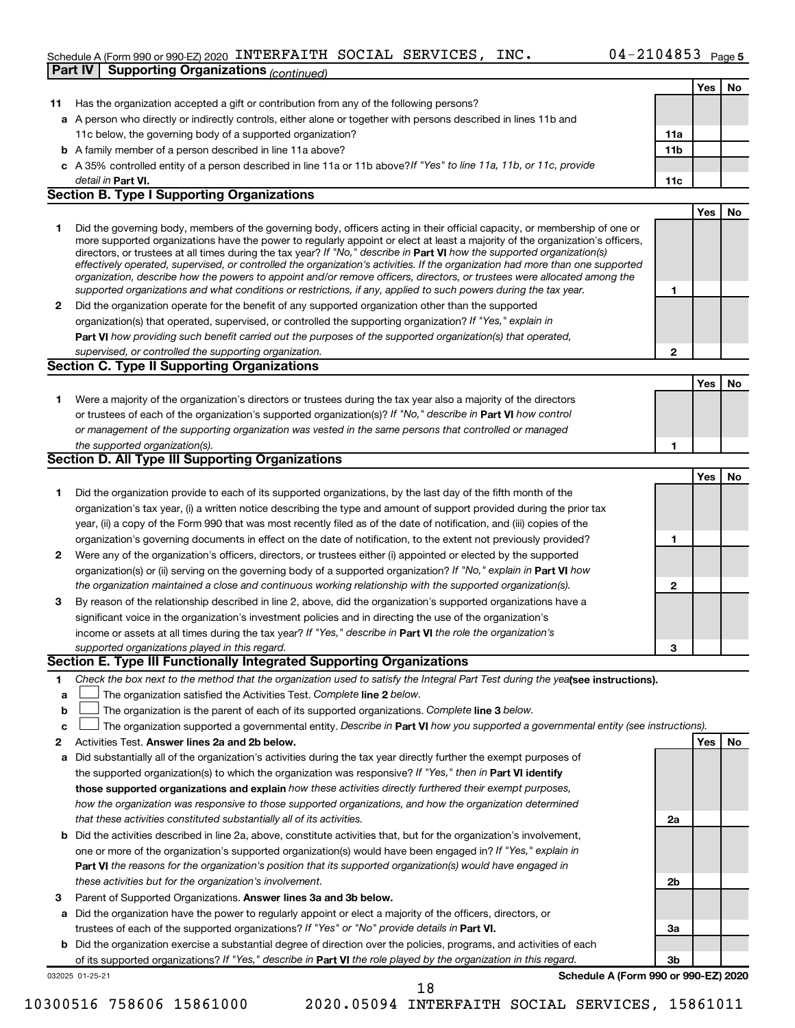## Schedule A (Form 990 or 990-EZ) 2020 <code>INTERFAITH SOCIAL SERVICES</code> , <code>INC</code> .  $04-2104853$  <code>Page</code> **Part IV | Supporting Organizations** *(continued)*

|    |                                                                                                                                                                                                                                                           |                | Yes | No |
|----|-----------------------------------------------------------------------------------------------------------------------------------------------------------------------------------------------------------------------------------------------------------|----------------|-----|----|
| 11 | Has the organization accepted a gift or contribution from any of the following persons?                                                                                                                                                                   |                |     |    |
|    | a A person who directly or indirectly controls, either alone or together with persons described in lines 11b and                                                                                                                                          |                |     |    |
|    | 11c below, the governing body of a supported organization?                                                                                                                                                                                                | 11a            |     |    |
|    | <b>b</b> A family member of a person described in line 11a above?                                                                                                                                                                                         | 11b            |     |    |
|    | c A 35% controlled entity of a person described in line 11a or 11b above? If "Yes" to line 11a, 11b, or 11c, provide                                                                                                                                      |                |     |    |
|    | detail in Part VI.                                                                                                                                                                                                                                        | 11c            |     |    |
|    | <b>Section B. Type I Supporting Organizations</b>                                                                                                                                                                                                         |                |     |    |
|    |                                                                                                                                                                                                                                                           |                | Yes | No |
| 1  | Did the governing body, members of the governing body, officers acting in their official capacity, or membership of one or                                                                                                                                |                |     |    |
|    | more supported organizations have the power to regularly appoint or elect at least a majority of the organization's officers,                                                                                                                             |                |     |    |
|    | directors, or trustees at all times during the tax year? If "No," describe in Part VI how the supported organization(s)<br>effectively operated, supervised, or controlled the organization's activities. If the organization had more than one supported |                |     |    |
|    | organization, describe how the powers to appoint and/or remove officers, directors, or trustees were allocated among the                                                                                                                                  |                |     |    |
|    | supported organizations and what conditions or restrictions, if any, applied to such powers during the tax year.                                                                                                                                          | 1              |     |    |
| 2  | Did the organization operate for the benefit of any supported organization other than the supported                                                                                                                                                       |                |     |    |
|    | organization(s) that operated, supervised, or controlled the supporting organization? If "Yes," explain in                                                                                                                                                |                |     |    |
|    | Part VI how providing such benefit carried out the purposes of the supported organization(s) that operated,                                                                                                                                               |                |     |    |
|    | supervised, or controlled the supporting organization.                                                                                                                                                                                                    | $\mathbf{2}$   |     |    |
|    | <b>Section C. Type II Supporting Organizations</b>                                                                                                                                                                                                        |                |     |    |
|    |                                                                                                                                                                                                                                                           |                | Yes | No |
| 1  | Were a majority of the organization's directors or trustees during the tax year also a majority of the directors                                                                                                                                          |                |     |    |
|    | or trustees of each of the organization's supported organization(s)? If "No," describe in Part VI how control                                                                                                                                             |                |     |    |
|    | or management of the supporting organization was vested in the same persons that controlled or managed                                                                                                                                                    |                |     |    |
|    | the supported organization(s).                                                                                                                                                                                                                            | 1              |     |    |
|    | Section D. All Type III Supporting Organizations                                                                                                                                                                                                          |                |     |    |
|    |                                                                                                                                                                                                                                                           |                | Yes | No |
| 1  | Did the organization provide to each of its supported organizations, by the last day of the fifth month of the                                                                                                                                            |                |     |    |
|    | organization's tax year, (i) a written notice describing the type and amount of support provided during the prior tax                                                                                                                                     |                |     |    |
|    | year, (ii) a copy of the Form 990 that was most recently filed as of the date of notification, and (iii) copies of the                                                                                                                                    |                |     |    |
|    | organization's governing documents in effect on the date of notification, to the extent not previously provided?                                                                                                                                          | 1              |     |    |
| 2  | Were any of the organization's officers, directors, or trustees either (i) appointed or elected by the supported                                                                                                                                          |                |     |    |
|    | organization(s) or (ii) serving on the governing body of a supported organization? If "No," explain in Part VI how                                                                                                                                        |                |     |    |
|    | the organization maintained a close and continuous working relationship with the supported organization(s).                                                                                                                                               | $\mathbf{2}$   |     |    |
| 3  | By reason of the relationship described in line 2, above, did the organization's supported organizations have a                                                                                                                                           |                |     |    |
|    | significant voice in the organization's investment policies and in directing the use of the organization's                                                                                                                                                |                |     |    |
|    | income or assets at all times during the tax year? If "Yes," describe in Part VI the role the organization's                                                                                                                                              |                |     |    |
|    | supported organizations played in this regard.                                                                                                                                                                                                            | 3              |     |    |
|    | Section E. Type III Functionally Integrated Supporting Organizations                                                                                                                                                                                      |                |     |    |
| 1. | Check the box next to the method that the organization used to satisfy the Integral Part Test during the yealsee instructions).                                                                                                                           |                |     |    |
| а  | The organization satisfied the Activities Test. Complete line 2 below.                                                                                                                                                                                    |                |     |    |
| b  | The organization is the parent of each of its supported organizations. Complete line 3 below.                                                                                                                                                             |                |     |    |
| c  | The organization supported a governmental entity. Describe in Part VI how you supported a governmental entity (see instructions).                                                                                                                         |                |     |    |
| 2  | Activities Test. Answer lines 2a and 2b below.                                                                                                                                                                                                            |                | Yes | No |
| а  | Did substantially all of the organization's activities during the tax year directly further the exempt purposes of                                                                                                                                        |                |     |    |
|    | the supported organization(s) to which the organization was responsive? If "Yes," then in Part VI identify                                                                                                                                                |                |     |    |
|    | those supported organizations and explain how these activities directly furthered their exempt purposes,                                                                                                                                                  |                |     |    |
|    | how the organization was responsive to those supported organizations, and how the organization determined                                                                                                                                                 |                |     |    |
|    | that these activities constituted substantially all of its activities.                                                                                                                                                                                    | 2a             |     |    |
| b  | Did the activities described in line 2a, above, constitute activities that, but for the organization's involvement,                                                                                                                                       |                |     |    |
|    | one or more of the organization's supported organization(s) would have been engaged in? If "Yes," explain in                                                                                                                                              |                |     |    |
|    | <b>Part VI</b> the reasons for the organization's position that its supported organization(s) would have engaged in                                                                                                                                       |                |     |    |
|    | these activities but for the organization's involvement.                                                                                                                                                                                                  | 2b             |     |    |
|    |                                                                                                                                                                                                                                                           |                |     |    |
| з  | Parent of Supported Organizations. Answer lines 3a and 3b below.                                                                                                                                                                                          |                |     |    |
| а  | Did the organization have the power to regularly appoint or elect a majority of the officers, directors, or<br>trustees of each of the supported organizations? If "Yes" or "No" provide details in Part VI.                                              |                |     |    |
|    |                                                                                                                                                                                                                                                           | За             |     |    |
| b  | Did the organization exercise a substantial degree of direction over the policies, programs, and activities of each                                                                                                                                       | 3 <sub>b</sub> |     |    |
|    | of its supported organizations? If "Yes," describe in Part VI the role played by the organization in this regard.<br>Schedule A (Form 990 or 990-EZ) 2020                                                                                                 |                |     |    |
|    | 032025 01-25-21<br>18                                                                                                                                                                                                                                     |                |     |    |

<sup>10300516 758606 15861000 2020.05094</sup> INTERFAITH SOCIAL SERVICES, 15861011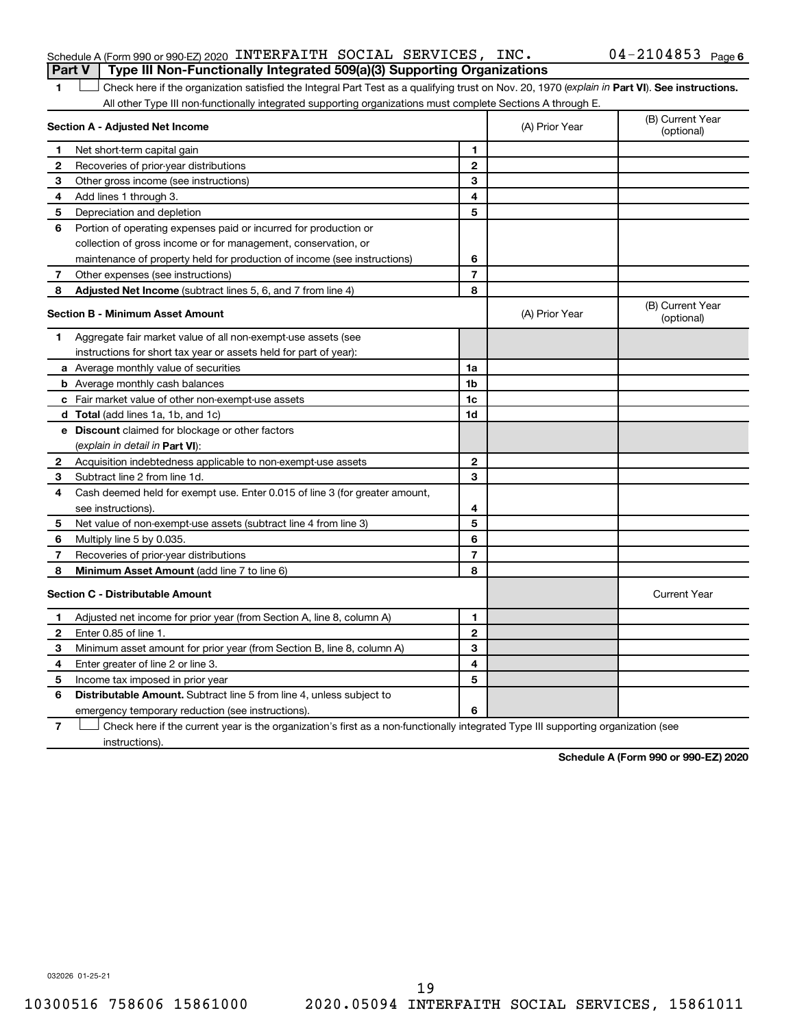## Schedule A (Form 990 or 990-EZ) 2020 <code>INTERFAITH SOCIAL SERVICES</code> , <code>INC</code> .  $04-2104853$  <code>Page</code> **Part V Type III Non-Functionally Integrated 509(a)(3) Supporting Organizations**

1 **Letter See instructions.** Check here if the organization satisfied the Integral Part Test as a qualifying trust on Nov. 20, 1970 (*explain in* Part **VI**). See instructions. All other Type III non-functionally integrated supporting organizations must complete Sections A through E.

| Section A - Adjusted Net Income |                                                                                                                                   |                          | (A) Prior Year | (B) Current Year<br>(optional) |
|---------------------------------|-----------------------------------------------------------------------------------------------------------------------------------|--------------------------|----------------|--------------------------------|
| 1                               | Net short-term capital gain                                                                                                       | 1                        |                |                                |
| 2                               | Recoveries of prior-year distributions                                                                                            | $\mathbf{2}$             |                |                                |
| 3                               | Other gross income (see instructions)                                                                                             | 3                        |                |                                |
| 4                               | Add lines 1 through 3.                                                                                                            | 4                        |                |                                |
| 5                               | Depreciation and depletion                                                                                                        | 5                        |                |                                |
| 6                               | Portion of operating expenses paid or incurred for production or                                                                  |                          |                |                                |
|                                 | collection of gross income or for management, conservation, or                                                                    |                          |                |                                |
|                                 | maintenance of property held for production of income (see instructions)                                                          | 6                        |                |                                |
| 7                               | Other expenses (see instructions)                                                                                                 | $\overline{\phantom{a}}$ |                |                                |
| 8                               | Adjusted Net Income (subtract lines 5, 6, and 7 from line 4)                                                                      | 8                        |                |                                |
|                                 | <b>Section B - Minimum Asset Amount</b>                                                                                           |                          | (A) Prior Year | (B) Current Year<br>(optional) |
| 1.                              | Aggregate fair market value of all non-exempt-use assets (see                                                                     |                          |                |                                |
|                                 | instructions for short tax year or assets held for part of year):                                                                 |                          |                |                                |
|                                 | a Average monthly value of securities                                                                                             | 1a                       |                |                                |
|                                 | <b>b</b> Average monthly cash balances                                                                                            | 1 <sub>b</sub>           |                |                                |
|                                 | c Fair market value of other non-exempt-use assets                                                                                | 1c                       |                |                                |
|                                 | d Total (add lines 1a, 1b, and 1c)                                                                                                | 1d                       |                |                                |
|                                 | <b>e</b> Discount claimed for blockage or other factors                                                                           |                          |                |                                |
|                                 | (explain in detail in Part VI):                                                                                                   |                          |                |                                |
| 2                               | Acquisition indebtedness applicable to non-exempt-use assets                                                                      | $\mathbf{2}$             |                |                                |
| 3                               | Subtract line 2 from line 1d.                                                                                                     | 3                        |                |                                |
| 4                               | Cash deemed held for exempt use. Enter 0.015 of line 3 (for greater amount,                                                       |                          |                |                                |
|                                 | see instructions).                                                                                                                | 4                        |                |                                |
| 5                               | Net value of non-exempt-use assets (subtract line 4 from line 3)                                                                  | 5                        |                |                                |
| 6                               | Multiply line 5 by 0.035.                                                                                                         | 6                        |                |                                |
| 7                               | Recoveries of prior-year distributions                                                                                            | $\overline{\phantom{a}}$ |                |                                |
| 8                               | Minimum Asset Amount (add line 7 to line 6)                                                                                       | 8                        |                |                                |
|                                 | <b>Section C - Distributable Amount</b>                                                                                           |                          |                | <b>Current Year</b>            |
| 1                               | Adjusted net income for prior year (from Section A, line 8, column A)                                                             | $\mathbf{1}$             |                |                                |
| 2                               | Enter 0.85 of line 1.                                                                                                             | $\overline{2}$           |                |                                |
| З                               | Minimum asset amount for prior year (from Section B, line 8, column A)                                                            | 3                        |                |                                |
| 4                               | Enter greater of line 2 or line 3.                                                                                                | 4                        |                |                                |
| 5                               | Income tax imposed in prior year                                                                                                  | 5                        |                |                                |
| 6                               | <b>Distributable Amount.</b> Subtract line 5 from line 4, unless subject to                                                       |                          |                |                                |
|                                 | emergency temporary reduction (see instructions).                                                                                 | 6                        |                |                                |
| 7                               | Check here if the current year is the organization's first as a non-functionally integrated Type III supporting organization (see |                          |                |                                |

instructions).

**Schedule A (Form 990 or 990-EZ) 2020**

032026 01-25-21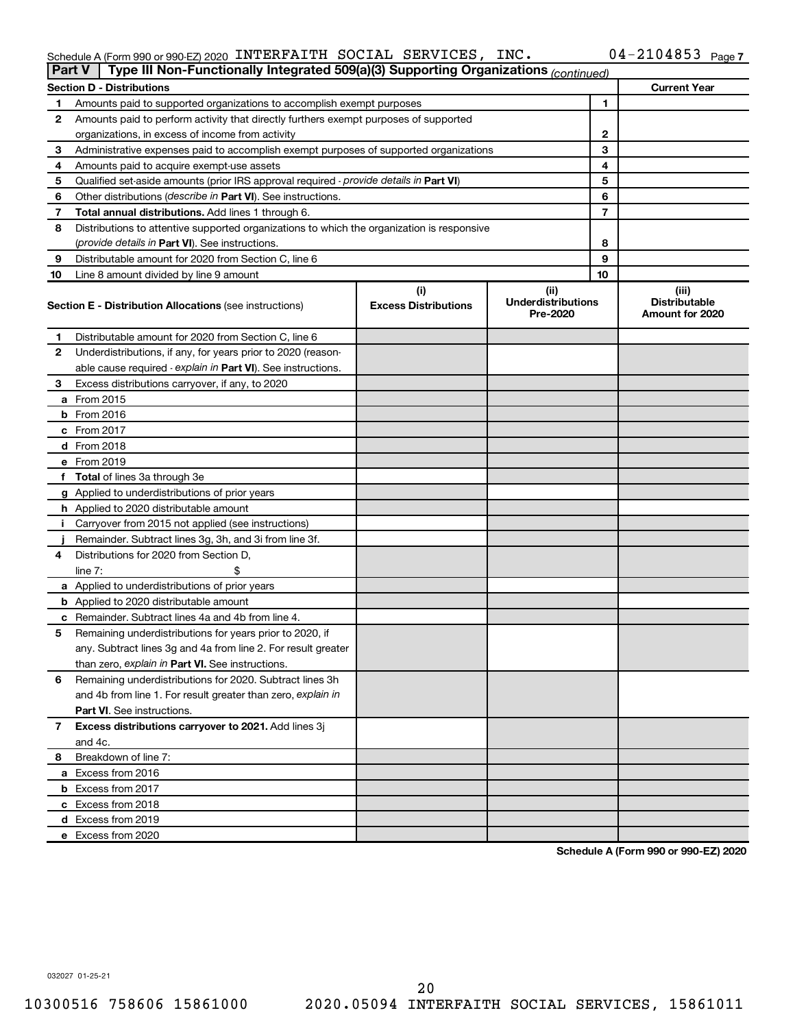#### Schedule A (Form 990 or 990-EZ) 2020 INTERFAITH SOCIAL SERVICES, INC.  $04 - 2104853$  Page INTERFAITH SOCIAL SERVICES, INC. 04-2104853

| Type III Non-Functionally Integrated 509(a)(3) Supporting Organizations (continued)<br><b>Part V</b> |                                                                                            |                                    |                                               |                                                  |  |  |  |  |
|------------------------------------------------------------------------------------------------------|--------------------------------------------------------------------------------------------|------------------------------------|-----------------------------------------------|--------------------------------------------------|--|--|--|--|
|                                                                                                      | <b>Section D - Distributions</b>                                                           |                                    |                                               | <b>Current Year</b>                              |  |  |  |  |
| 1                                                                                                    | Amounts paid to supported organizations to accomplish exempt purposes                      |                                    | 1                                             |                                                  |  |  |  |  |
| 2                                                                                                    | Amounts paid to perform activity that directly furthers exempt purposes of supported       |                                    |                                               |                                                  |  |  |  |  |
|                                                                                                      | organizations, in excess of income from activity                                           |                                    | 2                                             |                                                  |  |  |  |  |
| 3                                                                                                    | Administrative expenses paid to accomplish exempt purposes of supported organizations      | 3                                  |                                               |                                                  |  |  |  |  |
| 4                                                                                                    | Amounts paid to acquire exempt-use assets                                                  |                                    | 4                                             |                                                  |  |  |  |  |
| 5                                                                                                    | Qualified set-aside amounts (prior IRS approval required - provide details in Part VI)     |                                    | 5                                             |                                                  |  |  |  |  |
| 6                                                                                                    | Other distributions ( <i>describe in Part VI</i> ). See instructions.                      |                                    | 6                                             |                                                  |  |  |  |  |
| 7                                                                                                    | Total annual distributions. Add lines 1 through 6.                                         |                                    | 7                                             |                                                  |  |  |  |  |
| 8                                                                                                    | Distributions to attentive supported organizations to which the organization is responsive |                                    |                                               |                                                  |  |  |  |  |
|                                                                                                      | ( <i>provide details in Part VI</i> ). See instructions.                                   |                                    | 8                                             |                                                  |  |  |  |  |
| 9                                                                                                    | Distributable amount for 2020 from Section C, line 6                                       |                                    | 9                                             |                                                  |  |  |  |  |
| 10                                                                                                   | Line 8 amount divided by line 9 amount                                                     |                                    | 10                                            |                                                  |  |  |  |  |
|                                                                                                      | <b>Section E - Distribution Allocations (see instructions)</b>                             | (i)<br><b>Excess Distributions</b> | (ii)<br><b>Underdistributions</b><br>Pre-2020 | (iii)<br><b>Distributable</b><br>Amount for 2020 |  |  |  |  |
| 1                                                                                                    | Distributable amount for 2020 from Section C, line 6                                       |                                    |                                               |                                                  |  |  |  |  |
| 2                                                                                                    | Underdistributions, if any, for years prior to 2020 (reason-                               |                                    |                                               |                                                  |  |  |  |  |
|                                                                                                      | able cause required - explain in Part VI). See instructions.                               |                                    |                                               |                                                  |  |  |  |  |
| 3                                                                                                    | Excess distributions carryover, if any, to 2020                                            |                                    |                                               |                                                  |  |  |  |  |
|                                                                                                      | a From 2015                                                                                |                                    |                                               |                                                  |  |  |  |  |
|                                                                                                      | $b$ From 2016                                                                              |                                    |                                               |                                                  |  |  |  |  |
|                                                                                                      | c From 2017                                                                                |                                    |                                               |                                                  |  |  |  |  |
|                                                                                                      | d From 2018                                                                                |                                    |                                               |                                                  |  |  |  |  |
|                                                                                                      | e From 2019                                                                                |                                    |                                               |                                                  |  |  |  |  |
|                                                                                                      | f Total of lines 3a through 3e                                                             |                                    |                                               |                                                  |  |  |  |  |
|                                                                                                      | g Applied to underdistributions of prior years                                             |                                    |                                               |                                                  |  |  |  |  |
|                                                                                                      | <b>h</b> Applied to 2020 distributable amount                                              |                                    |                                               |                                                  |  |  |  |  |
|                                                                                                      | Carryover from 2015 not applied (see instructions)                                         |                                    |                                               |                                                  |  |  |  |  |
|                                                                                                      | Remainder. Subtract lines 3g, 3h, and 3i from line 3f.                                     |                                    |                                               |                                                  |  |  |  |  |
| 4                                                                                                    | Distributions for 2020 from Section D,                                                     |                                    |                                               |                                                  |  |  |  |  |
|                                                                                                      | line $7:$                                                                                  |                                    |                                               |                                                  |  |  |  |  |
|                                                                                                      | a Applied to underdistributions of prior years                                             |                                    |                                               |                                                  |  |  |  |  |
|                                                                                                      | <b>b</b> Applied to 2020 distributable amount                                              |                                    |                                               |                                                  |  |  |  |  |
|                                                                                                      | <b>c</b> Remainder. Subtract lines 4a and 4b from line 4.                                  |                                    |                                               |                                                  |  |  |  |  |
| 5                                                                                                    | Remaining underdistributions for years prior to 2020, if                                   |                                    |                                               |                                                  |  |  |  |  |
|                                                                                                      | any. Subtract lines 3g and 4a from line 2. For result greater                              |                                    |                                               |                                                  |  |  |  |  |
|                                                                                                      | than zero, explain in Part VI. See instructions.                                           |                                    |                                               |                                                  |  |  |  |  |
| 6                                                                                                    | Remaining underdistributions for 2020. Subtract lines 3h                                   |                                    |                                               |                                                  |  |  |  |  |
|                                                                                                      | and 4b from line 1. For result greater than zero, explain in                               |                                    |                                               |                                                  |  |  |  |  |
|                                                                                                      | <b>Part VI.</b> See instructions.                                                          |                                    |                                               |                                                  |  |  |  |  |
| 7                                                                                                    | Excess distributions carryover to 2021. Add lines 3j                                       |                                    |                                               |                                                  |  |  |  |  |
|                                                                                                      | and 4c.                                                                                    |                                    |                                               |                                                  |  |  |  |  |
| 8                                                                                                    | Breakdown of line 7:                                                                       |                                    |                                               |                                                  |  |  |  |  |
|                                                                                                      | a Excess from 2016                                                                         |                                    |                                               |                                                  |  |  |  |  |
|                                                                                                      | <b>b</b> Excess from 2017                                                                  |                                    |                                               |                                                  |  |  |  |  |
|                                                                                                      | c Excess from 2018                                                                         |                                    |                                               |                                                  |  |  |  |  |
|                                                                                                      | d Excess from 2019                                                                         |                                    |                                               |                                                  |  |  |  |  |
|                                                                                                      | e Excess from 2020                                                                         |                                    |                                               |                                                  |  |  |  |  |

**Schedule A (Form 990 or 990-EZ) 2020**

032027 01-25-21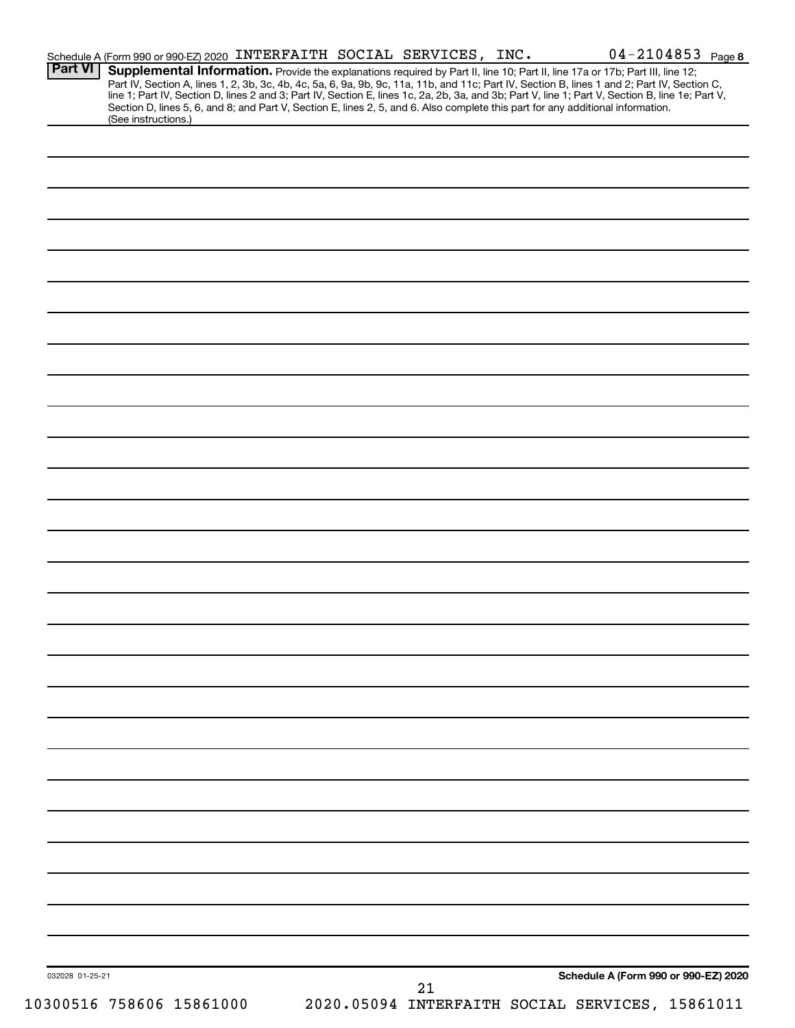| <b>Part VI</b>  | Schedule A (Form 990 or 990-EZ) 2020 INTERFAITH SOCIAL SERVICES, INC.                                                                                                                                                         |  |    | $04 - 2104853$ Page 8                           |
|-----------------|-------------------------------------------------------------------------------------------------------------------------------------------------------------------------------------------------------------------------------|--|----|-------------------------------------------------|
|                 | Supplemental Information. Provide the explanations required by Part II, line 10; Part II, line 17a or 17b; Part III, line 12;                                                                                                 |  |    |                                                 |
|                 | Part IV, Section A, lines 1, 2, 3b, 3c, 4b, 4c, 5a, 6, 9a, 9b, 9c, 11a, 11b, and 11c; Part IV, Section B, lines 1 and 2; Part IV, Section C, line 1; Part IV, Section D, lines 2 and 3; Part IV, Section E, lines 1c, 2a, 2b, |  |    |                                                 |
|                 | Section D, lines 5, 6, and 8; and Part V, Section E, lines 2, 5, and 6. Also complete this part for any additional information.<br>(See instructions.)                                                                        |  |    |                                                 |
|                 |                                                                                                                                                                                                                               |  |    |                                                 |
|                 |                                                                                                                                                                                                                               |  |    |                                                 |
|                 |                                                                                                                                                                                                                               |  |    |                                                 |
|                 |                                                                                                                                                                                                                               |  |    |                                                 |
|                 |                                                                                                                                                                                                                               |  |    |                                                 |
|                 |                                                                                                                                                                                                                               |  |    |                                                 |
|                 |                                                                                                                                                                                                                               |  |    |                                                 |
|                 |                                                                                                                                                                                                                               |  |    |                                                 |
|                 |                                                                                                                                                                                                                               |  |    |                                                 |
|                 |                                                                                                                                                                                                                               |  |    |                                                 |
|                 |                                                                                                                                                                                                                               |  |    |                                                 |
|                 |                                                                                                                                                                                                                               |  |    |                                                 |
|                 |                                                                                                                                                                                                                               |  |    |                                                 |
|                 |                                                                                                                                                                                                                               |  |    |                                                 |
|                 |                                                                                                                                                                                                                               |  |    |                                                 |
|                 |                                                                                                                                                                                                                               |  |    |                                                 |
|                 |                                                                                                                                                                                                                               |  |    |                                                 |
|                 |                                                                                                                                                                                                                               |  |    |                                                 |
|                 |                                                                                                                                                                                                                               |  |    |                                                 |
|                 |                                                                                                                                                                                                                               |  |    |                                                 |
|                 |                                                                                                                                                                                                                               |  |    |                                                 |
|                 |                                                                                                                                                                                                                               |  |    |                                                 |
|                 |                                                                                                                                                                                                                               |  |    |                                                 |
|                 |                                                                                                                                                                                                                               |  |    |                                                 |
|                 |                                                                                                                                                                                                                               |  |    |                                                 |
|                 |                                                                                                                                                                                                                               |  |    |                                                 |
|                 |                                                                                                                                                                                                                               |  |    |                                                 |
|                 |                                                                                                                                                                                                                               |  |    |                                                 |
|                 |                                                                                                                                                                                                                               |  |    |                                                 |
|                 |                                                                                                                                                                                                                               |  |    |                                                 |
|                 |                                                                                                                                                                                                                               |  |    |                                                 |
|                 |                                                                                                                                                                                                                               |  |    |                                                 |
|                 |                                                                                                                                                                                                                               |  |    |                                                 |
|                 |                                                                                                                                                                                                                               |  |    |                                                 |
|                 |                                                                                                                                                                                                                               |  |    |                                                 |
|                 |                                                                                                                                                                                                                               |  |    |                                                 |
|                 |                                                                                                                                                                                                                               |  |    |                                                 |
|                 |                                                                                                                                                                                                                               |  |    |                                                 |
|                 |                                                                                                                                                                                                                               |  |    |                                                 |
|                 |                                                                                                                                                                                                                               |  |    |                                                 |
|                 |                                                                                                                                                                                                                               |  |    |                                                 |
|                 |                                                                                                                                                                                                                               |  |    |                                                 |
|                 |                                                                                                                                                                                                                               |  |    |                                                 |
|                 |                                                                                                                                                                                                                               |  |    |                                                 |
|                 |                                                                                                                                                                                                                               |  |    |                                                 |
|                 |                                                                                                                                                                                                                               |  |    |                                                 |
|                 |                                                                                                                                                                                                                               |  |    |                                                 |
|                 |                                                                                                                                                                                                                               |  |    |                                                 |
|                 |                                                                                                                                                                                                                               |  |    |                                                 |
|                 |                                                                                                                                                                                                                               |  |    |                                                 |
|                 |                                                                                                                                                                                                                               |  |    |                                                 |
|                 |                                                                                                                                                                                                                               |  |    |                                                 |
| 032028 01-25-21 |                                                                                                                                                                                                                               |  |    | Schedule A (Form 990 or 990-EZ) 2020            |
|                 |                                                                                                                                                                                                                               |  | 21 |                                                 |
|                 | 10300516 758606 15861000                                                                                                                                                                                                      |  |    | 2020.05094 INTERFAITH SOCIAL SERVICES, 15861011 |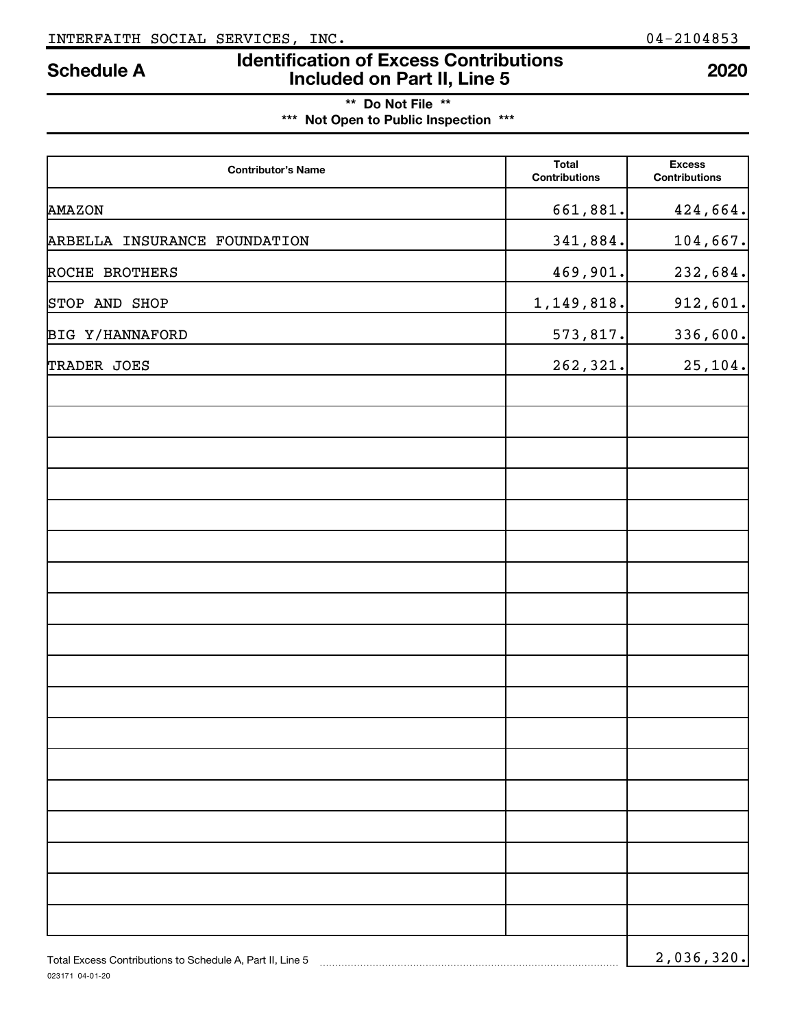# **\*\* Do Not File \*\* \*\*\* Not Open to Public Inspection \*\*\***

| <b>Contributor's Name</b>                                 | <b>Total</b><br><b>Contributions</b> | <b>Excess</b><br><b>Contributions</b> |
|-----------------------------------------------------------|--------------------------------------|---------------------------------------|
| <b>AMAZON</b>                                             | 661,881.                             | 424,664.                              |
| ARBELLA INSURANCE FOUNDATION                              | 341,884.                             | 104,667.                              |
| ROCHE BROTHERS                                            | 469,901.                             | 232,684.                              |
| STOP AND SHOP                                             | 1,149,818.                           | 912,601.                              |
| BIG Y/HANNAFORD                                           | 573,817.                             | 336,600.                              |
| TRADER JOES                                               | 262,321.                             | 25,104.                               |
|                                                           |                                      |                                       |
|                                                           |                                      |                                       |
|                                                           |                                      |                                       |
|                                                           |                                      |                                       |
|                                                           |                                      |                                       |
|                                                           |                                      |                                       |
|                                                           |                                      |                                       |
|                                                           |                                      |                                       |
|                                                           |                                      |                                       |
|                                                           |                                      |                                       |
|                                                           |                                      |                                       |
|                                                           |                                      |                                       |
|                                                           |                                      |                                       |
|                                                           |                                      |                                       |
|                                                           |                                      |                                       |
|                                                           |                                      |                                       |
|                                                           |                                      |                                       |
| Total Excess Contributions to Schedule A, Part II, Line 5 |                                      | 2,036,320.                            |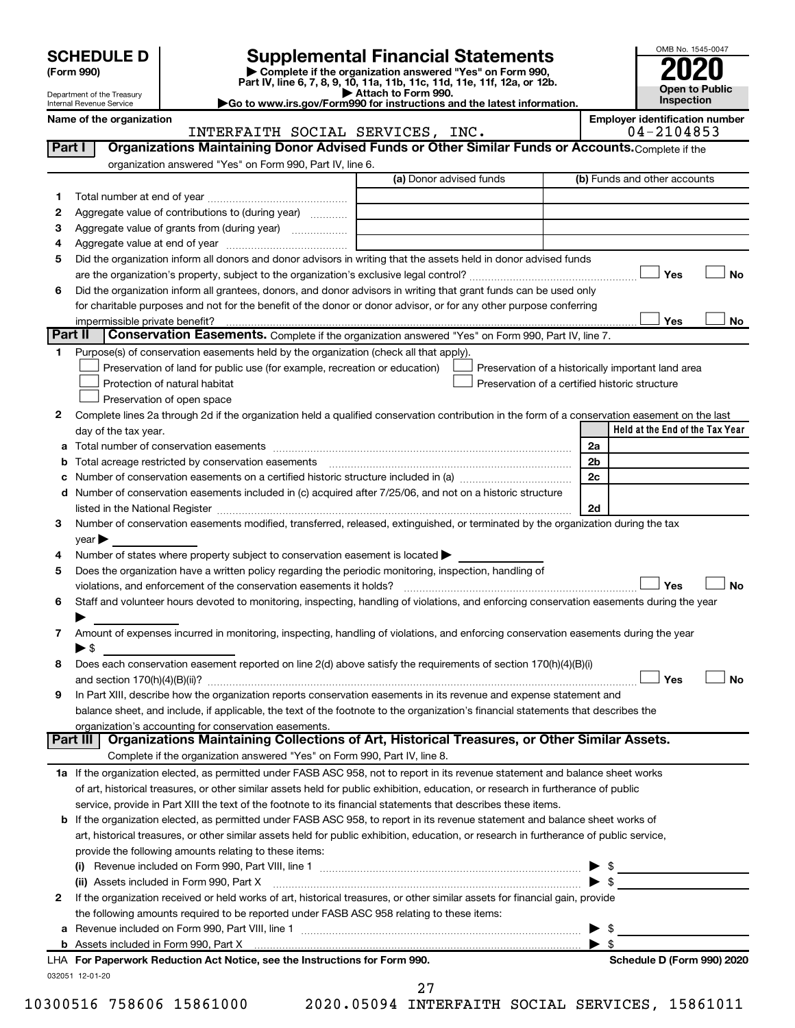| <b>SCHEDULE D</b> |  |
|-------------------|--|
|-------------------|--|

| (Form 990) |  |
|------------|--|
|------------|--|

# **SCHEDULE D Supplemental Financial Statements**<br> **Form 990 2020**<br> **Part IV** line 6.7.8.9.10, 11a, 11b, 11d, 11d, 11d, 11d, 11d, 12a, 0r, 12b

**(Form 990) | Complete if the organization answered "Yes" on Form 990, Part IV, line 6, 7, 8, 9, 10, 11a, 11b, 11c, 11d, 11e, 11f, 12a, or 12b.**

**| Attach to Form 990. |Go to www.irs.gov/Form990 for instructions and the latest information.**



Department of the Treasury Internal Revenue Service

Name of the organization<br>**INTERFAITH SOCIAL SERVICES, INC.** 64-2104853 INTERFAITH SOCIAL SERVICES, INC. 04-2104853

|             |                                                                                                                                                | (a) Donor advised funds | (b) Funds and other accounts                          |
|-------------|------------------------------------------------------------------------------------------------------------------------------------------------|-------------------------|-------------------------------------------------------|
| 1           |                                                                                                                                                |                         |                                                       |
| 2           | Aggregate value of contributions to (during year)                                                                                              |                         |                                                       |
| З           | Aggregate value of grants from (during year)                                                                                                   |                         |                                                       |
| 4           |                                                                                                                                                |                         |                                                       |
| 5           | Did the organization inform all donors and donor advisors in writing that the assets held in donor advised funds                               |                         |                                                       |
|             |                                                                                                                                                |                         | J Yes<br>No                                           |
| 6           | Did the organization inform all grantees, donors, and donor advisors in writing that grant funds can be used only                              |                         |                                                       |
|             | for charitable purposes and not for the benefit of the donor or donor advisor, or for any other purpose conferring                             |                         |                                                       |
|             | impermissible private benefit?                                                                                                                 |                         | Yes<br>No                                             |
| Part II     | Conservation Easements. Complete if the organization answered "Yes" on Form 990, Part IV, line 7.                                              |                         |                                                       |
| 1.          | Purpose(s) of conservation easements held by the organization (check all that apply).                                                          |                         |                                                       |
|             | Preservation of land for public use (for example, recreation or education)                                                                     |                         | Preservation of a historically important land area    |
|             | Protection of natural habitat                                                                                                                  |                         | Preservation of a certified historic structure        |
|             | Preservation of open space                                                                                                                     |                         |                                                       |
| 2           | Complete lines 2a through 2d if the organization held a qualified conservation contribution in the form of a conservation easement on the last |                         |                                                       |
|             | day of the tax year.                                                                                                                           |                         | Held at the End of the Tax Year                       |
| а           |                                                                                                                                                |                         | 2a                                                    |
| b           | Total acreage restricted by conservation easements                                                                                             |                         | 2 <sub>b</sub>                                        |
| с           | Number of conservation easements on a certified historic structure included in (a) manufacture included in (a)                                 |                         | 2c                                                    |
| d           | Number of conservation easements included in (c) acquired after 7/25/06, and not on a historic structure                                       |                         |                                                       |
|             | listed in the National Register [1111] is the National Register [111] is the Mational Material Anna Material A                                 |                         | 2d                                                    |
| 3           | Number of conservation easements modified, transferred, released, extinguished, or terminated by the organization during the tax               |                         |                                                       |
|             | $year \blacktriangleright$                                                                                                                     |                         |                                                       |
| 4           | Number of states where property subject to conservation easement is located >                                                                  |                         |                                                       |
| 5           | Does the organization have a written policy regarding the periodic monitoring, inspection, handling of                                         |                         |                                                       |
|             | violations, and enforcement of the conservation easements it holds?                                                                            |                         | Yes                                                   |
| 6           | Staff and volunteer hours devoted to monitoring, inspecting, handling of violations, and enforcing conservation easements during the year      |                         |                                                       |
|             |                                                                                                                                                |                         |                                                       |
|             |                                                                                                                                                |                         |                                                       |
|             | Amount of expenses incurred in monitoring, inspecting, handling of violations, and enforcing conservation easements during the year            |                         |                                                       |
|             | $\blacktriangleright$ s                                                                                                                        |                         |                                                       |
|             | Does each conservation easement reported on line 2(d) above satisfy the requirements of section 170(h)(4)(B)(i)                                |                         |                                                       |
|             |                                                                                                                                                |                         | Yes                                                   |
|             | In Part XIII, describe how the organization reports conservation easements in its revenue and expense statement and                            |                         |                                                       |
|             | balance sheet, and include, if applicable, the text of the footnote to the organization's financial statements that describes the              |                         |                                                       |
|             | organization's accounting for conservation easements.                                                                                          |                         |                                                       |
|             | Organizations Maintaining Collections of Art, Historical Treasures, or Other Similar Assets.<br>Part III I                                     |                         |                                                       |
|             | Complete if the organization answered "Yes" on Form 990, Part IV, line 8.                                                                      |                         |                                                       |
|             | 1a If the organization elected, as permitted under FASB ASC 958, not to report in its revenue statement and balance sheet works                |                         |                                                       |
|             | of art, historical treasures, or other similar assets held for public exhibition, education, or research in furtherance of public              |                         |                                                       |
|             | service, provide in Part XIII the text of the footnote to its financial statements that describes these items.                                 |                         |                                                       |
|             | b If the organization elected, as permitted under FASB ASC 958, to report in its revenue statement and balance sheet works of                  |                         |                                                       |
|             | art, historical treasures, or other similar assets held for public exhibition, education, or research in furtherance of public service,        |                         |                                                       |
|             | provide the following amounts relating to these items:                                                                                         |                         |                                                       |
| 7<br>8<br>9 |                                                                                                                                                |                         |                                                       |
|             | (ii) Assets included in Form 990, Part X                                                                                                       |                         | $\blacktriangleright$ \$                              |
| 2           | If the organization received or held works of art, historical treasures, or other similar assets for financial gain, provide                   |                         |                                                       |
|             | the following amounts required to be reported under FASB ASC 958 relating to these items:                                                      |                         |                                                       |
|             |                                                                                                                                                |                         | - \$                                                  |
|             | LHA For Paperwork Reduction Act Notice, see the Instructions for Form 990.                                                                     |                         | $\blacktriangleright$ s<br>Schedule D (Form 990) 2020 |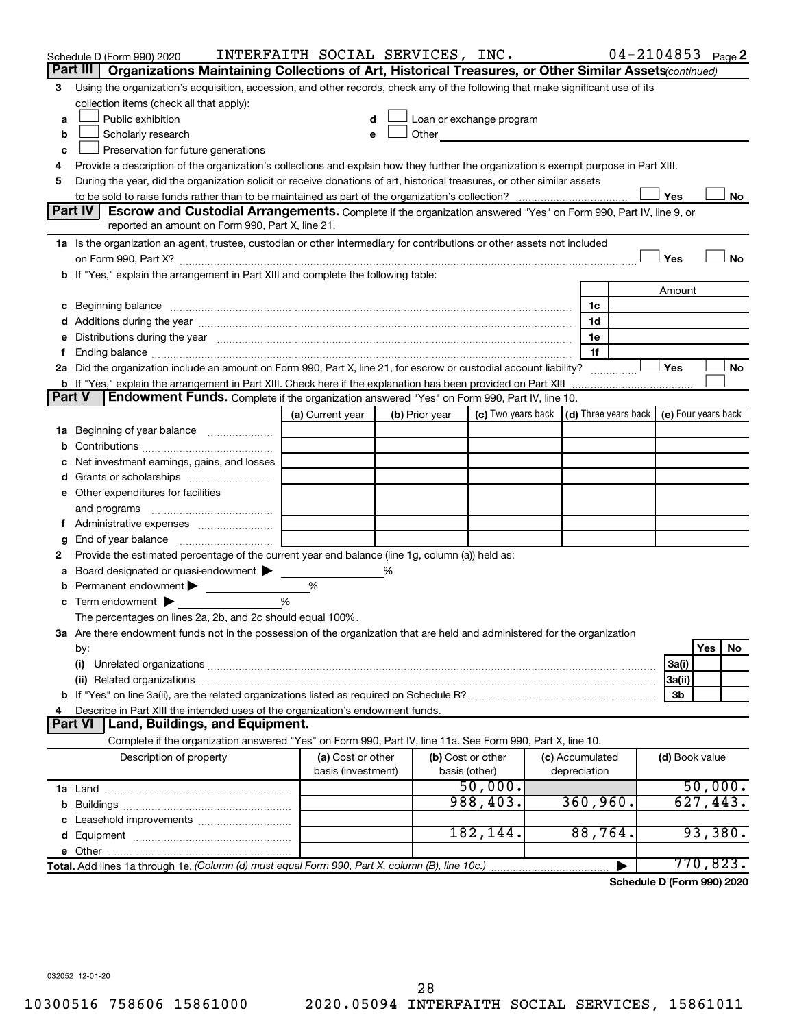|               | Schedule D (Form 990) 2020                                                                                                                                                                                                     | INTERFAITH SOCIAL SERVICES, INC.        |   |                |                                                                                                                                                                                                                               |                                            |                | 04-2104853 Page 2 |    |
|---------------|--------------------------------------------------------------------------------------------------------------------------------------------------------------------------------------------------------------------------------|-----------------------------------------|---|----------------|-------------------------------------------------------------------------------------------------------------------------------------------------------------------------------------------------------------------------------|--------------------------------------------|----------------|-------------------|----|
|               | Part III<br>Organizations Maintaining Collections of Art, Historical Treasures, or Other Similar Assets(continued)                                                                                                             |                                         |   |                |                                                                                                                                                                                                                               |                                            |                |                   |    |
| 3             | Using the organization's acquisition, accession, and other records, check any of the following that make significant use of its                                                                                                |                                         |   |                |                                                                                                                                                                                                                               |                                            |                |                   |    |
|               | collection items (check all that apply):                                                                                                                                                                                       |                                         |   |                |                                                                                                                                                                                                                               |                                            |                |                   |    |
| a             | Public exhibition                                                                                                                                                                                                              |                                         |   |                | Loan or exchange program                                                                                                                                                                                                      |                                            |                |                   |    |
| b             | Scholarly research                                                                                                                                                                                                             | e                                       |   |                | Other and the contract of the contract of the contract of the contract of the contract of the contract of the contract of the contract of the contract of the contract of the contract of the contract of the contract of the |                                            |                |                   |    |
| с             | Preservation for future generations                                                                                                                                                                                            |                                         |   |                |                                                                                                                                                                                                                               |                                            |                |                   |    |
| 4             | Provide a description of the organization's collections and explain how they further the organization's exempt purpose in Part XIII.                                                                                           |                                         |   |                |                                                                                                                                                                                                                               |                                            |                |                   |    |
| 5             | During the year, did the organization solicit or receive donations of art, historical treasures, or other similar assets                                                                                                       |                                         |   |                |                                                                                                                                                                                                                               |                                            |                |                   |    |
|               | Part IV<br>Escrow and Custodial Arrangements. Complete if the organization answered "Yes" on Form 990, Part IV, line 9, or                                                                                                     |                                         |   |                |                                                                                                                                                                                                                               |                                            | Yes            |                   | No |
|               | reported an amount on Form 990, Part X, line 21.                                                                                                                                                                               |                                         |   |                |                                                                                                                                                                                                                               |                                            |                |                   |    |
|               | 1a Is the organization an agent, trustee, custodian or other intermediary for contributions or other assets not included                                                                                                       |                                         |   |                |                                                                                                                                                                                                                               |                                            |                |                   |    |
|               |                                                                                                                                                                                                                                |                                         |   |                |                                                                                                                                                                                                                               |                                            | Yes            |                   | No |
|               | b If "Yes," explain the arrangement in Part XIII and complete the following table:                                                                                                                                             |                                         |   |                |                                                                                                                                                                                                                               |                                            |                |                   |    |
|               |                                                                                                                                                                                                                                |                                         |   |                |                                                                                                                                                                                                                               |                                            | Amount         |                   |    |
|               | Beginning balance material content contracts and content to the content of the content of the content of the content of the content of the content of the content of the content of the content of the content of the content  |                                         |   |                |                                                                                                                                                                                                                               | 1c                                         |                |                   |    |
|               |                                                                                                                                                                                                                                |                                         |   |                |                                                                                                                                                                                                                               | 1d                                         |                |                   |    |
| е             | Distributions during the year measurement contains and all the year measurement of the state of the state of the state of the state of the state of the state of the state of the state of the state of the state of the state |                                         |   |                |                                                                                                                                                                                                                               | 1e                                         |                |                   |    |
| f.            |                                                                                                                                                                                                                                |                                         |   |                |                                                                                                                                                                                                                               | 1f                                         |                |                   |    |
|               | 2a Did the organization include an amount on Form 990, Part X, line 21, for escrow or custodial account liability?                                                                                                             |                                         |   |                |                                                                                                                                                                                                                               |                                            | Yes            |                   | No |
|               | <b>b</b> If "Yes," explain the arrangement in Part XIII. Check here if the explanation has been provided on Part XIII                                                                                                          |                                         |   |                |                                                                                                                                                                                                                               |                                            |                |                   |    |
| <b>Part V</b> | Endowment Funds. Complete if the organization answered "Yes" on Form 990, Part IV, line 10.                                                                                                                                    |                                         |   |                |                                                                                                                                                                                                                               |                                            |                |                   |    |
|               |                                                                                                                                                                                                                                | (a) Current year                        |   | (b) Prior year | (c) Two years back                                                                                                                                                                                                            | (d) Three years back   (e) Four years back |                |                   |    |
|               | 1a Beginning of year balance                                                                                                                                                                                                   |                                         |   |                |                                                                                                                                                                                                                               |                                            |                |                   |    |
| b             |                                                                                                                                                                                                                                |                                         |   |                |                                                                                                                                                                                                                               |                                            |                |                   |    |
|               | Net investment earnings, gains, and losses                                                                                                                                                                                     |                                         |   |                |                                                                                                                                                                                                                               |                                            |                |                   |    |
| d             |                                                                                                                                                                                                                                |                                         |   |                |                                                                                                                                                                                                                               |                                            |                |                   |    |
|               | e Other expenditures for facilities                                                                                                                                                                                            |                                         |   |                |                                                                                                                                                                                                                               |                                            |                |                   |    |
|               | and programs                                                                                                                                                                                                                   |                                         |   |                |                                                                                                                                                                                                                               |                                            |                |                   |    |
|               |                                                                                                                                                                                                                                |                                         |   |                |                                                                                                                                                                                                                               |                                            |                |                   |    |
| g<br>2        | Provide the estimated percentage of the current year end balance (line 1g, column (a)) held as:                                                                                                                                |                                         |   |                |                                                                                                                                                                                                                               |                                            |                |                   |    |
| а             | Board designated or quasi-endowment                                                                                                                                                                                            |                                         | % |                |                                                                                                                                                                                                                               |                                            |                |                   |    |
| b             | Permanent endowment >                                                                                                                                                                                                          | %                                       |   |                |                                                                                                                                                                                                                               |                                            |                |                   |    |
| c             | Term endowment $\blacktriangleright$                                                                                                                                                                                           | %                                       |   |                |                                                                                                                                                                                                                               |                                            |                |                   |    |
|               | The percentages on lines 2a, 2b, and 2c should equal 100%.                                                                                                                                                                     |                                         |   |                |                                                                                                                                                                                                                               |                                            |                |                   |    |
|               | 3a Are there endowment funds not in the possession of the organization that are held and administered for the organization                                                                                                     |                                         |   |                |                                                                                                                                                                                                                               |                                            |                |                   |    |
|               | by:                                                                                                                                                                                                                            |                                         |   |                |                                                                                                                                                                                                                               |                                            |                | Yes<br>No         |    |
|               | (i)                                                                                                                                                                                                                            |                                         |   |                |                                                                                                                                                                                                                               |                                            | 3a(i)          |                   |    |
|               |                                                                                                                                                                                                                                |                                         |   |                |                                                                                                                                                                                                                               |                                            | 3a(ii)         |                   |    |
|               |                                                                                                                                                                                                                                |                                         |   |                |                                                                                                                                                                                                                               |                                            | 3b             |                   |    |
| 4             | Describe in Part XIII the intended uses of the organization's endowment funds.                                                                                                                                                 |                                         |   |                |                                                                                                                                                                                                                               |                                            |                |                   |    |
|               | Part VI   Land, Buildings, and Equipment.                                                                                                                                                                                      |                                         |   |                |                                                                                                                                                                                                                               |                                            |                |                   |    |
|               | Complete if the organization answered "Yes" on Form 990, Part IV, line 11a. See Form 990, Part X, line 10.                                                                                                                     |                                         |   |                |                                                                                                                                                                                                                               |                                            |                |                   |    |
|               | Description of property                                                                                                                                                                                                        | (a) Cost or other<br>basis (investment) |   | basis (other)  | (b) Cost or other                                                                                                                                                                                                             | (c) Accumulated<br>depreciation            | (d) Book value |                   |    |
|               |                                                                                                                                                                                                                                |                                         |   |                | 50,000.                                                                                                                                                                                                                       |                                            |                | 50,000.           |    |
| b             |                                                                                                                                                                                                                                |                                         |   |                | 988, 403.                                                                                                                                                                                                                     | 360, 960.                                  |                | 627,443.          |    |
| c             | Leasehold improvements                                                                                                                                                                                                         |                                         |   |                |                                                                                                                                                                                                                               |                                            |                |                   |    |
|               |                                                                                                                                                                                                                                |                                         |   |                | 182, 144.                                                                                                                                                                                                                     | 88,764.                                    |                | 93,380.           |    |
|               |                                                                                                                                                                                                                                |                                         |   |                |                                                                                                                                                                                                                               |                                            |                |                   |    |
|               | Total. Add lines 1a through 1e. (Column (d) must equal Form 990, Part X, column (B), line 10c.)                                                                                                                                |                                         |   |                |                                                                                                                                                                                                                               |                                            |                | 770,823.          |    |

**Schedule D (Form 990) 2020**

032052 12-01-20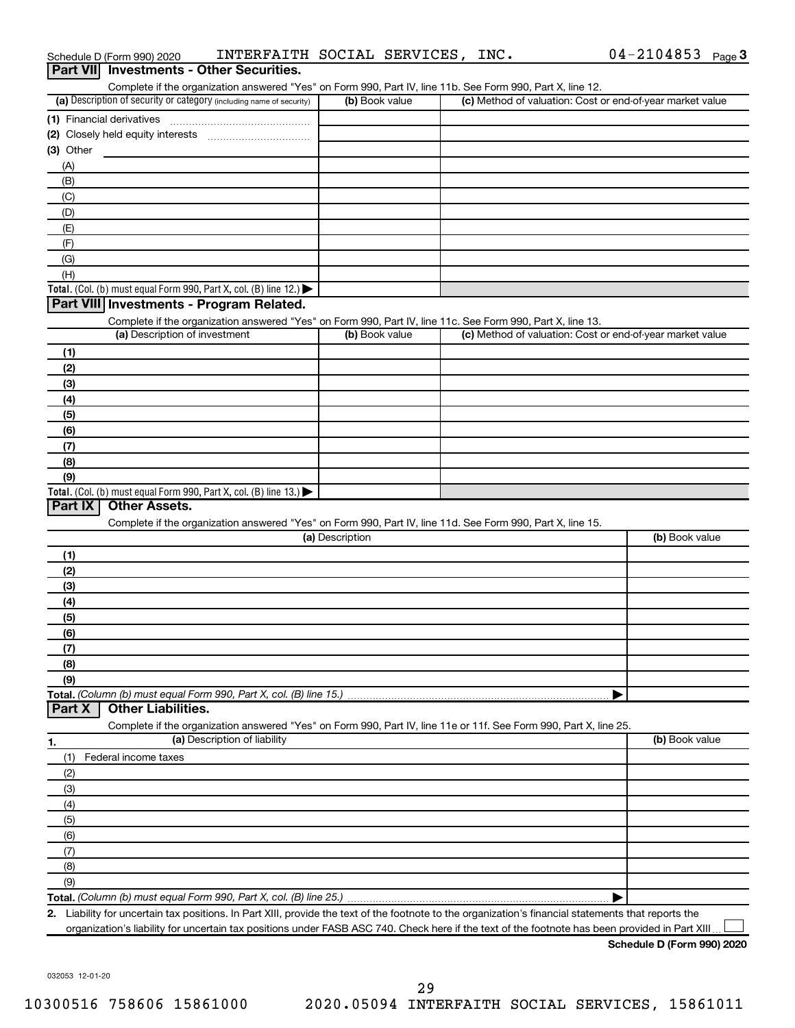| Part VII Investments - Other Securities.                                                                                                                                           |                 |                                                           |                |
|------------------------------------------------------------------------------------------------------------------------------------------------------------------------------------|-----------------|-----------------------------------------------------------|----------------|
| Complete if the organization answered "Yes" on Form 990, Part IV, line 11b. See Form 990, Part X, line 12.<br>(a) Description of security or category (including name of security) | (b) Book value  | (c) Method of valuation: Cost or end-of-year market value |                |
|                                                                                                                                                                                    |                 |                                                           |                |
|                                                                                                                                                                                    |                 |                                                           |                |
| (3) Other                                                                                                                                                                          |                 |                                                           |                |
| (A)                                                                                                                                                                                |                 |                                                           |                |
| (B)                                                                                                                                                                                |                 |                                                           |                |
| (C)                                                                                                                                                                                |                 |                                                           |                |
| (D)                                                                                                                                                                                |                 |                                                           |                |
| (E)                                                                                                                                                                                |                 |                                                           |                |
| (F)                                                                                                                                                                                |                 |                                                           |                |
| (G)                                                                                                                                                                                |                 |                                                           |                |
| (H)                                                                                                                                                                                |                 |                                                           |                |
| Total. (Col. (b) must equal Form 990, Part X, col. (B) line 12.) $\blacktriangleright$                                                                                             |                 |                                                           |                |
| Part VIII Investments - Program Related.                                                                                                                                           |                 |                                                           |                |
| Complete if the organization answered "Yes" on Form 990, Part IV, line 11c. See Form 990, Part X, line 13.                                                                         |                 |                                                           |                |
| (a) Description of investment                                                                                                                                                      | (b) Book value  | (c) Method of valuation: Cost or end-of-year market value |                |
| (1)                                                                                                                                                                                |                 |                                                           |                |
| (2)                                                                                                                                                                                |                 |                                                           |                |
| (3)                                                                                                                                                                                |                 |                                                           |                |
| (4)                                                                                                                                                                                |                 |                                                           |                |
| (5)                                                                                                                                                                                |                 |                                                           |                |
| (6)                                                                                                                                                                                |                 |                                                           |                |
| (7)                                                                                                                                                                                |                 |                                                           |                |
| (8)                                                                                                                                                                                |                 |                                                           |                |
| (9)                                                                                                                                                                                |                 |                                                           |                |
| Total. (Col. (b) must equal Form 990, Part X, col. (B) line 13.) $\blacktriangleright$                                                                                             |                 |                                                           |                |
| Part IX<br><b>Other Assets.</b>                                                                                                                                                    |                 |                                                           |                |
| Complete if the organization answered "Yes" on Form 990, Part IV, line 11d. See Form 990, Part X, line 15.                                                                         |                 |                                                           |                |
|                                                                                                                                                                                    | (a) Description |                                                           | (b) Book value |
| (1)                                                                                                                                                                                |                 |                                                           |                |
| (2)                                                                                                                                                                                |                 |                                                           |                |
| (3)                                                                                                                                                                                |                 |                                                           |                |
| (4)                                                                                                                                                                                |                 |                                                           |                |
| (5)                                                                                                                                                                                |                 |                                                           |                |
| (6)                                                                                                                                                                                |                 |                                                           |                |
| (7)                                                                                                                                                                                |                 |                                                           |                |
| (8)                                                                                                                                                                                |                 |                                                           |                |
| (9)                                                                                                                                                                                |                 |                                                           |                |
| Total. (Column (b) must equal Form 990, Part X, col. (B) line 15.)                                                                                                                 |                 |                                                           |                |
| <b>Other Liabilities.</b><br>Part X                                                                                                                                                |                 |                                                           |                |
| Complete if the organization answered "Yes" on Form 990, Part IV, line 11e or 11f. See Form 990, Part X, line 25.                                                                  |                 |                                                           |                |
| (a) Description of liability<br>1.                                                                                                                                                 |                 |                                                           | (b) Book value |
| (1)<br>Federal income taxes                                                                                                                                                        |                 |                                                           |                |
| (2)                                                                                                                                                                                |                 |                                                           |                |
| (3)                                                                                                                                                                                |                 |                                                           |                |
| (4)                                                                                                                                                                                |                 |                                                           |                |
| (5)                                                                                                                                                                                |                 |                                                           |                |
| (6)                                                                                                                                                                                |                 |                                                           |                |
| (7)                                                                                                                                                                                |                 |                                                           |                |
| (8)                                                                                                                                                                                |                 |                                                           |                |
| (9)                                                                                                                                                                                |                 |                                                           |                |
|                                                                                                                                                                                    |                 |                                                           |                |
| 2. Liability for uncertain tax positions. In Part XIII, provide the text of the footnote to the organization's financial statements that reports the                               |                 |                                                           |                |
| organization's liability for uncertain tax positions under FASB ASC 740. Check here if the text of the footnote has been provided in Part XIII.                                    |                 |                                                           |                |

**Schedule D (Form 990) 2020**

032053 12-01-20

# Schedule D (Form 990) 2020  $\;$  <code>INTERFAITH SOCIAL SERVICES</code> , <code>INC</code> .  $\;$  04-2104853 <code>Page</code>

 $04 - 2104853$  Page 3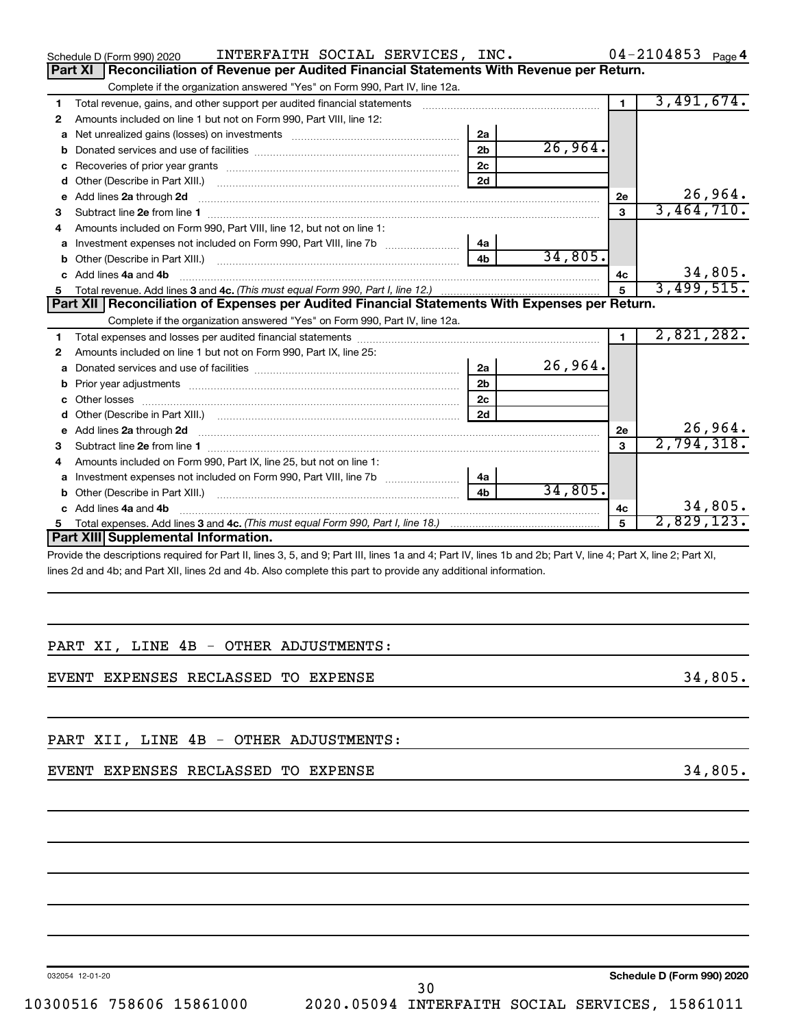|    | INTERFAITH SOCIAL SERVICES, INC.<br>Schedule D (Form 990) 2020                                                                                                                                                                                                                                                                                                                                                                                                              |                |         |                | $04 - 2104853$ Page 4 |  |
|----|-----------------------------------------------------------------------------------------------------------------------------------------------------------------------------------------------------------------------------------------------------------------------------------------------------------------------------------------------------------------------------------------------------------------------------------------------------------------------------|----------------|---------|----------------|-----------------------|--|
|    | <b>Part XI</b><br>Reconciliation of Revenue per Audited Financial Statements With Revenue per Return.                                                                                                                                                                                                                                                                                                                                                                       |                |         |                |                       |  |
|    | Complete if the organization answered "Yes" on Form 990, Part IV, line 12a.                                                                                                                                                                                                                                                                                                                                                                                                 |                |         |                |                       |  |
| 1  | Total revenue, gains, and other support per audited financial statements [[[[[[[[[[[[[[[[[[[[[[[[[]]]]]]]]]]]                                                                                                                                                                                                                                                                                                                                                               |                |         | $\blacksquare$ | 3,491,674.            |  |
| 2  | Amounts included on line 1 but not on Form 990, Part VIII, line 12:                                                                                                                                                                                                                                                                                                                                                                                                         |                |         |                |                       |  |
| a  | Net unrealized gains (losses) on investments [111] [12] matter contracts and the unrealized gains (losses) on investments [11] matter contracts and the unrealized gains (losses) on investments [11] matter contracts and the                                                                                                                                                                                                                                              | 2a             |         |                |                       |  |
|    |                                                                                                                                                                                                                                                                                                                                                                                                                                                                             | 2 <sub>b</sub> | 26,964. |                |                       |  |
| c  |                                                                                                                                                                                                                                                                                                                                                                                                                                                                             | 2c             |         |                |                       |  |
| d  |                                                                                                                                                                                                                                                                                                                                                                                                                                                                             | 2d             |         |                |                       |  |
| e  | Add lines 2a through 2d<br>$\begin{minipage}{0.5\textwidth} \begin{tabular}{ l l l } \hline \multicolumn{1}{ l l l } \hline \multicolumn{1}{ l l } \hline \multicolumn{1}{ l } \multicolumn{1}{ l } \hline \multicolumn{1}{ l } \multicolumn{1}{ l } \multicolumn{1}{ l } \hline \multicolumn{1}{ l } \multicolumn{1}{ l } \multicolumn{1}{ l } \hline \multicolumn{1}{ l } \multicolumn{1}{ l } \hline \multicolumn{1}{ l } \multicolumn{1}{ l } \hline \multicolumn{1}{ $ |                |         | 2е             | 26,964.               |  |
| З. |                                                                                                                                                                                                                                                                                                                                                                                                                                                                             |                |         | 3              | 3,464,710.            |  |
| 4  | Amounts included on Form 990, Part VIII, line 12, but not on line 1:                                                                                                                                                                                                                                                                                                                                                                                                        |                |         |                |                       |  |
| a  |                                                                                                                                                                                                                                                                                                                                                                                                                                                                             | 4a             |         |                |                       |  |
|    |                                                                                                                                                                                                                                                                                                                                                                                                                                                                             | 4 <sub>b</sub> | 34,805. |                |                       |  |
|    | c Add lines 4a and 4b                                                                                                                                                                                                                                                                                                                                                                                                                                                       |                |         | 4c             | 34,805.               |  |
| 5  |                                                                                                                                                                                                                                                                                                                                                                                                                                                                             |                |         |                | 3,499,515.            |  |
|    | Part XII Reconciliation of Expenses per Audited Financial Statements With Expenses per Return.                                                                                                                                                                                                                                                                                                                                                                              |                |         |                |                       |  |
|    | Complete if the organization answered "Yes" on Form 990, Part IV, line 12a.                                                                                                                                                                                                                                                                                                                                                                                                 |                |         |                |                       |  |
| 1  |                                                                                                                                                                                                                                                                                                                                                                                                                                                                             |                |         | $\mathbf 1$    | 2,821,282.            |  |
| 2  | Amounts included on line 1 but not on Form 990, Part IX, line 25:                                                                                                                                                                                                                                                                                                                                                                                                           |                |         |                |                       |  |
| a  |                                                                                                                                                                                                                                                                                                                                                                                                                                                                             | 2a             | 26,964. |                |                       |  |
| b  |                                                                                                                                                                                                                                                                                                                                                                                                                                                                             | 2 <sub>b</sub> |         |                |                       |  |
| c  |                                                                                                                                                                                                                                                                                                                                                                                                                                                                             | 2 <sub>c</sub> |         |                |                       |  |
| d  |                                                                                                                                                                                                                                                                                                                                                                                                                                                                             | 2d             |         |                |                       |  |
| е  | Add lines 2a through 2d <b>contained a contained a contained a</b> contained a contact the state of the contained and contained a contact the contact of the contact of the contact of the contact of the contact of the contact of                                                                                                                                                                                                                                         |                |         | 2e             | 26,964.               |  |
| 3  |                                                                                                                                                                                                                                                                                                                                                                                                                                                                             |                |         | 3              | 2,794,318.            |  |
| 4  | Amounts included on Form 990, Part IX, line 25, but not on line 1:                                                                                                                                                                                                                                                                                                                                                                                                          |                |         |                |                       |  |
| a  |                                                                                                                                                                                                                                                                                                                                                                                                                                                                             | 4a             |         |                |                       |  |
| b  |                                                                                                                                                                                                                                                                                                                                                                                                                                                                             | 4 <sub>b</sub> | 34,805. |                |                       |  |
| c  | Add lines 4a and 4b                                                                                                                                                                                                                                                                                                                                                                                                                                                         |                |         | 4c             | 34,805.               |  |
|    |                                                                                                                                                                                                                                                                                                                                                                                                                                                                             |                |         | 5              | 2,829,123.            |  |
|    | Part XIII Supplemental Information.                                                                                                                                                                                                                                                                                                                                                                                                                                         |                |         |                |                       |  |
|    | Provide the descriptions required for Part II, lines 3, 5, and 9: Part III, lines 1a and 4: Part IV, lines 1h and 2h: Part V, line 4: Part X, line 2: Part XI.                                                                                                                                                                                                                                                                                                              |                |         |                |                       |  |

de the descriptions required for Part II, lines 3, 5, and 9; Part III, lines 1a and 4; Part IV, lines 1b and 2b; Part V, line 4; Part X, line lines 2d and 4b; and Part XII, lines 2d and 4b. Also complete this part to provide any additional information.

## PART XI, LINE 4B - OTHER ADJUSTMENTS:

EVENT EXPENSES RECLASSED TO EXPENSE 34,805.

PART XII, LINE 4B - OTHER ADJUSTMENTS:

## EVENT EXPENSES RECLASSED TO EXPENSE 34,805.

032054 12-01-20

**Schedule D (Form 990) 2020**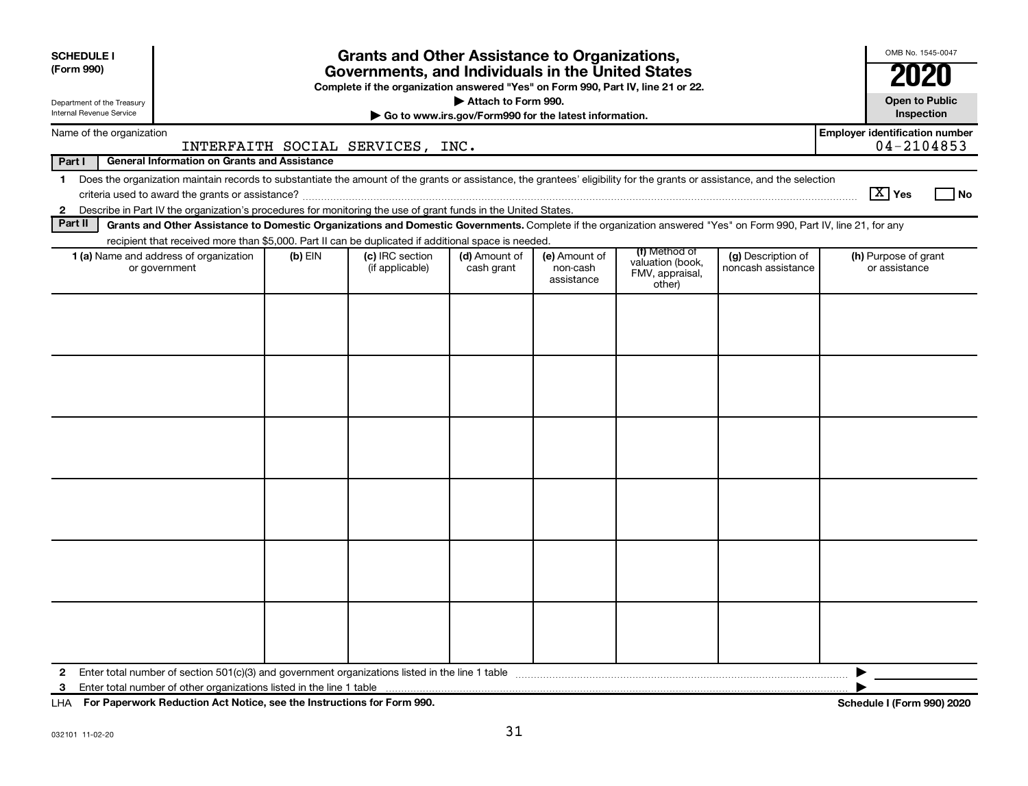| <b>SCHEDULE I</b><br>(Form 990)                        |                                                                                                                                                                          |           | <b>Grants and Other Assistance to Organizations,</b><br>Governments, and Individuals in the United States<br>Complete if the organization answered "Yes" on Form 990, Part IV, line 21 or 22. |                                                                              |                                         |                                               |                                          | OMB No. 1545-0047<br>2020                               |
|--------------------------------------------------------|--------------------------------------------------------------------------------------------------------------------------------------------------------------------------|-----------|-----------------------------------------------------------------------------------------------------------------------------------------------------------------------------------------------|------------------------------------------------------------------------------|-----------------------------------------|-----------------------------------------------|------------------------------------------|---------------------------------------------------------|
| Department of the Treasury<br>Internal Revenue Service |                                                                                                                                                                          |           |                                                                                                                                                                                               | Attach to Form 990.<br>Go to www.irs.gov/Form990 for the latest information. |                                         |                                               |                                          | <b>Open to Public</b><br>Inspection                     |
| Name of the organization                               |                                                                                                                                                                          |           | INTERFAITH SOCIAL SERVICES, INC.                                                                                                                                                              |                                                                              |                                         |                                               |                                          | <b>Employer identification number</b><br>$04 - 2104853$ |
| Part I                                                 | <b>General Information on Grants and Assistance</b>                                                                                                                      |           |                                                                                                                                                                                               |                                                                              |                                         |                                               |                                          |                                                         |
| $\mathbf 1$                                            | Does the organization maintain records to substantiate the amount of the grants or assistance, the grantees' eligibility for the grants or assistance, and the selection |           |                                                                                                                                                                                               |                                                                              |                                         |                                               |                                          | $\boxed{\text{X}}$ Yes<br>l No                          |
|                                                        | 2 Describe in Part IV the organization's procedures for monitoring the use of grant funds in the United States.                                                          |           |                                                                                                                                                                                               |                                                                              |                                         |                                               |                                          |                                                         |
| Part II                                                | Grants and Other Assistance to Domestic Organizations and Domestic Governments. Complete if the organization answered "Yes" on Form 990, Part IV, line 21, for any       |           |                                                                                                                                                                                               |                                                                              |                                         |                                               |                                          |                                                         |
|                                                        | recipient that received more than \$5,000. Part II can be duplicated if additional space is needed.                                                                      |           |                                                                                                                                                                                               |                                                                              |                                         | (f) Method of                                 |                                          |                                                         |
|                                                        | 1 (a) Name and address of organization<br>or government                                                                                                                  | $(b)$ EIN | (c) IRC section<br>(if applicable)                                                                                                                                                            | (d) Amount of<br>cash grant                                                  | (e) Amount of<br>non-cash<br>assistance | valuation (book,<br>FMV, appraisal,<br>other) | (g) Description of<br>noncash assistance | (h) Purpose of grant<br>or assistance                   |
|                                                        |                                                                                                                                                                          |           |                                                                                                                                                                                               |                                                                              |                                         |                                               |                                          |                                                         |
| $\mathbf{2}$                                           |                                                                                                                                                                          |           |                                                                                                                                                                                               |                                                                              |                                         |                                               |                                          |                                                         |
|                                                        | 3 Enter total number of other organizations listed in the line 1 table                                                                                                   |           |                                                                                                                                                                                               |                                                                              |                                         |                                               |                                          |                                                         |

**For Paperwork Reduction Act Notice, see the Instructions for Form 990. Schedule I (Form 990) 2020** LHA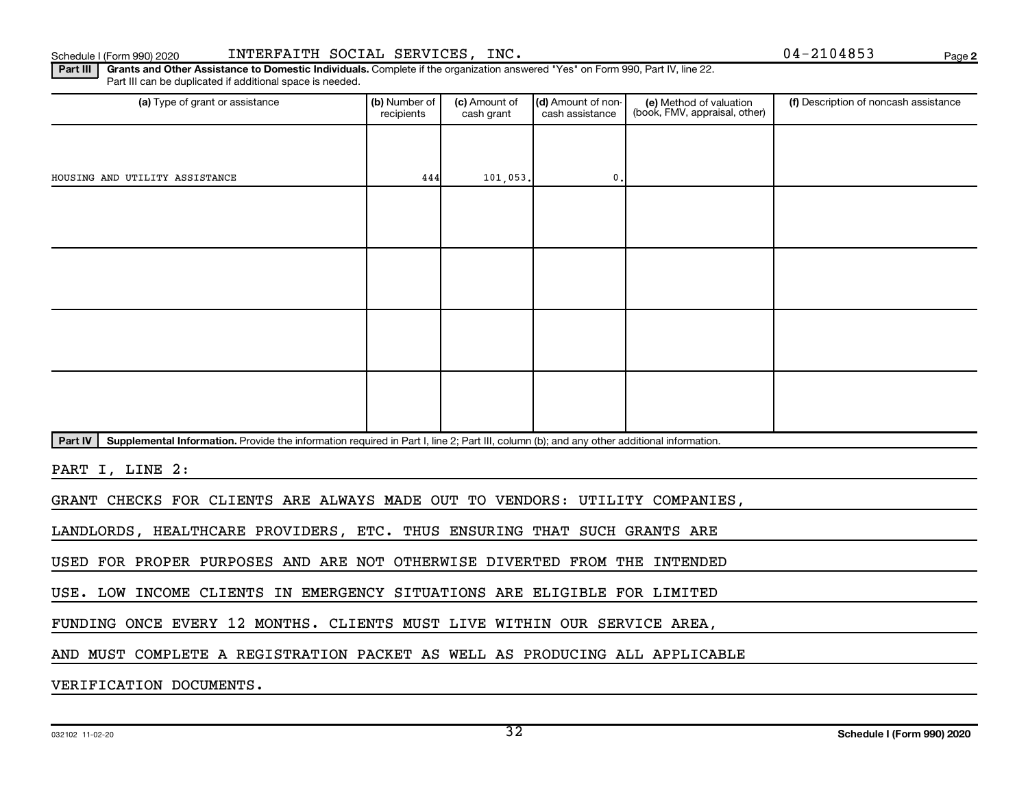**2**

Part III | Grants and Other Assistance to Domestic Individuals. Complete if the organization answered "Yes" on Form 990, Part IV, line 22. Part III can be duplicated if additional space is needed.

| (a) Type of grant or assistance                                                                                                                      | (b) Number of<br>recipients | (c) Amount of<br>cash grant | (d) Amount of non-<br>cash assistance | (e) Method of valuation<br>(book, FMV, appraisal, other) | (f) Description of noncash assistance |
|------------------------------------------------------------------------------------------------------------------------------------------------------|-----------------------------|-----------------------------|---------------------------------------|----------------------------------------------------------|---------------------------------------|
|                                                                                                                                                      |                             |                             |                                       |                                                          |                                       |
| HOUSING AND UTILITY ASSISTANCE                                                                                                                       | 444                         | 101,053.                    | $\mathbf{0}$                          |                                                          |                                       |
|                                                                                                                                                      |                             |                             |                                       |                                                          |                                       |
|                                                                                                                                                      |                             |                             |                                       |                                                          |                                       |
|                                                                                                                                                      |                             |                             |                                       |                                                          |                                       |
|                                                                                                                                                      |                             |                             |                                       |                                                          |                                       |
|                                                                                                                                                      |                             |                             |                                       |                                                          |                                       |
|                                                                                                                                                      |                             |                             |                                       |                                                          |                                       |
|                                                                                                                                                      |                             |                             |                                       |                                                          |                                       |
|                                                                                                                                                      |                             |                             |                                       |                                                          |                                       |
| Part IV<br>Supplemental Information. Provide the information required in Part I, line 2; Part III, column (b); and any other additional information. |                             |                             |                                       |                                                          |                                       |
| PART I, LINE 2:                                                                                                                                      |                             |                             |                                       |                                                          |                                       |
| GRANT CHECKS FOR CLIENTS ARE ALWAYS MADE OUT TO VENDORS: UTILITY COMPANIES,                                                                          |                             |                             |                                       |                                                          |                                       |
| LANDLORDS, HEALTHCARE PROVIDERS, ETC. THUS ENSURING THAT SUCH GRANTS ARE                                                                             |                             |                             |                                       |                                                          |                                       |
| USED FOR PROPER PURPOSES AND ARE NOT OTHERWISE DIVERTED FROM THE INTENDED                                                                            |                             |                             |                                       |                                                          |                                       |
| USE. LOW INCOME CLIENTS IN EMERGENCY SITUATIONS ARE ELIGIBLE FOR LIMITED                                                                             |                             |                             |                                       |                                                          |                                       |
| FUNDING ONCE EVERY 12 MONTHS. CLIENTS MUST LIVE WITHIN OUR SERVICE AREA,                                                                             |                             |                             |                                       |                                                          |                                       |
| AND MUST COMPLETE A REGISTRATION PACKET AS WELL AS PRODUCING ALL APPLICABLE                                                                          |                             |                             |                                       |                                                          |                                       |

VERIFICATION DOCUMENTS.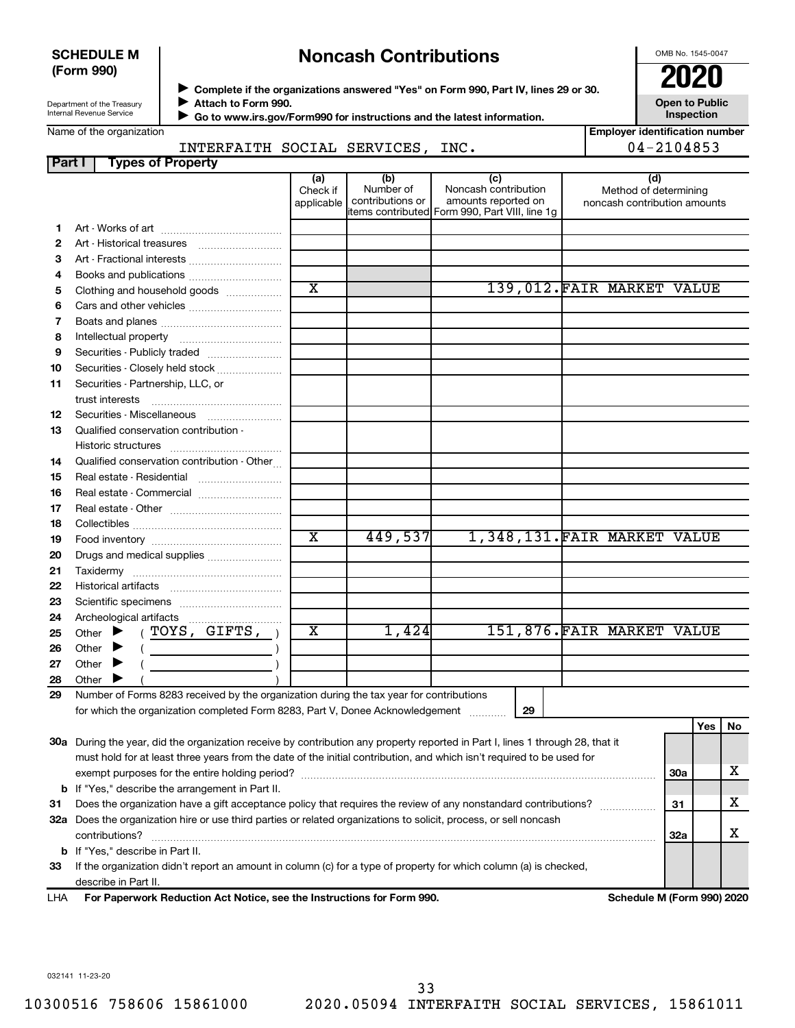## **SCHEDULE M (Form 990)**

# **Noncash Contributions**

OMB No. 1545-0047

**Employer identification number**

| Department of the Treasury |  |
|----------------------------|--|
| Internal Revenue Service   |  |

◆ Complete if the organizations answered "Yes" on Form 990, Part IV, lines 29 or 30.<br>● Complete if the organizations answered "Yes" on Form 990, Part IV, lines 29 or 30. **Attach to Form 990.**  $\blacktriangleright$ 

**Open to Public Inspection**

 **Go to www.irs.gov/Form990 for instructions and the latest information.**  $\blacktriangleright$ 

## INTERFAITH SOCIAL SERVICES, INC. 04-2104853

|              | TMIERFAIII SOCIAD SERVICES,                                                             |                               |                                      | ᅶᄭᇰ                                                                                                  | <b>V + 4 + V + V J J</b>                                     |
|--------------|-----------------------------------------------------------------------------------------|-------------------------------|--------------------------------------|------------------------------------------------------------------------------------------------------|--------------------------------------------------------------|
| Part I       | <b>Types of Property</b>                                                                |                               |                                      |                                                                                                      |                                                              |
|              |                                                                                         | (a)<br>Check if<br>applicable | (b)<br>Number of<br>contributions or | (c)<br>Noncash contribution<br>amounts reported on<br>items contributed Form 990, Part VIII, line 1g | (d)<br>Method of determining<br>noncash contribution amounts |
| 1.           |                                                                                         |                               |                                      |                                                                                                      |                                                              |
| $\mathbf{2}$ |                                                                                         |                               |                                      |                                                                                                      |                                                              |
| 3            | Art - Fractional interests                                                              |                               |                                      |                                                                                                      |                                                              |
| 4            |                                                                                         |                               |                                      |                                                                                                      |                                                              |
| 5            | Clothing and household goods                                                            | $\overline{\text{x}}$         |                                      |                                                                                                      | 139,012.FAIR MARKET VALUE                                    |
| 6            |                                                                                         |                               |                                      |                                                                                                      |                                                              |
| 7            |                                                                                         |                               |                                      |                                                                                                      |                                                              |
| 8            |                                                                                         |                               |                                      |                                                                                                      |                                                              |
| 9            | Securities - Publicly traded                                                            |                               |                                      |                                                                                                      |                                                              |
| 10           | Securities - Closely held stock                                                         |                               |                                      |                                                                                                      |                                                              |
| 11           | Securities - Partnership, LLC, or                                                       |                               |                                      |                                                                                                      |                                                              |
|              |                                                                                         |                               |                                      |                                                                                                      |                                                              |
| 12           | Securities - Miscellaneous                                                              |                               |                                      |                                                                                                      |                                                              |
| 13           | Qualified conservation contribution -                                                   |                               |                                      |                                                                                                      |                                                              |
|              |                                                                                         |                               |                                      |                                                                                                      |                                                              |
| 14           | Qualified conservation contribution - Other                                             |                               |                                      |                                                                                                      |                                                              |
| 15           | Real estate - Residential                                                               |                               |                                      |                                                                                                      |                                                              |
| 16           | Real estate - Commercial                                                                |                               |                                      |                                                                                                      |                                                              |
| 17           |                                                                                         |                               |                                      |                                                                                                      |                                                              |
| 18           |                                                                                         |                               |                                      |                                                                                                      |                                                              |
| 19           |                                                                                         | $\overline{\text{x}}$         | 449,537                              |                                                                                                      | 1,348,131.FAIR MARKET VALUE                                  |
| 20           | Drugs and medical supplies                                                              |                               |                                      |                                                                                                      |                                                              |
| 21           |                                                                                         |                               |                                      |                                                                                                      |                                                              |
| 22           |                                                                                         |                               |                                      |                                                                                                      |                                                              |
| 23           |                                                                                         |                               |                                      |                                                                                                      |                                                              |
| 24           | Archeological artifacts                                                                 |                               |                                      |                                                                                                      |                                                              |
| 25           | Other $\blacktriangleright$ (TOYS, GIFTS, )                                             | $\overline{\text{x}}$         | 1,424                                |                                                                                                      | 151,876. FAIR MARKET VALUE                                   |
| 26           | Other $\blacktriangleright$                                                             |                               |                                      |                                                                                                      |                                                              |
| 27           | Other $\blacktriangleright$                                                             |                               |                                      |                                                                                                      |                                                              |
| 28           | Other                                                                                   |                               |                                      |                                                                                                      |                                                              |
| 29           | Number of Forms 8283 received by the organization during the tax year for contributions |                               |                                      |                                                                                                      |                                                              |
|              | for which the organization completed Form 8283, Part V, Donee Acknowledgement           |                               |                                      | 29                                                                                                   |                                                              |

**30 a** During the year, did the organization receive by contribution any property reported in Part I, lines 1 through 28, that it **31** Does the organization have a gift acceptance policy that requires the review of any nonstandard contributions?  $\ldots$  $\ldots$  $\ldots$ **32 a** Does the organization hire or use third parties or related organizations to solicit, process, or sell noncash **b** If "Yes," describe the arrangement in Part II. **30a 31 32a b** If "Yes," describe in Part II. must hold for at least three years from the date of the initial contribution, and which isn't required to be used for exempt purposes for the entire holding period? ~~~~~~~~~~~~~~~~~~~~~~~~~~~~~~~~~~~~~~ contributions? ~~~~~~~~~~~~~~~~~~~~~~~~~~~~~~~~~~~~~~~~~~~~~~~~~~~~~~ X X X

**33** If the organization didn't report an amount in column (c) for a type of property for which column (a) is checked, describe in Part II.

**For Paperwork Reduction Act Notice, see the Instructions for Form 990. Schedule M (Form 990) 2020** LHA

**Yes No**

032141 11-23-20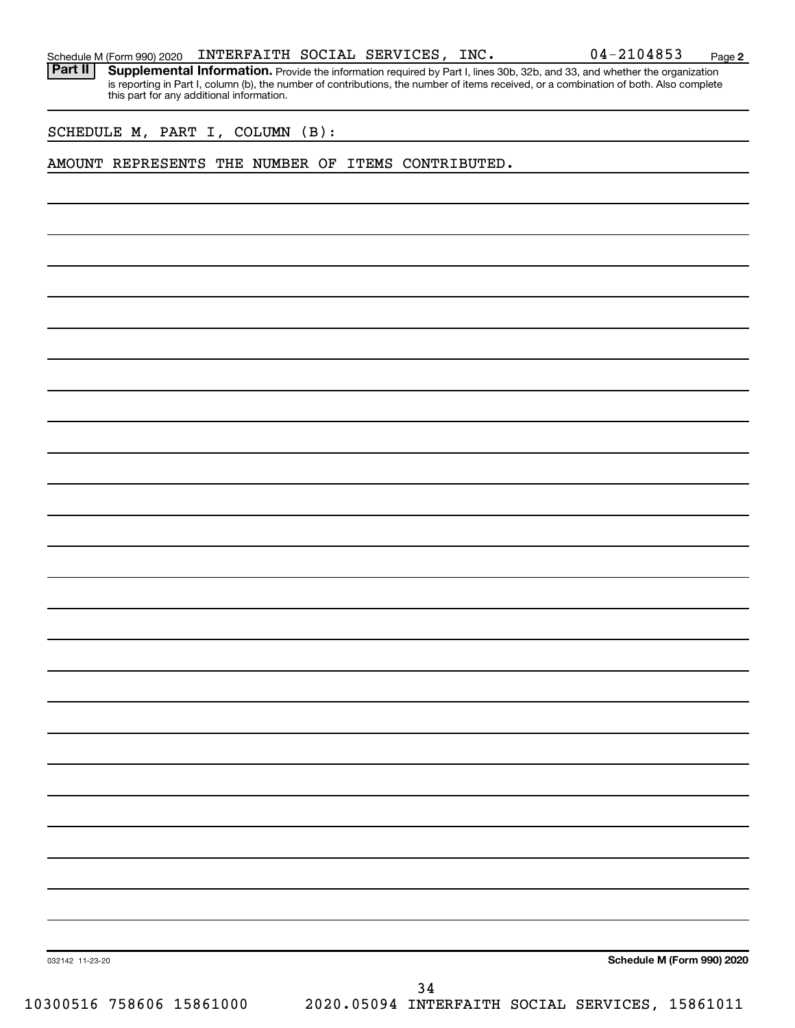|  |  |  | Schedule M (Form 990) 2020 $\;$ <code>INTERFAITH SOCIAL SERVICES</code> , <code>INC.</code> |  |  |  | 04-2104853 | Page |  |
|--|--|--|---------------------------------------------------------------------------------------------|--|--|--|------------|------|--|
|--|--|--|---------------------------------------------------------------------------------------------|--|--|--|------------|------|--|

Part II | Supplemental Information. Provide the information required by Part I, lines 30b, 32b, and 33, and whether the organization is reporting in Part I, column (b), the number of contributions, the number of items received, or a combination of both. Also complete this part for any additional information.

SCHEDULE M, PART I, COLUMN (B):

### AMOUNT REPRESENTS THE NUMBER OF ITEMS CONTRIBUTED.

**Schedule M (Form 990) 2020**

032142 11-23-20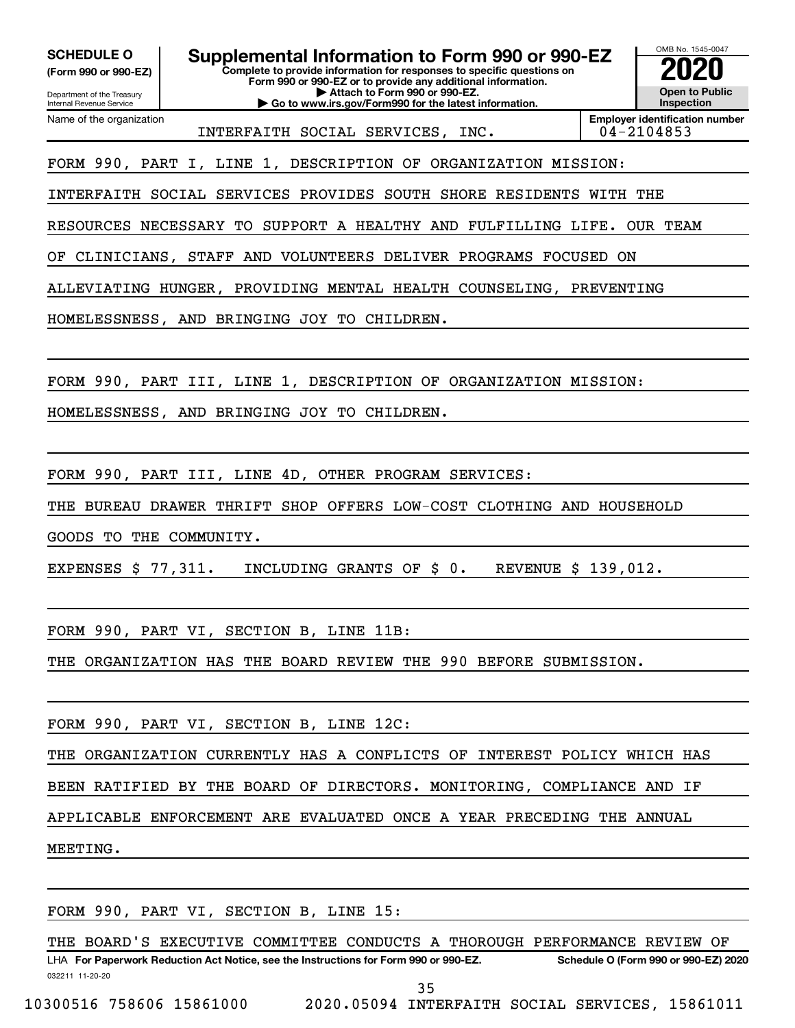**(Form 990 or 990-EZ)**

Department of the Treasury

Internal Revenue Service Name of the organization

**Complete to provide information for responses to specific questions on Form 990 or 990-EZ or to provide any additional information. | Attach to Form 990 or 990-EZ. | Go to www.irs.gov/Form990 for the latest information. SCHEDULE O Supplemental Information to Form 990 or 990-EZ 2020**<br>(Form 990 or 990-EZ) **2020** 



INTERFAITH SOCIAL SERVICES, INC. 04-2104853

**Employer identification number**

FORM 990, PART I, LINE 1, DESCRIPTION OF ORGANIZATION MISSION:

INTERFAITH SOCIAL SERVICES PROVIDES SOUTH SHORE RESIDENTS WITH THE

RESOURCES NECESSARY TO SUPPORT A HEALTHY AND FULFILLING LIFE. OUR TEAM

OF CLINICIANS, STAFF AND VOLUNTEERS DELIVER PROGRAMS FOCUSED ON

ALLEVIATING HUNGER, PROVIDING MENTAL HEALTH COUNSELING, PREVENTING

HOMELESSNESS, AND BRINGING JOY TO CHILDREN.

FORM 990, PART III, LINE 1, DESCRIPTION OF ORGANIZATION MISSION:

HOMELESSNESS, AND BRINGING JOY TO CHILDREN.

FORM 990, PART III, LINE 4D, OTHER PROGRAM SERVICES:

THE BUREAU DRAWER THRIFT SHOP OFFERS LOW-COST CLOTHING AND HOUSEHOLD

GOODS TO THE COMMUNITY.

EXPENSES \$ 77,311. INCLUDING GRANTS OF \$ 0. REVENUE \$ 139,012.

FORM 990, PART VI, SECTION B, LINE 11B:

THE ORGANIZATION HAS THE BOARD REVIEW THE 990 BEFORE SUBMISSION.

FORM 990, PART VI, SECTION B, LINE 12C:

THE ORGANIZATION CURRENTLY HAS A CONFLICTS OF INTEREST POLICY WHICH HAS

BEEN RATIFIED BY THE BOARD OF DIRECTORS. MONITORING, COMPLIANCE AND IF

APPLICABLE ENFORCEMENT ARE EVALUATED ONCE A YEAR PRECEDING THE ANNUAL

MEETING.

FORM 990, PART VI, SECTION B, LINE 15:

THE BOARD'S EXECUTIVE COMMITTEE CONDUCTS A THOROUGH PERFORMANCE REVIEW OF

032211 11-20-20 **For Paperwork Reduction Act Notice, see the Instructions for Form 990 or 990-EZ. Schedule O (Form 990 or 990-EZ) 2020** LHA 35